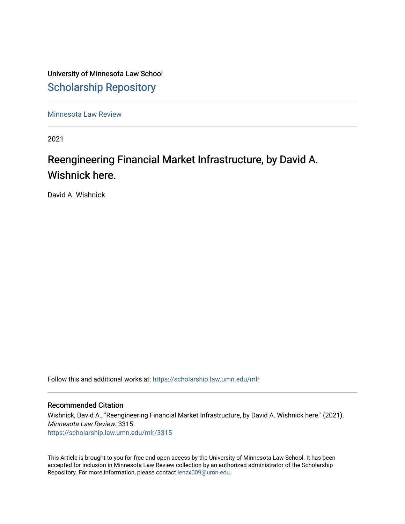University of Minnesota Law School [Scholarship Repository](https://scholarship.law.umn.edu/) 

[Minnesota Law Review](https://scholarship.law.umn.edu/mlr) 

2021

# Reengineering Financial Market Infrastructure, by David A. Wishnick here.

David A. Wishnick

Follow this and additional works at: [https://scholarship.law.umn.edu/mlr](https://scholarship.law.umn.edu/mlr?utm_source=scholarship.law.umn.edu%2Fmlr%2F3315&utm_medium=PDF&utm_campaign=PDFCoverPages)

# Recommended Citation

Wishnick, David A., "Reengineering Financial Market Infrastructure, by David A. Wishnick here." (2021). Minnesota Law Review. 3315. [https://scholarship.law.umn.edu/mlr/3315](https://scholarship.law.umn.edu/mlr/3315?utm_source=scholarship.law.umn.edu%2Fmlr%2F3315&utm_medium=PDF&utm_campaign=PDFCoverPages)

This Article is brought to you for free and open access by the University of Minnesota Law School. It has been accepted for inclusion in Minnesota Law Review collection by an authorized administrator of the Scholarship Repository. For more information, please contact [lenzx009@umn.edu.](mailto:lenzx009@umn.edu)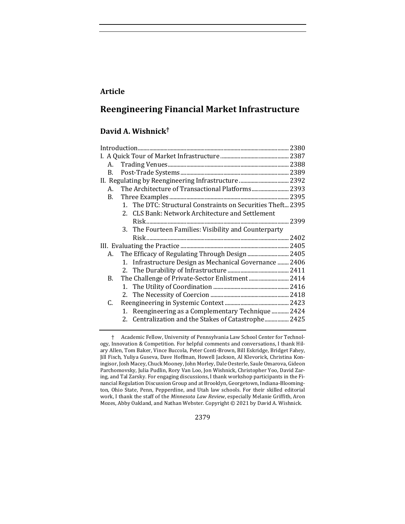# **Article**

# **Reengineering Financial Market Infrastructure**

# **David A. Wishnick†**

|    | A. |                                                             |        |
|----|----|-------------------------------------------------------------|--------|
| B. |    |                                                             |        |
|    |    |                                                             |        |
|    | A. |                                                             |        |
| В. |    |                                                             |        |
|    |    | 1. The DTC: Structural Constraints on Securities Theft 2395 |        |
|    |    | 2. CLS Bank: Network Architecture and Settlement            |        |
|    |    |                                                             | 2399   |
|    |    | 3. The Fourteen Families: Visibility and Counterparty       |        |
|    |    |                                                             | . 2402 |
|    |    |                                                             |        |
|    | A. | The Efficacy of Regulating Through Design  2405             |        |
|    |    | 1. Infrastructure Design as Mechanical Governance  2406     |        |
|    |    |                                                             |        |
| В. |    |                                                             |        |
|    |    |                                                             |        |
|    |    |                                                             |        |
| C. |    |                                                             |        |
|    |    | 1. Reengineering as a Complementary Technique  2424         |        |
|    |    | 2. Centralization and the Stakes of Catastrophe 2425        |        |
|    |    |                                                             |        |

2379

<sup>†</sup> Academic Fellow, University of Pennsylvania Law School Center for Technology, Innovation & Competition. For helpful comments and conversations, I thank Hilary Allen, Tom Baker, Vince Buccola, Peter Conti-Brown, Bill Eskridge, Bridget Fahey, Jill Fisch, Yuliya Guseva, Dave Hoffman, Howell Jackson, Al Klevorick, Christina Koningisor, Josh Macey, Chuck Mooney, John Morley, Dale Oesterle, Saule Omarova, Gideon Parchomovsky, Julia Pudlin, Rory Van Loo, Jon Wishnick, Christopher Yoo, David Zaring, and Tal Zarsky. For engaging discussions, I thank workshop participants in the Financial Regulation Discussion Group and at Brooklyn, Georgetown, Indiana-Bloomington, Ohio State, Penn, Pepperdine, and Utah law schools. For their skilled editorial work, I thank the staff of the *Minnesota Law Review*, especially Melanie Griffith, Aron Mozes, Abby Oakland, and Nathan Webster. Copyright © 2021 by David A. Wishnick.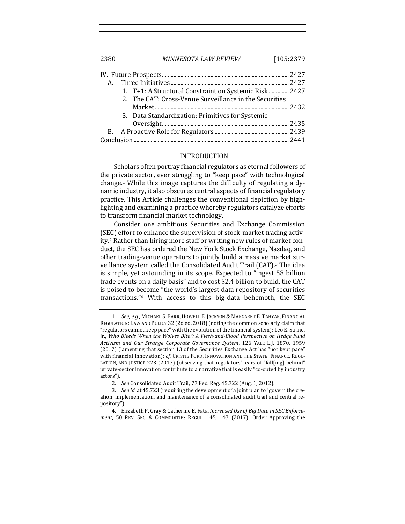2380 *MINNESOTA LAW REVIEW* [105:2379

| 1. T+1: A Structural Constraint on Systemic Risk 2427  |  |
|--------------------------------------------------------|--|
| 2. The CAT: Cross-Venue Surveillance in the Securities |  |
|                                                        |  |
| 3. Data Standardization: Primitives for Systemic       |  |
|                                                        |  |
|                                                        |  |
|                                                        |  |

# INTRODUCTION

Scholars often portray financial regulators as eternal followers of the private sector, ever struggling to "keep pace" with technological change.<sup>1</sup> While this image captures the difficulty of regulating a dynamic industry, it also obscures central aspects of financial regulatory practice. This Article challenges the conventional depiction by highlighting and examining a practice whereby regulators catalyze efforts to transform financial market technology.

Consider one ambitious Securities and Exchange Commission (SEC) effort to enhance the supervision of stock-market trading activity.<sup>2</sup> Rather than hiring more staff or writing new rules of market conduct, the SEC has ordered the New York Stock Exchange, Nasdaq, and other trading-venue operators to jointly build a massive market surveillance system called the Consolidated Audit Trail (CAT).<sup>3</sup> The idea is simple, yet astounding in its scope. Expected to "ingest 58 billion trade events on a daily basis" and to cost \$2.4 billion to build, the CAT is poised to become "the world's largest data repository of securities transactions."<sup>4</sup> With access to this big-data behemoth, the SEC

4. Elizabeth P. Gray & Catherine E. Fata, *Increased Use of Big Data in SEC Enforcement*, 50 REV. SEC. & COMMODITIES REGUL. 145, 147 (2017); Order Approving the

<sup>1.</sup> See, e.g., MICHAEL S. BARR, HOWELL E. JACKSON & MARGARET E. TAHYAR, FINANCIAL REGULATION: LAW AND POLICY 32 (2d ed. 2018) (noting the common scholarly claim that "regulators cannot keep pace" with the evolution of the financial system); Leo E. Strine, Jr., Who Bleeds When the Wolves Bite?: A Flesh-and-Blood Perspective on Hedge Fund *Activism and Our Strange Corporate Governance System*, 126 YALE L.J. 1870, 1959 (2017) (lamenting that section 13 of the Securities Exchange Act has "not kept pace" with financial innovation); cf. CRISTIE FORD, INNOVATION AND THE STATE: FINANCE, REGU-LATION, AND JUSTICE 223 (2017) (observing that regulators' fears of "fall[ing] behind" private-sector innovation contribute to a narrative that is easily "co-opted by industry actors").

<sup>2.</sup> *See* Consolidated Audit Trail, 77 Fed. Reg. 45,722 (Aug. 1, 2012).

<sup>3.</sup> *See id.* at 45,723 (requiring the development of a joint plan to "govern the creation, implementation, and maintenance of a consolidated audit trail and central repository").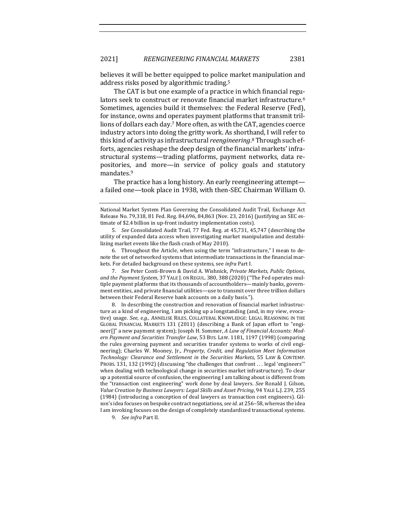believes it will be better equipped to police market manipulation and address risks posed by algorithmic trading.<sup>5</sup>

The CAT is but one example of a practice in which financial regulators seek to construct or renovate financial market infrastructure.<sup>6</sup> Sometimes, agencies build it themselves: the Federal Reserve (Fed), for instance, owns and operates payment platforms that transmit trillions of dollars each day.<sup>7</sup> More often, as with the CAT, agencies coerce industry actors into doing the gritty work. As shorthand, I will refer to this kind of activity as infrastructural *reengineering*.<sup>8</sup> Through such efforts, agencies reshape the deep design of the financial markets' infrastructural systems—trading platforms, payment networks, data repositories, and more—in service of policy goals and statutory mandates.9

The practice has a long history. An early reengineering attempta failed one—took place in 1938, with then-SEC Chairman William O.

9. *See infra* Part II.

National Market System Plan Governing the Consolidated Audit Trail, Exchange Act Release No. 79,318, 81 Fed. Reg. 84,696, 84,863 (Nov. 23, 2016) (justifying an SEC estimate of \$2.4 billion in up-front industry implementation costs).

<sup>5.</sup> *See* Consolidated Audit Trail, 77 Fed. Reg. at 45,731, 45,747 (describing the utility of expanded data access when investigating market manipulation and destabilizing market events like the flash crash of May 2010).

<sup>6.</sup> Throughout the Article, when using the term "infrastructure," I mean to denote the set of networked systems that intermediate transactions in the financial markets. For detailed background on these systems, see *infra* Part I.

<sup>7.</sup> *See* Peter Conti-Brown & David A. Wishnick, *Private Markets, Public Options,* and the Payment System, 37 YALE J. ON REGUL. 380, 388 (2020) ("The Fed operates multiple payment platforms that its thousands of accountholders—mainly banks, government entities, and private financial utilities—use to transmit over three trillion dollars between their Federal Reserve bank accounts on a daily basis.").

<sup>8.</sup> In describing the construction and renovation of financial market infrastructure as a kind of engineering, I am picking up a longstanding (and, in my view, evocative) usage. See, e.g., ANNELISE RILES, COLLATERAL KNOWLEDGE: LEGAL REASONING IN THE GLOBAL FINANCIAL MARKETS 131 (2011) (describing a Bank of Japan effort to "engineer[]" a new payment system); Joseph H. Sommer, *A Law of Financial Accounts: Mod*ern Payment and Securities Transfer Law, 53 Bus. LAW. 1181, 1197 (1998) (comparing the rules governing payment and securities transfer systems to works of civil engineering); Charles W. Mooney, Jr., *Property, Credit, and Regulation Meet Information Technology: Clearance and Settlement in the Securities Markets*, 55 LAW & CONTEMP. PROBS. 131, 132 (1992) (discussing "the challenges that confront . . . legal 'engineers'" when dealing with technological change in securities market infrastructure). To clear up a potential source of confusion, the engineering I am talking about is different from the "transaction cost engineering" work done by deal lawyers. *See* Ronald J. Gilson, Value Creation by Business Lawyers: Legal Skills and Asset Pricing, 94 YALE L.J. 239, 255 (1984) (introducing a conception of deal lawyers as transaction cost engineers). Gilson's idea focuses on bespoke contract negotiations, *see id.* at 256–58, whereas the idea I am invoking focuses on the design of completely standardized transactional systems.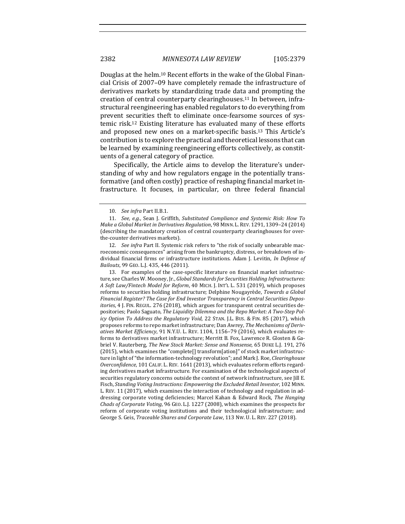Douglas at the helm.<sup>10</sup> Recent efforts in the wake of the Global Financial Crisis of 2007-09 have completely remade the infrastructure of derivatives markets by standardizing trade data and prompting the creation of central counterparty clearinghouses.<sup>11</sup> In between, infrastructural reengineering has enabled regulators to do everything from prevent securities theft to eliminate once-fearsome sources of systemic risk.<sup>12</sup> Existing literature has evaluated many of these efforts and proposed new ones on a market-specific basis.<sup>13</sup> This Article's contribution is to explore the practical and theoretical lessons that can be learned by examining reengineering efforts collectively, as constituents of a general category of practice.

Specifically, the Article aims to develop the literature's understanding of why and how regulators engage in the potentially transformative (and often costly) practice of reshaping financial market infrastructure. It focuses, in particular, on three federal financial

13. For examples of the case-specific literature on financial market infrastructure, see Charles W. Mooney, Jr., *Global Standards for Securities Holding Infrastructures: A Soft Law/Fintech Model for Reform*, 40 MICH. J. INT'L L. 531 (2019), which proposes reforms to securities holding infrastructure; Delphine Nougayrède, *Towards a Global* Financial Register? The Case for End Investor Transparency in Central Securities Depos*itories*, 4 J. FIN. REGUL. 276 (2018), which argues for transparent central securities depositories; Paolo Saguato, The Liquidity Dilemma and the Repo Market: A Two-Step Pol*icy Option To Address the Regulatory Void*, 22 STAN. J.L. BUS. & FIN. 85 (2017), which proposes reforms to repo market infrastructure; Dan Awrey, *The Mechanisms of Derivatives Market Efficiency*, 91 N.Y.U. L. REV. 1104, 1156–79 (2016), which evaluates reforms to derivatives market infrastructure; Merritt B. Fox, Lawrence R. Glosten & Gabriel V. Rauterberg, *The New Stock Market: Sense and Nonsense*, 65 DUKE L.J. 191, 276 (2015), which examines the "complete[] transform[ation]" of stock market infrastructure in light of "the information-technology revolution"; and Mark J. Roe, *Clearinghouse Overconfidence*, 101 CALIF. L. REV. 1641 (2013), which evaluates reform efforts regarding derivatives market infrastructure. For examination of the technological aspects of securities regulatory concerns outside the context of network infrastructure, see Jill E. Fisch, *Standing Voting Instructions: Empowering the Excluded Retail Investor*, 102 MINN. L. REV. 11 (2017), which examines the interaction of technology and regulation in addressing corporate voting deficiencies; Marcel Kahan & Edward Rock, *The Hanging Chads of Corporate Voting*, 96 GEO. L.J. 1227 (2008), which examines the prospects for reform of corporate voting institutions and their technological infrastructure; and George S. Geis, *Traceable Shares and Corporate Law*, 113 Nw. U. L. REV. 227 (2018).

<sup>10.</sup> *See infra Part II.B.1.* 

<sup>11.</sup> *See, e.g.*, Sean J. Griffith, Substituted Compliance and Systemic Risk: How To *Make a Global Market in Derivatives Regulation*, 98 MINN. L. REV. 1291, 1309-24 (2014) (describing the mandatory creation of central counterparty clearinghouses for overthe-counter derivatives markets).

<sup>12.</sup> *See infra* Part II. Systemic risk refers to "the risk of socially unbearable macroeconomic consequences" arising from the bankruptcy, distress, or breakdown of individual financial firms or infrastructure institutions. Adam J. Levitin, *In Defense of Bailouts*, 99 GEO. L.J. 435, 446 (2011).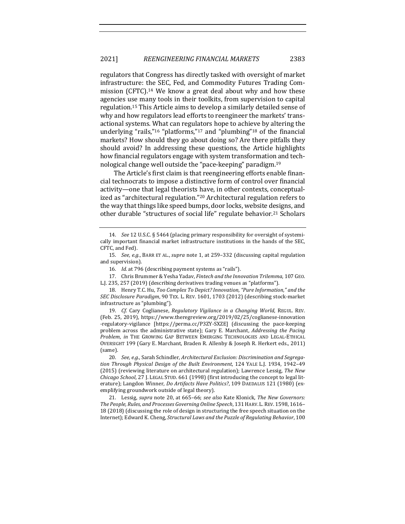regulators that Congress has directly tasked with oversight of market infrastructure: the SEC, Fed, and Commodity Futures Trading Commission (CFTC).<sup>14</sup> We know a great deal about why and how these agencies use many tools in their toolkits, from supervision to capital regulation.<sup>15</sup> This Article aims to develop a similarly detailed sense of why and how regulators lead efforts to reengineer the markets' transactional systems. What can regulators hope to achieve by altering the underlying "rails,"<sup>16</sup> "platforms,"<sup>17</sup> and "plumbing"<sup>18</sup> of the financial markets? How should they go about doing so? Are there pitfalls they should avoid? In addressing these questions, the Article highlights how financial regulators engage with system transformation and technological change well outside the "pace-keeping" paradigm.<sup>19</sup>

The Article's first claim is that reengineering efforts enable financial technocrats to impose a distinctive form of control over financial activity—one that legal theorists have, in other contexts, conceptualized as "architectural regulation."<sup>20</sup> Architectural regulation refers to the way that things like speed bumps, door locks, website designs, and other durable "structures of social life" regulate behavior.<sup>21</sup> Scholars

17. Chris Brummer & Yesha Yadav, *Fintech and the Innovation Trilemma*, 107 GEO. L.J. 235, 257 (2019) (describing derivatives trading venues as "platforms").

18. Henry T.C. Hu, *Too Complex To Depict? Innovation, "Pure Information," and the SEC Disclosure Paradigm*, 90 TEX. L. REV. 1601, 1703 (2012) (describing stock-market infrastructure as "plumbing").

19. *Cf.* Cary Coglianese, *Regulatory Vigilance in a Changing World*, REGUL. REV. (Feb. 25, 2019), https://www.theregreview.org/2019/02/25/coglianese-innovation -regulatory-vigilance [https://perma.cc/P3ZY-SXZE] (discussing the pace-keeping problem across the administrative state); Gary E. Marchant, *Addressing the Pacing Problem, in* THE GROWING GAP BETWEEN EMERGING TECHNOLOGIES AND LEGAL-ETHICAL OVERSIGHT 199 (Gary E. Marchant, Braden R. Allenby & Joseph R. Herkert eds., 2011) (same).

20. See, e.g., Sarah Schindler, Architectural Exclusion: Discrimination and Segregation Through Physical Design of the Built Environment, 124 YALE L.J. 1934, 1942-49 (2015) (reviewing literature on architectural regulation); Lawrence Lessig, The New *Chicago School*, 27 J. LEGAL STUD. 661 (1998) (first introducing the concept to legal literature); Langdon Winner, *Do Artifacts Have Politics?*, 109 DAEDALUS 121 (1980) (exemplifying groundwork outside of legal theory).

21. Lessig, *supra* note 20, at 665–66; *see also* Kate Klonick, *The New Governors:* The People, Rules, and Processes Governing Online Speech, 131 HARV. L. REV. 1598, 1616– 18 (2018) (discussing the role of design in structuring the free speech situation on the Internet); Edward K. Cheng, *Structural Laws and the Puzzle of Regulating Behavior*, 100

<sup>14.</sup> *See* 12 U.S.C. § 5464 (placing primary responsibility for oversight of systemically important financial market infrastructure institutions in the hands of the SEC, CFTC, and Fed).

<sup>15.</sup> *See, e.g.*, BARR ET AL., *supra* note 1, at 259-332 (discussing capital regulation and supervision).

<sup>16.</sup> *Id.* at 796 (describing payment systems as "rails").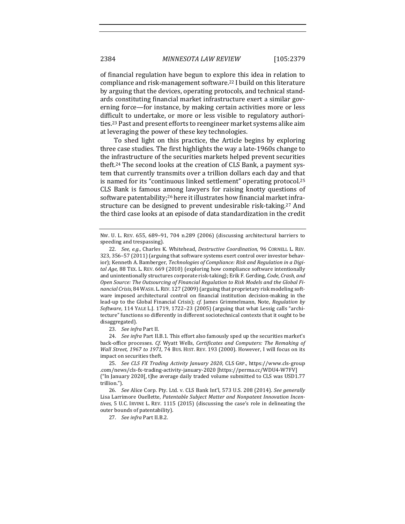of financial regulation have begun to explore this idea in relation to compliance and risk-management software.<sup>22</sup> I build on this literature by arguing that the devices, operating protocols, and technical standards constituting financial market infrastructure exert a similar governing force—for instance, by making certain activities more or less difficult to undertake, or more or less visible to regulatory authorities.<sup>23</sup> Past and present efforts to reengineer market systems alike aim at leveraging the power of these key technologies.

To shed light on this practice, the Article begins by exploring three case studies. The first highlights the way a late-1960s change to the infrastructure of the securities markets helped prevent securities theft.<sup>24</sup> The second looks at the creation of CLS Bank, a payment system that currently transmits over a trillion dollars each day and that is named for its "continuous linked settlement" operating protocol.<sup>25</sup> CLS Bank is famous among lawyers for raising knotty questions of software patentability;<sup>26</sup> here it illustrates how financial market infrastructure can be designed to prevent undesirable risk-taking.<sup>27</sup> And the third case looks at an episode of data standardization in the credit

23. *See infra* Part II.

24. *See infra* Part II.B.1. This effort also famously sped up the securities market's back-office processes. *Cf.* Wyatt Wells, *Certificates and Computers: The Remaking of Wall Street,* 1967 *to* 1971, 74 Bus. HIST. REV. 193 (2000). However, I will focus on its impact on securities theft.

25. *See CLS FX Trading Activity January 2020*, CLS GRP., https://www.cls-group .com/news/cls-fx-trading-activity-january-2020 [https://perma.cc/WDU4-W7FV] ("In January 2020[, t]he average daily traded volume submitted to CLS was USD1.77 trillion.").

26. *See* Alice Corp. Pty. Ltd. v. CLS Bank Int'l, 573 U.S. 208 (2014). *See generally* Lisa Larrimore Ouellette, Patentable Subject Matter and Nonpatent Innovation Incentives, 5 U.C. IRVINE L. REV. 1115 (2015) (discussing the case's role in delineating the outer bounds of patentability).

27. *See infra Part II.B.2.* 

NW. U. L. REV. 655, 689-91, 704 n.289 (2006) (discussing architectural barriers to speeding and trespassing).

<sup>22.</sup> *See, e.g.*, Charles K. Whitehead, *Destructive Coordination*, 96 CORNELL L. REV. 323, 356-57 (2011) (arguing that software systems exert control over investor behavior); Kenneth A. Bamberger, *Technologies of Compliance: Risk and Regulation in a Digital Age*, 88 TEX. L. REV. 669 (2010) (exploring how compliance software intentionally and unintentionally structures corporate risk-taking); Erik F. Gerding, *Code, Crash, and* Open Source: The Outsourcing of Financial Regulation to Risk Models and the Global Fi*nancial Crisis*, 84 WASH. L. REV. 127 (2009) (arguing that proprietary risk modeling software imposed architectural control on financial institution decision-making in the lead-up to the Global Financial Crisis); *cf.* James Grimmelmann, Note, *Regulation by Software*, 114 YALE L.J. 1719, 1722-23 (2005) (arguing that what Lessig calls "architecture" functions so differently in different sociotechnical contexts that it ought to be disaggregated).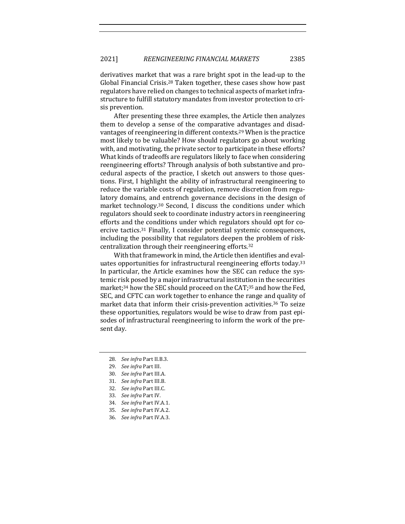derivatives market that was a rare bright spot in the lead-up to the Global Financial Crisis.<sup>28</sup> Taken together, these cases show how past regulators have relied on changes to technical aspects of market infrastructure to fulfill statutory mandates from investor protection to crisis prevention. 

After presenting these three examples, the Article then analyzes them to develop a sense of the comparative advantages and disadvantages of reengineering in different contexts.<sup>29</sup> When is the practice most likely to be valuable? How should regulators go about working with, and motivating, the private sector to participate in these efforts? What kinds of tradeoffs are regulators likely to face when considering reengineering efforts? Through analysis of both substantive and procedural aspects of the practice, I sketch out answers to those questions. First, I highlight the ability of infrastructural reengineering to reduce the variable costs of regulation, remove discretion from regulatory domains, and entrench governance decisions in the design of market technology.<sup>30</sup> Second, I discuss the conditions under which regulators should seek to coordinate industry actors in reengineering efforts and the conditions under which regulators should opt for coercive tactics.<sup>31</sup> Finally, I consider potential systemic consequences, including the possibility that regulators deepen the problem of riskcentralization through their reengineering efforts.<sup>32</sup>

With that framework in mind, the Article then identifies and evaluates opportunities for infrastructural reengineering efforts today.<sup>33</sup> In particular, the Article examines how the SEC can reduce the systemic risk posed by a major infrastructural institution in the securities market;<sup>34</sup> how the SEC should proceed on the CAT;<sup>35</sup> and how the Fed, SEC, and CFTC can work together to enhance the range and quality of market data that inform their crisis-prevention activities.<sup>36</sup> To seize these opportunities, regulators would be wise to draw from past episodes of infrastructural reengineering to inform the work of the present day.

- 28. *See infra Part II.B.3.*
- 29. *See infra* Part III.
- 30. *See infra Part III.A.*
- 31. *See infra* Part III.B.
- 32. *See infra Part III.C.*
- 33. *See infra Part IV.*
- 34. *See infra Part IV.A.1.*
- 35. *See infra Part IV.A.2.*
- 36. See infra Part IV.A.3.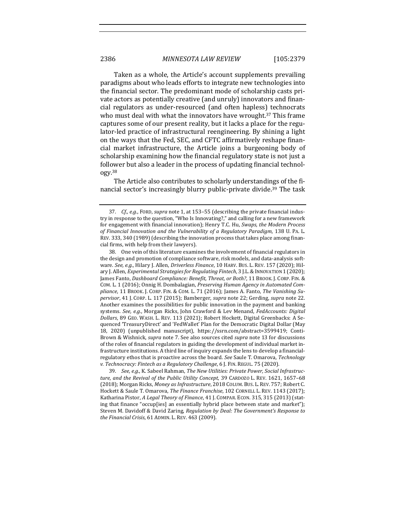Taken as a whole, the Article's account supplements prevailing paradigms about who leads efforts to integrate new technologies into the financial sector. The predominant mode of scholarship casts private actors as potentially creative (and unruly) innovators and financial regulators as under-resourced (and often hapless) technocrats who must deal with what the innovators have wrought.<sup>37</sup> This frame captures some of our present reality, but it lacks a place for the regulator-led practice of infrastructural reengineering. By shining a light on the ways that the Fed, SEC, and CFTC affirmatively reshape financial market infrastructure, the Article joins a burgeoning body of scholarship examining how the financial regulatory state is not just a follower but also a leader in the process of updating financial technology.38

The Article also contributes to scholarly understandings of the financial sector's increasingly blurry public-private divide.<sup>39</sup> The task

39. See, e.g., K. Sabeel Rahman, The New Utilities: Private Power, Social Infrastructure, and the Revival of the Public Utility Concept, 39 CARDOZO L. REV. 1621, 1657-68 (2018); Morgan Ricks, Money as Infrastructure, 2018 COLUM. BUS. L. REV. 757; Robert C. Hockett & Saule T. Omarova, *The Finance Franchise*, 102 CORNELL L. REV. 1143 (2017); Katharina Pistor, *A Legal Theory of Finance*, 41 J. COMPAR. ECON. 315, 315 (2013) (stating that finance "occup[ies] an essentially hybrid place between state and market"); Steven M. Davidoff & David Zaring, *Regulation by Deal: The Government's Response to the Financial Crisis*, 61 ADMIN. L. REV. 463 (2009).

<sup>37.</sup> *Cf., e.g.*, FORD, *supra* note 1, at 153-55 (describing the private financial industry in response to the question, "Who Is Innovating?," and calling for a new framework for engagement with financial innovation); Henry T.C. Hu, *Swaps, the Modern Process* of Financial Innovation and the Vulnerability of a Regulatory Paradigm, 138 U. PA. L. REV. 333, 340 (1989) (describing the innovation process that takes place among financial firms, with help from their lawyers).

<sup>38.</sup> One vein of this literature examines the involvement of financial regulators in the design and promotion of compliance software, risk models, and data-analysis software. See, e.g., Hilary J. Allen, Driverless Finance, 10 HARV. BUS. L. REV. 157 (2020); Hilary J. Allen, *Experimental Strategies for Regulating Fintech*, 3 J.L. & INNOVATION 1 (2020); James Fanto, *Dashboard Compliance: Benefit, Threat, or Both?*, 11 BROOK. J. CORP. FIN. & COM. L. 1 (2016); Onnig H. Dombalagian, *Preserving Human Agency in Automated Com*pliance, 11 BROOK. J. CORP. FIN. & COM. L. 71 (2016); James A. Fanto, The Vanishing Su*pervisor*, 41 J. CORP. L. 117 (2015); Bamberger, *supra* note 22; Gerding, *supra* note 22. Another examines the possibilities for public innovation in the payment and banking systems. See, e.g., Morgan Ricks, John Crawford & Lev Menand, *FedAccounts: Digital* Dollars, 89 GEO. WASH. L. REV. 113 (2021); Robert Hockett, Digital Greenbacks: A Sequenced 'TreasuryDirect' and 'FedWallet' Plan for the Democratic Digital Dollar (May 18, 2020) (unpublished manuscript), https://ssrn.com/abstract=3599419; Conti-Brown & Wishnick, *supra* note 7. See also sources cited *supra* note 13 for discussions of the roles of financial regulators in guiding the development of individual market infrastructure institutions. A third line of inquiry expands the lens to develop a financialregulatory ethos that is proactive across the board. See Saule T. Omarova, *Technology* v. Technocracy: Fintech as a Regulatory Challenge, 6 J. FIN. REGUL. 75 (2020).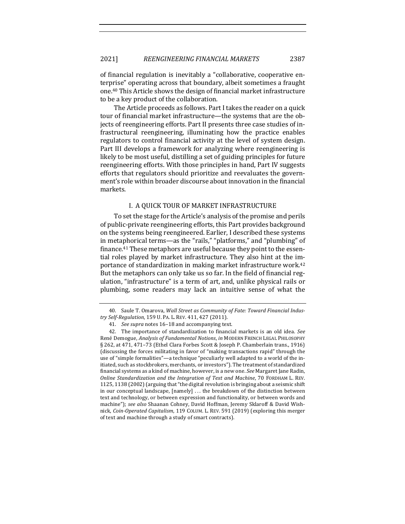of financial regulation is inevitably a "collaborative, cooperative enterprise" operating across that boundary, albeit sometimes a fraught one.<sup>40</sup> This Article shows the design of financial market infrastructure to be a key product of the collaboration.

The Article proceeds as follows. Part I takes the reader on a quick tour of financial market infrastructure—the systems that are the objects of reengineering efforts. Part II presents three case studies of infrastructural reengineering, illuminating how the practice enables regulators to control financial activity at the level of system design. Part III develops a framework for analyzing where reengineering is likely to be most useful, distilling a set of guiding principles for future reengineering efforts. With those principles in hand, Part IV suggests efforts that regulators should prioritize and reevaluates the government's role within broader discourse about innovation in the financial markets.

## I. A QUICK TOUR OF MARKET INFRASTRUCTURE

To set the stage for the Article's analysis of the promise and perils of public-private reengineering efforts, this Part provides background on the systems being reengineered. Earlier, I described these systems in metaphorical terms—as the "rails," "platforms," and "plumbing" of finance.<sup>41</sup> These metaphors are useful because they point to the essential roles played by market infrastructure. They also hint at the importance of standardization in making market infrastructure work.<sup>42</sup> But the metaphors can only take us so far. In the field of financial regulation, "infrastructure" is a term of art, and, unlike physical rails or plumbing, some readers may lack an intuitive sense of what the

<sup>40.</sup> Saule T. Omarova, *Wall Street as Community of Fate: Toward Financial Industry Self-Regulation*, 159 U. PA. L. REV. 411, 427 (2011).

<sup>41.</sup> *See supra* notes 16-18 and accompanying text.

<sup>42.</sup> The importance of standardization to financial markets is an old idea. See René Demogue, *Analysis of Fundamental Notions*, in MODERN FRENCH LEGAL PHILOSOPHY § 262, at 471, 471–73 (Ethel Clara Forbes Scott & Joseph P. Chamberlain trans., 1916) (discussing the forces militating in favor of "making transactions rapid" through the use of "simple formalities"—a technique "peculiarly well adapted to a world of the initiated, such as stockbrokers, merchants, or investors"). The treatment of standardized financial systems as a kind of machine, however, is a new one. See Margaret Jane Radin, *Online Standardization and the Integration of Text and Machine, 70 FORDHAM L. REV.* 1125, 1138 (2002) (arguing that "the digital revolution is bringing about a seismic shift in our conceptual landscape,  $[namely] \ldots$  the breakdown of the distinction between text and technology, or between expression and functionality, or between words and machine"); see also Shaanan Cohney, David Hoffman, Jeremy Sklaroff & David Wishnick, *Coin-Operated Capitalism*, 119 COLUM. L. REV. 591 (2019) (exploring this merger of text and machine through a study of smart contracts).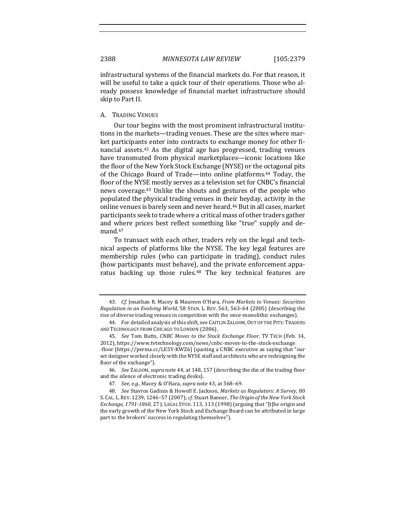infrastructural systems of the financial markets do. For that reason, it will be useful to take a quick tour of their operations. Those who already possess knowledge of financial market infrastructure should skip to Part II.

A. TRADING VENUES

Our tour begins with the most prominent infrastructural institutions in the markets—trading venues. These are the sites where market participants enter into contracts to exchange money for other financial assets.<sup>43</sup> As the digital age has progressed, trading venues have transmuted from physical marketplaces—iconic locations like the floor of the New York Stock Exchange (NYSE) or the octagonal pits of the Chicago Board of Trade—into online platforms.<sup>44</sup> Today, the floor of the NYSE mostly serves as a television set for CNBC's financial news coverage.<sup>45</sup> Unlike the shouts and gestures of the people who populated the physical trading venues in their heyday, activity in the online venues is barely seen and never heard.<sup>46</sup> But in all cases, market participants seek to trade where a critical mass of other traders gather and where prices best reflect something like "true" supply and demand. 47

To transact with each other, traders rely on the legal and technical aspects of platforms like the NYSE. The key legal features are membership rules (who can participate in trading), conduct rules (how participants must behave), and the private enforcement apparatus backing up those rules.<sup>48</sup> The key technical features are

<sup>43.</sup> *Cf.* Jonathan R. Macey & Maureen O'Hara, *From Markets to Venues: Securities Regulation in an Evolving World*, 58 STAN. L. REV. 563, 563-64 (2005) (describing the rise of diverse trading venues in competition with the once-monolithic exchanges).

<sup>44.</sup> For detailed analysis of this shift, see CAITLIN ZALOOM, OUT OF THE PITS: TRADERS AND TECHNOLOGY FROM CHICAGO TO LONDON (2006).

<sup>45.</sup> *See* Tom Butts, *CNBC Moves to the Stock Exchange Floor*, TV TECH (Feb. 14, 2012), https://www.tvtechnology.com/news/cnbc-moves-to-the-stock-exchange -floor [https://perma.cc/LE5Y-KWZ6] (quoting a CNBC executive as saying that "our set designer worked closely with the NYSE staff and architects who are redesigning the floor of the exchange").

<sup>46.</sup> *See ZALOOM, supra* note 44, at 148, 157 (describing the din of the trading floor and the silence of electronic trading desks).

<sup>47.</sup> *See, e.g.*, Macey & O'Hara, *supra* note 43, at 568-69.

<sup>48.</sup> *See* Stavros Gadinis & Howell E. Jackson, *Markets as Regulators: A Survey*, 80 S. CAL. L. REV. 1239, 1246–57 (2007); cf. Stuart Banner, *The Origin of the New York Stock Exchange, 1791-1860, 27 J. LEGAL STUD. 113, 113 (1998)* (arguing that "[t]he origin and the early growth of the New York Stock and Exchange Board can be attributed in large part to the brokers' success in regulating themselves").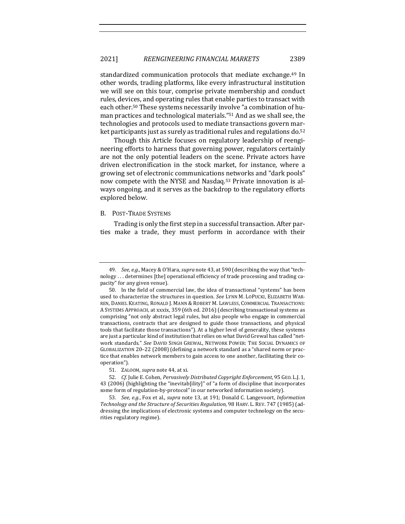standardized communication protocols that mediate exchange.<sup>49</sup> In other words, trading platforms, like every infrastructural institution we will see on this tour, comprise private membership and conduct rules, devices, and operating rules that enable parties to transact with each other.<sup>50</sup> These systems necessarily involve "a combination of human practices and technological materials."<sup>51</sup> And as we shall see, the technologies and protocols used to mediate transactions govern market participants just as surely as traditional rules and regulations do.<sup>52</sup>

Though this Article focuses on regulatory leadership of reengineering efforts to harness that governing power, regulators certainly are not the only potential leaders on the scene. Private actors have driven electronification in the stock market, for instance, where a growing set of electronic communications networks and "dark pools" now compete with the NYSE and Nasdaq.<sup>53</sup> Private innovation is always ongoing, and it serves as the backdrop to the regulatory efforts explored below.

#### B. POST-TRADE SYSTEMS

Trading is only the first step in a successful transaction. After parties make a trade, they must perform in accordance with their

<sup>49.</sup> *See, e.g.*, Macey & O'Hara, *supra* note 43, at 590 (describing the way that "technology ... determines [the] operational efficiency of trade processing and trading capacity" for any given venue).

<sup>50.</sup> In the field of commercial law, the idea of transactional "systems" has been used to characterize the structures in question. See LYNN M. LOPUCKI, ELIZABETH WAR-REN, DANIEL KEATING, RONALD J. MANN & ROBERT M. LAWLESS, COMMERCIAL TRANSACTIONS: A SYSTEMS APPROACH, at xxxix, 359 (6th ed. 2016) (describing transactional systems as comprising "not only abstract legal rules, but also people who engage in commercial transactions, contracts that are designed to guide those transactions, and physical tools that facilitate those transactions"). At a higher level of generality, these systems are just a particular kind of institution that relies on what David Grewal has called "network standards." See DAVID SINGH GREWAL, NETWORK POWER: THE SOCIAL DYNAMICS OF GLOBALIZATION 20-22 (2008) (defining a network standard as a "shared norm or practice that enables network members to gain access to one another, facilitating their cooperation").

<sup>51.</sup> ZALOOM, *supra* note 44, at xi.

<sup>52.</sup> *Cf.* Julie E. Cohen, *Pervasively Distributed Copyright Enforcement*, 95 GEO. L.J. 1, 43 (2006) (highlighting the "inevitab[ility]" of "a form of discipline that incorporates some form of regulation-by-protocol" in our networked information society).

<sup>53.</sup> *See, e.g.*, Fox et al., *supra* note 13, at 191; Donald C. Langevoort, *Information* Technology and the Structure of Securities Regulation, 98 HARV. L. REV. 747 (1985) (addressing the implications of electronic systems and computer technology on the securities regulatory regime).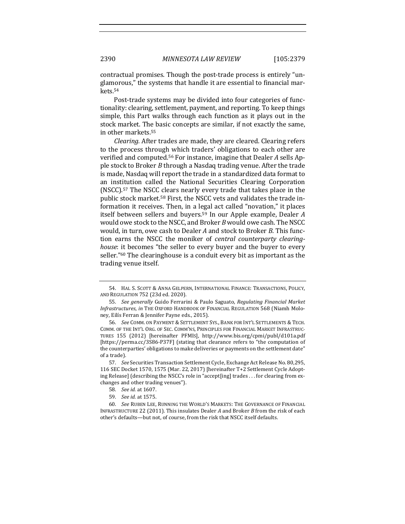contractual promises. Though the post-trade process is entirely "unglamorous," the systems that handle it are essential to financial markets.54

Post-trade systems may be divided into four categories of functionality: clearing, settlement, payment, and reporting. To keep things simple, this Part walks through each function as it plays out in the stock market. The basic concepts are similar, if not exactly the same, in other markets.<sup>55</sup>

*Clearing.* After trades are made, they are cleared. Clearing refers to the process through which traders' obligations to each other are verified and computed.<sup>56</sup> For instance, imagine that Dealer *A* sells Apple stock to Broker *B* through a Nasdaq trading venue. After the trade is made, Nasdaq will report the trade in a standardized data format to an institution called the National Securities Clearing Corporation (NSCC).<sup>57</sup> The NSCC clears nearly every trade that takes place in the public stock market.<sup>58</sup> First, the NSCC vets and validates the trade information it receives. Then, in a legal act called "novation," it places itself between sellers and buyers.<sup>59</sup> In our Apple example, Dealer A would owe stock to the NSCC, and Broker *B* would owe cash. The NSCC would, in turn, owe cash to Dealer *A* and stock to Broker *B*. This function earns the NSCC the moniker of *central counterparty clearinghouse*: it becomes "the seller to every buyer and the buyer to every seller."<sup>60</sup> The clearinghouse is a conduit every bit as important as the trading venue itself.

<sup>54.</sup> HAL S. SCOTT & ANNA GELPERN, INTERNATIONAL FINANCE: TRANSACTIONS, POLICY, AND REGULATION 752 (23d ed. 2020).

<sup>55.</sup> *See generally* Guido Ferrarini & Paulo Saguato, *Regulating Financial Market* Infrastructures, in THE OXFORD HANDBOOK OF FINANCIAL REGULATION 568 (Niamh Moloney, Eilís Ferran & Jennifer Payne eds., 2015).

<sup>56.</sup> *See* COMM. ON PAYMENT & SETTLEMENT SYS., BANK FOR INT'L SETTLEMENTS & TECH. COMM. OF THE INT'L ORG. OF SEC. COMM'NS, PRINCIPLES FOR FINANCIAL MARKET INFRASTRUC-TURES 155 (2012) [hereinafter PFMIS], http://www.bis.org/cpmi/publ/d101a.pdf [https://perma.cc/3S86-P37F] (stating that clearance refers to "the computation of the counterparties' obligations to make deliveries or payments on the settlement date" of a trade).

<sup>57.</sup> See Securities Transaction Settlement Cycle, Exchange Act Release No. 80,295, 116 SEC Docket 1570, 1575 (Mar. 22, 2017) [hereinafter T+2 Settlement Cycle Adopting Release] (describing the NSCC's role in "accept[ing] trades . . . for clearing from exchanges and other trading venues").

<sup>58.</sup> *See id.* at 1607.

<sup>59.</sup> *See id.* at 1575.

<sup>60.</sup> *See Ruben Lee, Running the World's Markets: The Governance of Financial* INFRASTRUCTURE 22 (2011). This insulates Dealer *A* and Broker *B* from the risk of each other's defaults-but not, of course, from the risk that NSCC itself defaults.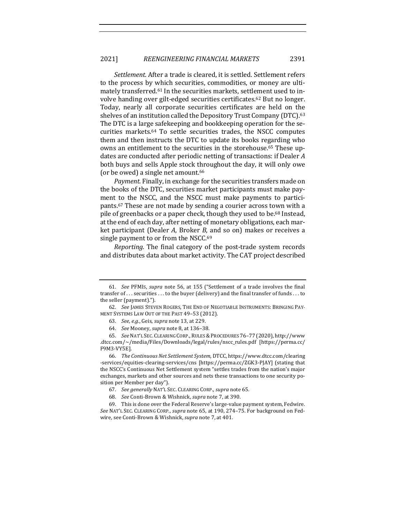*Settlement.* After a trade is cleared, it is settled. Settlement refers to the process by which securities, commodities, or money are ultimately transferred.<sup>61</sup> In the securities markets, settlement used to involve handing over gilt-edged securities certificates.<sup>62</sup> But no longer. Today, nearly all corporate securities certificates are held on the shelves of an institution called the Depository Trust Company (DTC).<sup>63</sup> The DTC is a large safekeeping and bookkeeping operation for the securities markets.<sup>64</sup> To settle securities trades, the NSCC computes them and then instructs the DTC to update its books regarding who owns an entitlement to the securities in the storehouse.<sup>65</sup> These updates are conducted after periodic netting of transactions: if Dealer A both buys and sells Apple stock throughout the day, it will only owe (or be owed) a single net amount.<sup>66</sup>

*Payment.* Finally, in exchange for the securities transfers made on the books of the DTC, securities market participants must make payment to the NSCC, and the NSCC must make payments to participants.<sup>67</sup> These are not made by sending a courier across town with a pile of greenbacks or a paper check, though they used to be.<sup>68</sup> Instead, at the end of each day, after netting of monetary obligations, each market participant (Dealer *A*, Broker *B*, and so on) makes or receives a single payment to or from the NSCC. $69$ 

*Reporting.* The final category of the post-trade system records and distributes data about market activity. The CAT project described

<sup>61.</sup> *See* PFMIS, *supra* note 56, at 155 ("Settlement of a trade involves the final transfer of  $\dots$  securities  $\dots$  to the buyer (delivery) and the final transfer of funds  $\dots$  to the seller (payment).").

<sup>62.</sup> See JAMES STEVEN ROGERS, THE END OF NEGOTIABLE INSTRUMENTS: BRINGING PAY-MENT SYSTEMS LAW OUT OF THE PAST 49-53 (2012).

<sup>63.</sup> *See, e.g.*, Geis, *supra* note 13, at 229.

<sup>64.</sup> *See* Mooney, *supra* note 8, at 136-38.

<sup>65.</sup> *See* NAT'L SEC. CLEARING CORP.,RULES &PROCEDURES 76–77 (2020), http://www .dtcc.com/~/media/Files/Downloads/legal/rules/nscc\_rules.pdf [https://perma.cc/ F9M3-VY5E].

<sup>66.</sup> *The Continuous Net Settlement System*, DTCC, https://www.dtcc.com/clearing -services/equities-clearing-services/cns [https://perma.cc/ZGK3-PJAY] (stating that the NSCC's Continuous Net Settlement system "settles trades from the nation's major exchanges, markets and other sources and nets these transactions to one security position per Member per day").

<sup>67.</sup> *See generally* NAT'L SEC. CLEARING CORP., *supra* note 65*.*

<sup>68.</sup> *See* Conti-Brown & Wishnick, *supra* note 7, at 390.

<sup>69.</sup> This is done over the Federal Reserve's large-value payment system, Fedwire. See NAT'L SEC. CLEARING CORP., *supra* note 65, at 190, 274–75. For background on Fedwire, see Conti-Brown & Wishnick, *supra* note 7, at 401.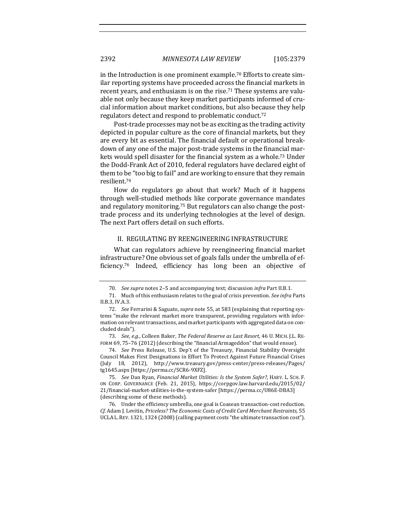in the Introduction is one prominent example.<sup>70</sup> Efforts to create similar reporting systems have proceeded across the financial markets in recent years, and enthusiasm is on the rise.<sup>71</sup> These systems are valuable not only because they keep market participants informed of crucial information about market conditions, but also because they help regulators detect and respond to problematic conduct.<sup>72</sup>

Post-trade processes may not be as exciting as the trading activity depicted in popular culture as the core of financial markets, but they are every bit as essential. The financial default or operational breakdown of any one of the major post-trade systems in the financial markets would spell disaster for the financial system as a whole.<sup>73</sup> Under the Dodd-Frank Act of 2010, federal regulators have declared eight of them to be "too big to fail" and are working to ensure that they remain resilient.74

How do regulators go about that work? Much of it happens through well-studied methods like corporate governance mandates and regulatory monitoring.<sup>75</sup> But regulators can also change the posttrade process and its underlying technologies at the level of design. The next Part offers detail on such efforts.

#### II. REGULATING BY REENGINEERING INFRASTRUCTURE

What can regulators achieve by reengineering financial market infrastructure? One obvious set of goals falls under the umbrella of efficiency.<sup>76</sup> Indeed, efficiency has long been an objective of

<sup>70.</sup> *See supra* notes 2-5 and accompanying text; discussion *infra* Part II.B.1.

<sup>71.</sup> Much of this enthusiasm relates to the goal of crisis prevention. See infra Parts II.B.3, IV.A.3.

<sup>72.</sup> *See* Ferrarini & Saguato, *supra* note 55, at 583 (explaining that reporting systems "make the relevant market more transparent, providing regulators with information on relevant transactions, and market participants with aggregated data on concluded deals").

<sup>73.</sup> *See, e.g.,* Colleen Baker, *The Federal Reserve as Last Resort*, 46 U. MICH. J.L. RE-FORM 69, 75-76 (2012) (describing the "financial Armageddon" that would ensue).

<sup>74.</sup> *See* Press Release, U.S. Dep't of the Treasury, Financial Stability Oversight Council Makes First Designations in Effort To Protect Against Future Financial Crises (July 18, 2012), http://www.treasury.gov/press-center/press-releases/Pages/ tg1645.aspx [https://perma.cc/SCR6-9XFZ].

<sup>75.</sup> *See Dan Ryan, Financial Market Utilities: Is the System Safer?*, HARV. L. SCH. F. ON CORP. GOVERNANCE (Feb. 21, 2015), https://corpgov.law.harvard.edu/2015/02/ 21/financial-market-utilities-is-the-system-safer [https://perma.cc/U86E-DBA3] (describing some of these methods).

<sup>76.</sup> Under the efficiency umbrella, one goal is Coasean transaction-cost reduction. *Cf.* Adam J. Levitin, *Priceless? The Economic Costs of Credit Card Merchant Restraints*, 55 UCLA L. REV.  $1321, 1324$  (2008) (calling payment costs "the ultimate transaction  $cost$ ").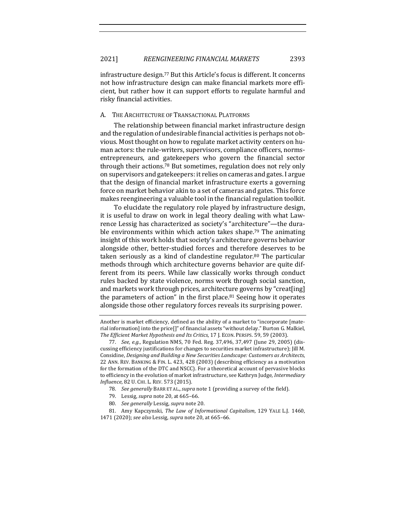infrastructure design.<sup>77</sup> But this Article's focus is different. It concerns not how infrastructure design can make financial markets more efficient, but rather how it can support efforts to regulate harmful and risky financial activities. 

#### A. THE ARCHITECTURE OF TRANSACTIONAL PLATFORMS

The relationship between financial market infrastructure design and the regulation of undesirable financial activities is perhaps not obvious. Most thought on how to regulate market activity centers on human actors: the rule-writers, supervisors, compliance officers, normsentrepreneurs, and gatekeepers who govern the financial sector through their actions.<sup>78</sup> But sometimes, regulation does not rely only on supervisors and gatekeepers: it relies on cameras and gates. I argue that the design of financial market infrastructure exerts a governing force on market behavior akin to a set of cameras and gates. This force makes reengineering a valuable tool in the financial regulation toolkit.

To elucidate the regulatory role played by infrastructure design, it is useful to draw on work in legal theory dealing with what Lawrence Lessig has characterized as society's "architecture"—the durable environments within which action takes shape.<sup>79</sup> The animating insight of this work holds that society's architecture governs behavior alongside other, better-studied forces and therefore deserves to be taken seriously as a kind of clandestine regulator.<sup>80</sup> The particular methods through which architecture governs behavior are quite different from its peers. While law classically works through conduct rules backed by state violence, norms work through social sanction, and markets work through prices, architecture governs by "creat[ing] the parameters of action" in the first place. $81$  Seeing how it operates alongside those other regulatory forces reveals its surprising power.

- 78. *See generally* BARR ET AL., *supra* note 1 (providing a survey of the field).
- 79. Lessig, *supra* note 20, at 665-66.
- 80. *See generally* Lessig, *supra* note 20.
- 81. Amy Kapczynski, *The Law of Informational Capitalism*, 129 YALE L.J. 1460, 1471 (2020); see also Lessig, *supra* note 20, at 665-66.

Another is market efficiency, defined as the ability of a market to "incorporate [material information] into the price[]" of financial assets "without delay." Burton G. Malkiel, The Efficient Market Hypothesis and Its Critics, 17 J. ECON. PERSPS. 59, 59 (2003).

<sup>77.</sup> *See, e.g.*, Regulation NMS, 70 Fed. Reg. 37,496, 37,497 (June 29, 2005) (discussing efficiency justifications for changes to securities market infrastructure); Jill M. Considine, *Designing and Building a New Securities Landscape: Customers as Architects*, 22 ANN. REV. BANKING & FIN. L. 423, 428 (2003) (describing efficiency as a motivation for the formation of the DTC and NSCC). For a theoretical account of pervasive blocks to efficiency in the evolution of market infrastructure, see Kathryn Judge, *Intermediary Influence*, 82 U. CHI. L. REV. 573 (2015).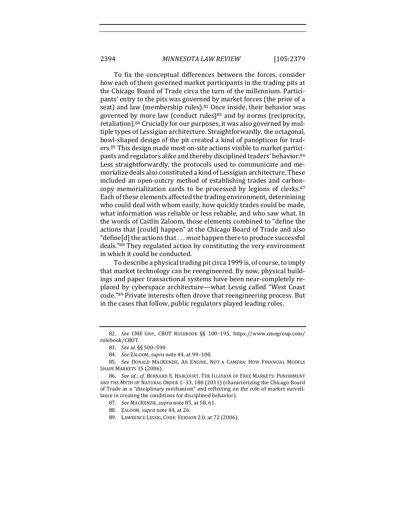To fix the conceptual differences between the forces, consider how each of them governed market participants in the trading pits at the Chicago Board of Trade circa the turn of the millennium. Participants' entry to the pits was governed by market forces (the price of a seat) and law (membership rules).<sup>82</sup> Once inside, their behavior was governed by more law (conduct rules)<sup>83</sup> and by norms (reciprocity, retaliation). $84$  Crucially for our purposes, it was also governed by multiple types of Lessigian architecture. Straightforwardly, the octagonal, bowl-shaped design of the pit created a kind of panopticon for traders.<sup>85</sup> This design made most on-site actions visible to market participants and regulators alike and thereby disciplined traders' behavior.<sup>86</sup> Less straightforwardly, the protocols used to communicate and memorialize deals also constituted a kind of Lessigian architecture. These included an open-outcry method of establishing trades and carboncopy memorialization cards to be processed by legions of clerks.<sup>87</sup> Each of these elements affected the trading environment, determining who could deal with whom easily, how quickly trades could be made, what information was reliable or less reliable, and who saw what. In the words of Caitlin Zaloom, those elements combined to "define the actions that [could] happen" at the Chicago Board of Trade and also "define[d] the actions that . . . *must* happen there to produce successful deals."<sup>88</sup> They regulated action by constituting the very environment in which it could be conducted.

To describe a physical trading pit circa 1999 is, of course, to imply that market technology can be reengineered. By now, physical buildings and paper transactional systems have been near-completely replaced by cyberspace architecture—what Lessig called "West Coast code."<sup>89</sup> Private interests often drove that reengineering process. But in the cases that follow, public regulators played leading roles.

<sup>82.</sup> See CME GRP., CBOT RULEBOOK §§ 100-195, https://www.cmegroup.com/ rulebook/CBOT.

<sup>83.</sup> *See id.* §§ 500–590.

<sup>84.</sup> *See ZALOOM, supra note* 44, at 99-100.

<sup>85.</sup> *See* DONALD MACKENZIE, AN ENGINE, NOT A CAMERA: HOW FINANCIAL MODELS SHAPE MARKETS 15 (2006).

<sup>86.</sup> *See id.; cf.* BERNARD E. HARCOURT, THE ILLUSION OF FREE MARKETS: PUNISHMENT AND THE MYTH OF NATURAL ORDER 1-33, 180 (2011) (characterizing the Chicago Board of Trade as a "disciplinary mechanism" and reflecting on the role of market surveillance in creating the conditions for disciplined behavior).

<sup>87.</sup> *See* MACKENZIE,*supra* note 85, at 58, 61.

<sup>88.</sup> ZALOOM, *supra* note 44, at 26.

<sup>89.</sup> LAWRENCE LESSIG, CODE: VERSION 2.0, at 72 (2006).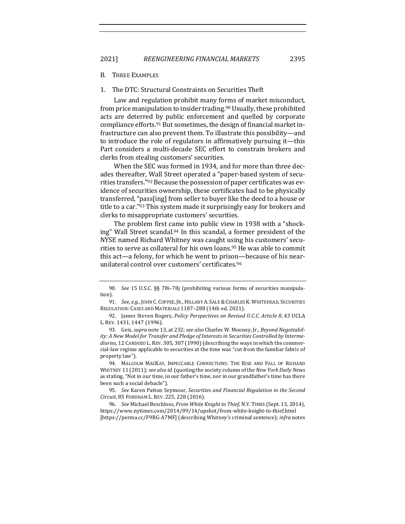B. THREE EXAMPLES

# 1. The DTC: Structural Constraints on Securities Theft

Law and regulation prohibit many forms of market misconduct, from price manipulation to insider trading.<sup>90</sup> Usually, these prohibited acts are deterred by public enforcement and quelled by corporate compliance efforts.<sup>91</sup> But sometimes, the design of financial market infrastructure can also prevent them. To illustrate this possibility—and to introduce the role of regulators in affirmatively pursuing it—this Part considers a multi-decade SEC effort to constrain brokers and clerks from stealing customers' securities.

When the SEC was formed in 1934, and for more than three decades thereafter, Wall Street operated a "paper-based system of securities transfers."<sup>92</sup> Because the possession of paper certificates was evidence of securities ownership, these certificates had to be physically transferred, "pass[ing] from seller to buyer like the deed to a house or title to a car."93 This system made it surprisingly easy for brokers and clerks to misappropriate customers' securities.

The problem first came into public view in 1938 with a "shocking" Wall Street scandal.<sup>94</sup> In this scandal, a former president of the NYSE named Richard Whitney was caught using his customers' securities to serve as collateral for his own loans.<sup>95</sup> He was able to commit this act—a felony, for which he went to prison—because of his nearunilateral control over customers' certificates.<sup>96</sup>

<sup>90.</sup> *See* 15 U.S.C. §§ 78i-78j (prohibiting various forms of securities manipulation).

<sup>91.</sup> *See, e.g.*, JOHN C. COFFEE, JR., HILLARY A. SALE & CHARLES K. WHITEHEAD, SECURITIES REGULATION: CASES AND MATERIALS 1187-288 (14th ed. 2021).

<sup>92.</sup> James Steven Rogers, *Policy Perspectives on Revised U.C.C. Article 8*, 43 UCLA L. REV. 1431, 1447 (1996).

<sup>93.</sup> Geis, *supra* note 13, at 232; *see also* Charles W. Mooney, Jr., *Beyond Negotiabil*ity: A New Model for Transfer and Pledge of Interests in Securities Controlled by Intermediaries, 12 CARDOZO L. REV. 305, 307 (1990) (describing the ways in which the commercial-law regime applicable to securities at the time was "cut from the familiar fabric of property law").

<sup>94.</sup> MALCOLM MACKAY, IMPECCABLE CONNECTIONS: THE RISE AND FALL OF RICHARD WHITNEY 11 (2011); see also id. (quoting the society column of the New York Daily News as stating, "Not in our time, in our father's time, nor in our grandfather's time has there been such a social debacle").

<sup>95.</sup> *See* Karen Patton Seymour, *Securities and Financial Regulation in the Second Circuit*, 85 FORDHAM L. REV. 225, 228 (2016).

<sup>96.</sup> *See* Michael Beschloss, *From White Knight to Thief*, N.Y. TIMES (Sept. 13, 2014), https://www.nytimes.com/2014/09/14/upshot/from-white-knight-to-thief.html [https://perma.cc/F9RG-A7MF] (describing Whitney's criminal sentence); *infra* notes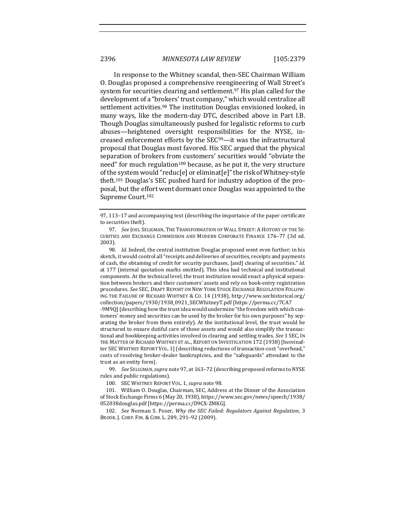In response to the Whitney scandal, then-SEC Chairman William O. Douglas proposed a comprehensive reengineering of Wall Street's system for securities clearing and settlement.<sup>97</sup> His plan called for the development of a "brokers' trust company," which would centralize all settlement activities.<sup>98</sup> The institution Douglas envisioned looked, in many ways, like the modern-day DTC, described above in Part I.B. Though Douglas simultaneously pushed for legalistic reforms to curb abuses—heightened oversight responsibilities for the NYSE, increased enforcement efforts by the  $SEC<sup>99</sup>$ —it was the infrastructural proposal that Douglas most favored. His SEC argued that the physical separation of brokers from customers' securities would "obviate the need" for much regulation<sup>100</sup> because, as he put it, the very structure of the system would "reduc[e] or eliminat[e]" the risk of Whitney-style theft.<sup>101</sup> Douglas's SEC pushed hard for industry adoption of the proposal, but the effort went dormant once Douglas was appointed to the Supreme Court.<sup>102</sup>

-9M9Q] (describing how the trust idea would undermine "the freedom with which customers' money and securities can be used by the broker for his own purposes" by separating the broker from them entirely). At the institutional level, the trust would be structured to ensure dutiful care of those assets and would also simplify the transactional and bookkeeping activities involved in clearing and settling trades. See 1 SEC, IN THE MATTER OF RICHARD WHITNEY ET AL., REPORT ON INVESTIGATION 172 (1938) [hereinafter SEC WHITNEY REPORT VOL. 1] (describing reductions of transaction-cost "overhead," costs of resolving broker-dealer bankruptcies, and the "safeguards" attendant to the trust as an entity form).

99. See SELIGMAN, supra note 97, at 163-72 (describing proposed reforms to NYSE rules and public regulations).

100. SEC WHITNEY REPORT VOL. 1, *supra* note 98.

101. William O. Douglas, Chairman, SEC, Address at the Dinner of the Association of Stock Exchange Firms 6 (May 20, 1938), https://www.sec.gov/news/speech/1938/ 052038douglas.pdf [https://perma.cc/D9CX-ZMKG].

102. *See* Norman S. Poser, *Why the SEC Failed: Regulators Against Regulation, 3* BROOK. J. CORP. FIN. & COM. L. 289, 291-92 (2009).

<sup>97, 113-17</sup> and accompanying text (describing the importance of the paper certificate to securities theft).

<sup>97.</sup> *See* JOEL SELIGMAN, THE TRANSFORMATION OF WALL STREET: A HISTORY OF THE SE-CURITIES AND EXCHANGE COMMISSION AND MODERN CORPORATE FINANCE 176-77 (3d ed. 2003).

<sup>98.</sup> *Id.* Indeed, the central institution Douglas proposed went even further; in his sketch, it would control all "receipts and deliveries of securities, receipts and payments of cash, the obtaining of credit for security purchases, [and] clearing of securities." *Id.* at 177 (internal quotation marks omitted). This idea had technical and institutional components. At the technical level, the trust institution would enact a physical separation between brokers and their customers' assets and rely on book-entry registration procedures. See SEC, DRAFT REPORT ON NEW YORK STOCK EXCHANGE REGULATION FOLLOW-ING THE FAILURE OF RICHARD WHITNEY & Co. 14 (1938), http://www.sechistorical.org/ collection/papers/1930/1938\_0921\_SECWhitneyT.pdf [https://perma.cc/7CA7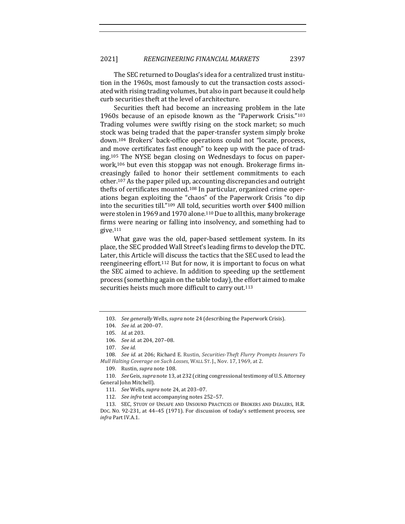The SEC returned to Douglas's idea for a centralized trust institution in the 1960s, most famously to cut the transaction costs associated with rising trading volumes, but also in part because it could help curb securities theft at the level of architecture.

Securities theft had become an increasing problem in the late 1960s because of an episode known as the "Paperwork Crisis."103 Trading volumes were swiftly rising on the stock market; so much stock was being traded that the paper-transfer system simply broke down.<sup>104</sup> Brokers' back-office operations could not "locate, process, and move certificates fast enough" to keep up with the pace of trading.<sup>105</sup> The NYSE began closing on Wednesdays to focus on paperwork,<sup>106</sup> but even this stopgap was not enough. Brokerage firms increasingly failed to honor their settlement commitments to each other.<sup>107</sup> As the paper piled up, accounting discrepancies and outright thefts of certificates mounted.<sup>108</sup> In particular, organized crime operations began exploiting the "chaos" of the Paperwork Crisis "to dip into the securities till."<sup>109</sup> All told, securities worth over \$400 million were stolen in 1969 and 1970 alone.<sup>110</sup> Due to all this, many brokerage firms were nearing or falling into insolvency, and something had to give.111

What gave was the old, paper-based settlement system. In its place, the SEC prodded Wall Street's leading firms to develop the DTC. Later, this Article will discuss the tactics that the SEC used to lead the reengineering effort.<sup>112</sup> But for now, it is important to focus on what the SEC aimed to achieve. In addition to speeding up the settlement process (something again on the table today), the effort aimed to make securities heists much more difficult to carry out.<sup>113</sup>

108. *See id.* at 206; Richard E. Rustin, *Securities-Theft Flurry Prompts Insurers To Mull Halting Coverage on Such Losses, WALL ST. J., Nov.* 17, 1969, at 2.

109. Rustin, *supra* note 108.

110. *See* Geis, *supra* note 13, at 232 (citing congressional testimony of U.S. Attorney General John Mitchell).

113. SEC, STUDY OF UNSAFE AND UNSOUND PRACTICES OF BROKERS AND DEALERS, H.R. Doc. No. 92-231, at 44-45 (1971). For discussion of today's settlement process, see *infra* Part IV.A.1.

<sup>103.</sup> See generally Wells, supra note 24 (describing the Paperwork Crisis).

<sup>104.</sup> *See id.* at 200-07.

<sup>105.</sup> *Id.* at 203.

<sup>106.</sup> *See id.* at 204, 207-08.

<sup>107.</sup> *See id.*

<sup>111.</sup> *See* Wells, *supra* note 24, at 203-07.

<sup>112.</sup> See infra text accompanying notes 252-57.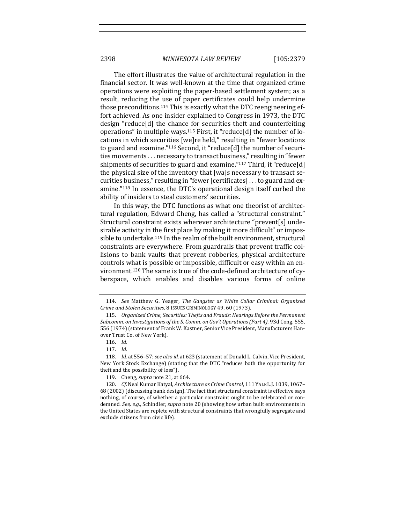The effort illustrates the value of architectural regulation in the financial sector. It was well-known at the time that organized crime operations were exploiting the paper-based settlement system; as a result, reducing the use of paper certificates could help undermine those preconditions.<sup>114</sup> This is exactly what the DTC reengineering effort achieved. As one insider explained to Congress in 1973, the DTC design "reduce[d] the chance for securities theft and counterfeiting operations" in multiple ways.<sup>115</sup> First, it "reduce[d] the number of locations in which securities [we]re held," resulting in "fewer locations to guard and examine."<sup>116</sup> Second, it "reduce[d] the number of securities movements . . . necessary to transact business," resulting in "fewer shipments of securities to guard and examine."<sup>117</sup> Third, it "reduce[d] the physical size of the inventory that [wa]s necessary to transact securities business," resulting in "fewer [certificates] . . . to guard and examine."<sup>118</sup> In essence, the DTC's operational design itself curbed the ability of insiders to steal customers' securities.

In this way, the DTC functions as what one theorist of architectural regulation, Edward Cheng, has called a "structural constraint." Structural constraint exists wherever architecture "prevent[s] undesirable activity in the first place by making it more difficult" or impossible to undertake.<sup>119</sup> In the realm of the built environment, structural constraints are everywhere. From guardrails that prevent traffic collisions to bank vaults that prevent robberies, physical architecture controls what is possible or impossible, difficult or easy within an environment.<sup>120</sup> The same is true of the code-defined architecture of cyberspace, which enables and disables various forms of online

<sup>114.</sup> See Matthew G. Yeager, The Gangster as White Collar Criminal: Organized *Crime and Stolen Securities*, 8 ISSUES CRIMINOLOGY 49, 60 (1973).

<sup>115.</sup> Organized Crime, Securities: Thefts and Frauds: Hearings Before the Permanent *Subcomm.* on Investigations of the *S. Comm.* on Gov't Operations (Part 4), 93d Cong. 555, 556 (1974) (statement of Frank W. Kastner, Senior Vice President, Manufacturers Hanover Trust Co. of New York).

<sup>116.</sup> *Id.*

<sup>117.</sup> *Id.*

<sup>118.</sup> *Id.* at 556-57; see also id. at 623 (statement of Donald L. Calvin, Vice President, New York Stock Exchange) (stating that the DTC "reduces both the opportunity for theft and the possibility of loss").

<sup>119.</sup> Cheng, *supra* note 21, at 664.

<sup>120.</sup> *Cf.* Neal Kumar Katyal, *Architecture as Crime Control*, 111 YALE L.J. 1039, 1067-68 (2002) (discussing bank design). The fact that structural constraint is effective says nothing, of course, of whether a particular constraint ought to be celebrated or condemned. See, e.g., Schindler, *supra* note 20 (showing how urban built environments in the United States are replete with structural constraints that wrongfully segregate and exclude citizens from civic life).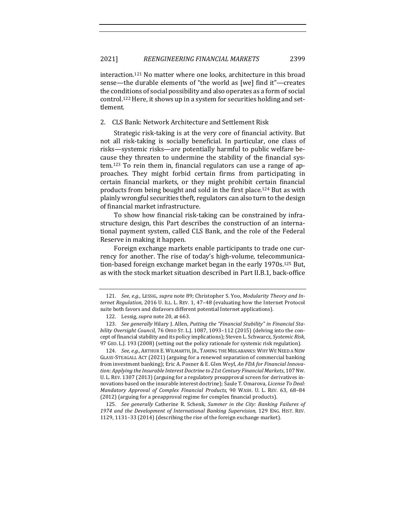interaction.<sup>121</sup> No matter where one looks, architecture in this broad sense—the durable elements of "the world as [we] find it"—creates the conditions of social possibility and also operates as a form of social control.<sup>122</sup> Here, it shows up in a system for securities holding and settlement.

#### 2. CLS Bank: Network Architecture and Settlement Risk

Strategic risk-taking is at the very core of financial activity. But not all risk-taking is socially beneficial. In particular, one class of risks—systemic risks—are potentially harmful to public welfare because they threaten to undermine the stability of the financial sys $tem.123$  To rein them in, financial regulators can use a range of approaches. They might forbid certain firms from participating in certain financial markets, or they might prohibit certain financial products from being bought and sold in the first place.<sup>124</sup> But as with plainly wrongful securities theft, regulators can also turn to the design of financial market infrastructure.

To show how financial risk-taking can be constrained by infrastructure design, this Part describes the construction of an international payment system, called CLS Bank, and the role of the Federal Reserve in making it happen.

Foreign exchange markets enable participants to trade one currency for another. The rise of today's high-volume, telecommunication-based foreign exchange market began in the early 1970s.<sup>125</sup> But, as with the stock market situation described in Part II.B.1, back-office

<sup>121.</sup> *See, e.g.*, LESSIG, *supra* note 89; Christopher S. Yoo, *Modularity Theory and Internet Regulation,* 2016 U. ILL. L. REV. 1, 47-48 (evaluating how the Internet Protocol suite both favors and disfavors different potential Internet applications).

<sup>122.</sup> Lessig, *supra* note 20, at 663.

<sup>123.</sup> See generally Hilary J. Allen, Putting the "Financial Stability" in Financial Sta*bility* Oversight Council, 76 OHIO ST. L.J. 1087, 1093-112 (2015) (delving into the concept of financial stability and its policy implications); Steven L. Schwarcz, *Systemic Risk*, 97 GEO. L.J. 193 (2008) (setting out the policy rationale for systemic risk regulation).

<sup>124.</sup> *See, e.g.*, ARTHUR E. WILMARTH, JR., TAMING THE MEGABANKS: WHY WE NEED A NEW GLASS-STEAGALL ACT (2021) (arguing for a renewed separation of commercial banking from investment banking); Eric A. Posner & E. Glen Weyl, *An FDA for Financial Innova*tion: Applying the Insurable Interest Doctrine to 21st Century Financial Markets, 107 Nw. U. L. REV. 1307 (2013) (arguing for a regulatory preapproval screen for derivatives innovations based on the insurable interest doctrine); Saule T. Omarova, *License To Deal: Mandatory Approval of Complex Financial Products*, 90 WASH. U. L. REV. 63, 68–84 (2012) (arguing for a preapproval regime for complex financial products).

<sup>125.</sup> *See generally* Catherine R. Schenk, Summer in the City: Banking Failures of 1974 and the Development of International Banking Supervision, 129 ENG. HIST. REV. 1129, 1131-33 (2014) (describing the rise of the foreign exchange market).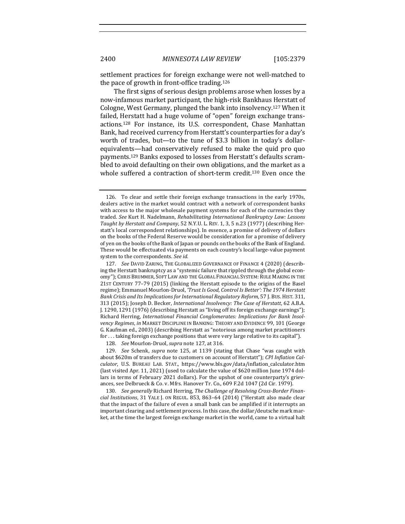settlement practices for foreign exchange were not well-matched to the pace of growth in front-office trading. $126$ 

The first signs of serious design problems arose when losses by a now-infamous market participant, the high-risk Bankhaus Herstatt of Cologne, West Germany, plunged the bank into insolvency.<sup>127</sup> When it failed, Herstatt had a huge volume of "open" foreign exchange transactions.<sup>128</sup> For instance, its U.S. correspondent, Chase Manhattan Bank, had received currency from Herstatt's counterparties for a day's worth of trades, but—to the tune of \$3.3 billion in today's dollarequivalents—had conservatively refused to make the quid pro quo payments.<sup>129</sup> Banks exposed to losses from Herstatt's defaults scrambled to avoid defaulting on their own obligations, and the market as a whole suffered a contraction of short-term credit.<sup>130</sup> Even once the

128. *See* Mourlon-Druol, *supra* note 127, at 316.

129. *See* Schenk, *supra* note 125, at 1139 (stating that Chase "was caught with about \$620m of transfers due to customers on account of Herstatt"); *CPI Inflation Calculator*, U.S. BUREAU LAB. STAT., https://www.bls.gov/data/inflation\_calculator.htm (last visited Apr. 11, 2021) (used to calculate the value of \$620 million June 1974 dollars in terms of February 2021 dollars). For the upshot of one counterparty's grievances, see Delbrueck & Co. v. Mfrs. Hanover Tr. Co., 609 F.2d 1047 (2d Cir. 1979).

130. See generally Richard Herring, The Challenge of Resolving Cross-Border Finan*cial Institutions*, 31 YALE J. ON REGUL. 853, 863-64 (2014) ("Herstatt also made clear that the impact of the failure of even a small bank can be amplified if it interrupts an important clearing and settlement process. In this case, the dollar/deutsche mark market, at the time the largest foreign exchange market in the world, came to a virtual halt

<sup>126.</sup> To clear and settle their foreign exchange transactions in the early 1970s, dealers active in the market would contract with a network of correspondent banks with access to the major wholesale payment systems for each of the currencies they traded. See Kurt H. Nadelmann, Rehabilitating International Bankruptcy Law: Lessons *Taught by Herstatt and Company*, 52 N.Y.U. L. REV. 1, 3, 5 n.23 (1977) (describing Herstatt's local correspondent relationships). In essence, a promise of delivery of dollars on the books of the Federal Reserve would be consideration for a promise of delivery of yen on the books of the Bank of Japan or pounds on the books of the Bank of England. These would be effectuated via payments on each country's local large-value payment system to the correspondents. See id.

<sup>127.</sup> *See* DAVID ZARING, THE GLOBALIZED GOVERNANCE OF FINANCE 4 (2020) (describing the Herstatt bankruptcy as a "systemic failure that rippled through the global economy"); CHRIS BRUMMER, SOFT LAW AND THE GLOBAL FINANCIAL SYSTEM: RULE MAKING IN THE 21ST CENTURY 77-79 (2015) (linking the Herstatt episode to the origins of the Basel regime); Emmanuel Mourlon-Druol, 'Trust Is Good, Control Is Better': The 1974 Herstatt *Bank Crisis and Its Implications for International Regulatory Reform*, 57 J. BUS. HIST. 311, 313 (2015); Joseph D. Becker, *International Insolvency: The Case of Herstatt*, 62 A.B.A. J. 1290, 1291 (1976) (describing Herstatt as "living off its foreign exchange earnings"); Richard Herring, *International Financial Conglomerates: Implications for Bank Insolvency Regimes, in* MARKET DISCIPLINE IN BANKING: THEORY AND EVIDENCE 99, 101 (George G. Kaufman ed., 2003) (describing Herstatt as "notorious among market practitioners for ... taking foreign exchange positions that were very large relative to its capital").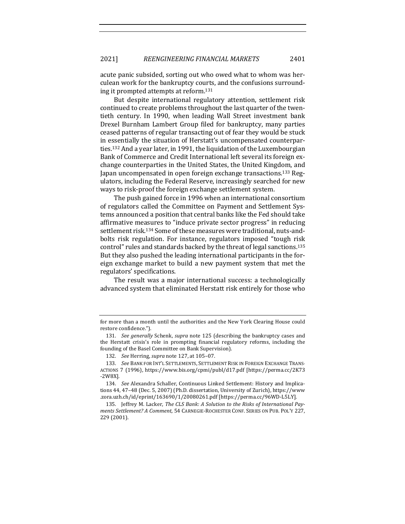acute panic subsided, sorting out who owed what to whom was herculean work for the bankruptcy courts, and the confusions surrounding it prompted attempts at reform.<sup>131</sup>

But despite international regulatory attention, settlement risk continued to create problems throughout the last quarter of the twentieth century. In 1990, when leading Wall Street investment bank Drexel Burnham Lambert Group filed for bankruptcy, many parties ceased patterns of regular transacting out of fear they would be stuck in essentially the situation of Herstatt's uncompensated counterparties.<sup>132</sup> And a year later, in 1991, the liquidation of the Luxembourgian Bank of Commerce and Credit International left several its foreign exchange counterparties in the United States, the United Kingdom, and Japan uncompensated in open foreign exchange transactions.<sup>133</sup> Regulators, including the Federal Reserve, increasingly searched for new ways to risk-proof the foreign exchange settlement system.

The push gained force in 1996 when an international consortium of regulators called the Committee on Payment and Settlement Systems announced a position that central banks like the Fed should take affirmative measures to "induce private sector progress" in reducing settlement risk.<sup>134</sup> Some of these measures were traditional, nuts-andbolts risk regulation. For instance, regulators imposed "tough risk control" rules and standards backed by the threat of legal sanctions.<sup>135</sup> But they also pushed the leading international participants in the foreign exchange market to build a new payment system that met the regulators' specifications.

The result was a major international success: a technologically advanced system that eliminated Herstatt risk entirely for those who

for more than a month until the authorities and the New York Clearing House could restore confidence.").

<sup>131.</sup> *See generally* Schenk, *supra* note 125 (describing the bankruptcy cases and the Herstatt crisis's role in prompting financial regulatory reforms, including the founding of the Basel Committee on Bank Supervision).

<sup>132.</sup> *See* Herring, *supra* note 127, at 105-07.

<sup>133.</sup> See BANK FOR INT'L SETTLEMENTS, SETTLEMENT RISK IN FOREIGN EXCHANGE TRANS-ACTIONS 7 (1996), https://www.bis.org/cpmi/publ/d17.pdf [https://perma.cc/2K73 -2W8X].

<sup>134.</sup> *See* Alexandra Schaller, Continuous Linked Settlement: History and Implications 44, 47-48 (Dec. 5, 2007) (Ph.D. dissertation, University of Zurich), https://www .zora.uzh.ch/id/eprint/163690/1/20080261.pdf [https://perma.cc/96WD-L5LY].

<sup>135.</sup> Jeffrey M. Lacker, *The CLS Bank: A Solution to the Risks of International Payments Settlement? A Comment*, 54 CARNEGIE-ROCHESTER CONF. SERIES ON PUB. POL'Y 227, 229 (2001).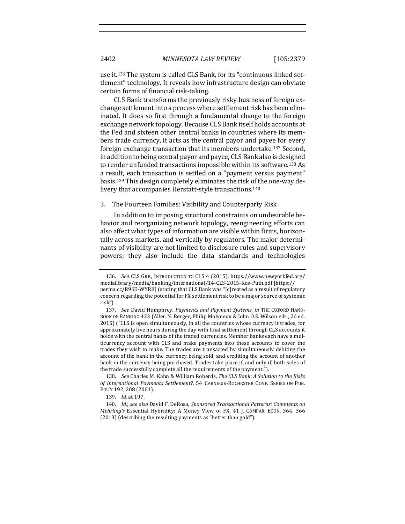use it.<sup>136</sup> The system is called CLS Bank, for its "continuous linked settlement" technology. It reveals how infrastructure design can obviate certain forms of financial risk-taking.

CLS Bank transforms the previously risky business of foreign exchange settlement into a process where settlement risk has been eliminated. It does so first through a fundamental change to the foreign exchange network topology. Because CLS Bank itself holds accounts at the Fed and sixteen other central banks in countries where its members trade currency, it acts as the central payor and payee for every foreign exchange transaction that its members undertake.<sup>137</sup> Second, in addition to being central payor and payee, CLS Bank also is designed to render unfunded transactions impossible within its software.<sup>138</sup> As a result, each transaction is settled on a "payment versus payment" basis.<sup>139</sup> This design completely eliminates the risk of the one-way delivery that accompanies Herstatt-style transactions.<sup>140</sup>

## 3. The Fourteen Families: Visibility and Counterparty Risk

In addition to imposing structural constraints on undesirable behavior and reorganizing network topology, reengineering efforts can also affect what types of information are visible within firms, horizontally across markets, and vertically by regulators. The major determinants of visibility are not limited to disclosure rules and supervisory powers; they also include the data standards and technologies

<sup>136.</sup> *See* CLS GRP., INTRODUCTION TO CLS 4 (2015), https://www.newyorkfed.org/ medialibrary/media/banking/international/14-CLS-2015-Kos-Puth.pdf [https:// perma.cc/R96E-WYRK] (stating that CLS Bank was "[c]reated as a result of regulatory concern regarding the potential for FX settlement risk to be a major source of systemic risk").

<sup>137.</sup> *See* David Humphrey, *Payments and Payment Systems*, *in* THE OXFORD HAND-BOOK OF BANKING 423 (Allen N. Berger, Philip Molyneux & John O.S. Wilson eds., 2d ed. 2015) ("CLS is open simultaneously, in all the countries whose currency it trades, for approximately five hours during the day with final settlement through CLS accounts it holds with the central banks of the traded currencies. Member banks each have a multicurrency account with CLS and make payments into these accounts to cover the trades they wish to make. The trades are transacted by simultaneously debiting the account of the bank in the currency being sold, and crediting the account of another bank in the currency being purchased. Trades take place if, and only if, both sides of the trade successfully complete all the requirements of the payment.").

<sup>138.</sup> *See* Charles M. Kahn & William Roberds, *The CLS Bank: A Solution to the Risks* of International Payments Settlement?, 54 CARNEGIE-ROCHESTER CONF. SERIES ON PUB. POL'Y 192, 208 (2001).

<sup>139.</sup> *Id.* at 197.

<sup>140.</sup> *Id.*; see also David F. DeRosa, Sponsored Transactional Patterns: Comments on *Mehrling's* Essential Hybridity: A Money View of FX, 41 J. COMPAR. ECON. 364, 366  $(2013)$  (describing the resulting payments as "better than gold").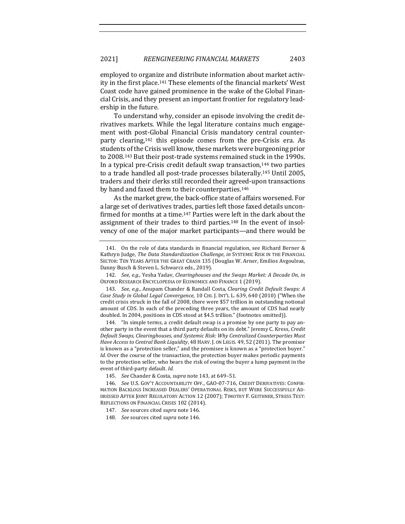employed to organize and distribute information about market activity in the first place.<sup>141</sup> These elements of the financial markets' West Coast code have gained prominence in the wake of the Global Financial Crisis, and they present an important frontier for regulatory leadership in the future.

To understand why, consider an episode involving the credit derivatives markets. While the legal literature contains much engagement with post-Global Financial Crisis mandatory central counterparty clearing, $142$  this episode comes from the pre-Crisis era. As students of the Crisis well know, these markets were burgeoning prior to 2008.<sup>143</sup> But their post-trade systems remained stuck in the 1990s. In a typical pre-Crisis credit default swap transaction,<sup>144</sup> two parties to a trade handled all post-trade processes bilaterally.<sup>145</sup> Until 2005, traders and their clerks still recorded their agreed-upon transactions by hand and faxed them to their counterparties.<sup>146</sup>

As the market grew, the back-office state of affairs worsened. For a large set of derivatives trades, parties left those faxed details unconfirmed for months at a time.<sup>147</sup> Parties were left in the dark about the assignment of their trades to third parties.<sup>148</sup> In the event of insolvency of one of the major market participants—and there would be

144. "In simple terms, a credit default swap is a promise by one party to pay another party in the event that a third party defaults on its debt." Jeremy C. Kress, *Credit* Default Swaps, Clearinghouses, and Systemic Risk: Why Centralized Counterparties Must Have Access to Central Bank Liquidity, 48 HARV. J. ON LEGIS. 49, 52 (2011). The promisor is known as a "protection seller," and the promisee is known as a "protection buyer." *Id.* Over the course of the transaction, the protection buyer makes periodic payments to the protection seller, who bears the risk of owing the buyer a lump payment in the event of third-party default. Id.

<sup>141.</sup> On the role of data standards in financial regulation, see Richard Berner & Kathryn Judge, The Data Standardization Challenge, in SYSTEMIC RISK IN THE FINANCIAL SECTOR: TEN YEARS AFTER THE GREAT CRASH 135 (Douglas W. Arner, Emilios Avgouleas, Danny Busch & Steven L. Schwarcz eds., 2019).

<sup>142.</sup> *See, e.g.*, Yesha Yadav, *Clearinghouses and the Swaps Market: A Decade On, in* OXFORD RESEARCH ENCYCLOPEDIA OF ECONOMICS AND FINANCE 1 (2019).

<sup>143.</sup> *See, e.g., Anupam Chander & Randall Costa, Clearing Credit Default Swaps: A Case Study in Global Legal Convergence*, 10 CHI. J. INT'L L. 639, 640 (2010) ("When the credit crisis struck in the fall of 2008, there were \$57 trillion in outstanding notional amount of CDS. In each of the preceding three years, the amount of CDS had nearly doubled. In 2004, positions in CDS stood at \$4.5 trillion." (footnotes omitted)).

<sup>145.</sup> *See* Chander & Costa, *supra* note 143, at 649-51.

<sup>146.</sup> See U.S. GOV'T ACCOUNTABILITY OFF., GAO-07-716, CREDIT DERIVATIVES: CONFIR-MATION BACKLOGS INCREASED DEALERS' OPERATIONAL RISKS, BUT WERE SUCCESSFULLY AD-DRESSED AFTER JOINT REGULATORY ACTION 12 (2007); TIMOTHY F. GEITHNER, STRESS TEST: REFLECTIONS ON FINANCIAL CRISES 102 (2014).

<sup>147.</sup> See sources cited supra note 146.

<sup>148.</sup> *See* sources cited *supra* note 146.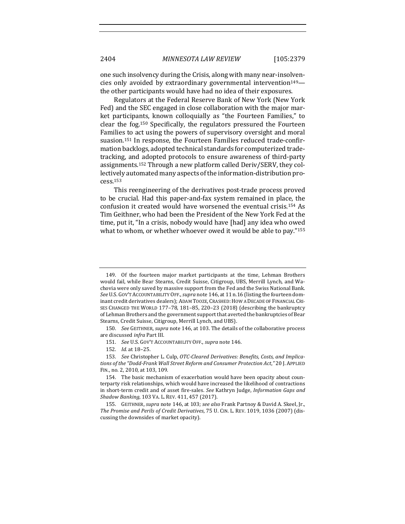one such insolvency during the Crisis, along with many near-insolvencies only avoided by extraordinary governmental intervention<sup>149</sup> the other participants would have had no idea of their exposures.

Regulators at the Federal Reserve Bank of New York (New York Fed) and the SEC engaged in close collaboration with the major market participants, known colloquially as "the Fourteen Families," to clear the  $f$ og.<sup>150</sup> Specifically, the regulators pressured the Fourteen Families to act using the powers of supervisory oversight and moral suasion.<sup>151</sup> In response, the Fourteen Families reduced trade-confirmation backlogs, adopted technical standards for computerized tradetracking, and adopted protocols to ensure awareness of third-party assignments.<sup>152</sup> Through a new platform called Deriv/SERV, they collectively automated many aspects of the information-distribution process.153

This reengineering of the derivatives post-trade process proved to be crucial. Had this paper-and-fax system remained in place, the confusion it created would have worsened the eventual crisis.<sup>154</sup> As Tim Geithner, who had been the President of the New York Fed at the time, put it, "In a crisis, nobody would have [had] any idea who owed what to whom, or whether whoever owed it would be able to pay." $155$ 

<sup>149.</sup> Of the fourteen major market participants at the time, Lehman Brothers would fail, while Bear Stearns, Credit Suisse, Citigroup, UBS, Merrill Lynch, and Wachovia were only saved by massive support from the Fed and the Swiss National Bank. See U.S. Gov'T AccounTABILITY OFF., *supra* note 146, at 11 n.16 (listing the fourteen dominant credit derivatives dealers); ADAM TOOZE, CRASHED: HOW A DECADE OF FINANCIAL CRI-SES CHANGED THE WORLD 177-78, 181-85, 220-23 (2018) (describing the bankruptcy of Lehman Brothers and the government support that averted the bankruptcies of Bear Stearns, Credit Suisse, Citigroup, Merrill Lynch, and UBS).

<sup>150.</sup> *See* GEITHNER, *supra* note 146, at 103. The details of the collaborative process are discussed infra Part III.

<sup>151.</sup> *See U.S. GOV'T ACCOUNTABILITY OFF., supra note* 146.

<sup>152.</sup> *Id.* at 18-25.

<sup>153.</sup> See Christopher L. Culp, OTC-Cleared Derivatives: Benefits, Costs, and Implications of the "Dodd-Frank Wall Street Reform and Consumer Protection Act," 20 J. APPLIED FIN., no. 2, 2010, at 103, 109.

<sup>154.</sup> The basic mechanism of exacerbation would have been opacity about counterparty risk relationships, which would have increased the likelihood of contractions in short-term credit and of asset fire-sales. *See* Kathryn Judge, *Information Gaps and Shadow Banking*, 103 VA. L. REV. 411, 457 (2017).

<sup>155.</sup> GEITHNER, *supra* note 146, at 103; see also Frank Partnoy & David A. Skeel, [r., The Promise and Perils of Credit Derivatives, 75 U. CIN. L. REV. 1019, 1036 (2007) (discussing the downsides of market opacity).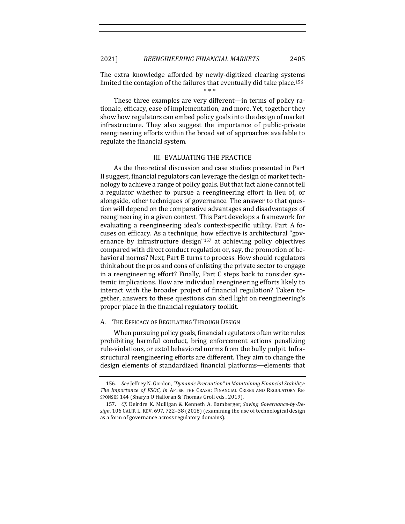The extra knowledge afforded by newly-digitized clearing systems limited the contagion of the failures that eventually did take place.<sup>156</sup>

\* \* \*

These three examples are very different—in terms of policy rationale, efficacy, ease of implementation, and more. Yet, together they show how regulators can embed policy goals into the design of market infrastructure. They also suggest the importance of public-private reengineering efforts within the broad set of approaches available to regulate the financial system.

# III. EVALUATING THE PRACTICE

As the theoretical discussion and case studies presented in Part II suggest, financial regulators can leverage the design of market technology to achieve a range of policy goals. But that fact alone cannot tell a regulator whether to pursue a reengineering effort in lieu of, or alongside, other techniques of governance. The answer to that question will depend on the comparative advantages and disadvantages of reengineering in a given context. This Part develops a framework for evaluating a reengineering idea's context-specific utility. Part A focuses on efficacy. As a technique, how effective is architectural "governance by infrastructure  $\text{design}^{\prime\prime}$ <sup>157</sup> at achieving policy objectives compared with direct conduct regulation or, say, the promotion of behavioral norms? Next, Part B turns to process. How should regulators think about the pros and cons of enlisting the private sector to engage in a reengineering effort? Finally, Part C steps back to consider systemic implications. How are individual reengineering efforts likely to interact with the broader project of financial regulation? Taken together, answers to these questions can shed light on reengineering's proper place in the financial regulatory toolkit.

#### A. THE EFFICACY OF REGULATING THROUGH DESIGN

When pursuing policy goals, financial regulators often write rules prohibiting harmful conduct, bring enforcement actions penalizing rule-violations, or extol behavioral norms from the bully pulpit. Infrastructural reengineering efforts are different. They aim to change the design elements of standardized financial platforms—elements that

<sup>156.</sup> *See* Jeffrey N. Gordon, *"Dynamic Precaution" in Maintaining Financial Stability: The Importance of FSOC, in AFTER THE CRASH: FINANCIAL CRISES AND REGULATORY RE-*SPONSES 144 (Sharyn O'Halloran & Thomas Groll eds., 2019).

<sup>157.</sup> *Cf.* Deirdre K. Mulligan & Kenneth A. Bamberger, *Saving Governance-by-De*sign, 106 CALIF. L. REV. 697, 722-38 (2018) (examining the use of technological design as a form of governance across regulatory domains).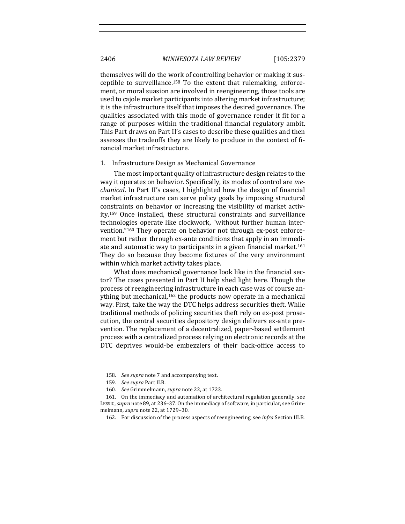themselves will do the work of controlling behavior or making it susceptible to surveillance.<sup>158</sup> To the extent that rulemaking, enforcement, or moral suasion are involved in reengineering, those tools are used to cajole market participants into altering market infrastructure; it is the infrastructure itself that imposes the desired governance. The qualities associated with this mode of governance render it fit for a range of purposes within the traditional financial regulatory ambit. This Part draws on Part II's cases to describe these qualities and then assesses the tradeoffs they are likely to produce in the context of financial market infrastructure.

## 1. Infrastructure Design as Mechanical Governance

The most important quality of infrastructure design relates to the way it operates on behavior. Specifically, its modes of control are *mechanical*. In Part II's cases, I highlighted how the design of financial market infrastructure can serve policy goals by imposing structural constraints on behavior or increasing the visibility of market activity.<sup>159</sup> Once installed, these structural constraints and surveillance technologies operate like clockwork, "without further human intervention."<sup>160</sup> They operate on behavior not through ex-post enforcement but rather through ex-ante conditions that apply in an immediate and automatic way to participants in a given financial market.<sup>161</sup> They do so because they become fixtures of the very environment within which market activity takes place.

What does mechanical governance look like in the financial sector? The cases presented in Part II help shed light here. Though the process of reengineering infrastructure in each case was of course anything but mechanical,<sup>162</sup> the products now operate in a mechanical way. First, take the way the DTC helps address securities theft. While traditional methods of policing securities theft rely on ex-post prosecution, the central securities depository design delivers ex-ante prevention. The replacement of a decentralized, paper-based settlement process with a centralized process relying on electronic records at the DTC deprives would-be embezzlers of their back-office access to

<sup>158.</sup> See supra note 7 and accompanying text.

<sup>159.</sup> *See supra* Part II.B.

<sup>160.</sup> *See* Grimmelmann, *supra* note 22, at 1723.

<sup>161.</sup> On the immediacy and automation of architectural regulation generally, see LESSIG, *supra* note 89, at 236-37. On the immediacy of software, in particular, see Grimmelmann, *supra* note 22, at 1729-30.

<sup>162.</sup> For discussion of the process aspects of reengineering, see *infra* Section III.B.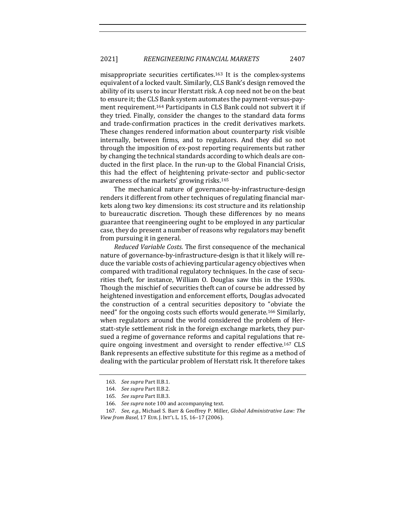misappropriate securities certificates.<sup>163</sup> It is the complex-systems equivalent of a locked vault. Similarly, CLS Bank's design removed the ability of its users to incur Herstatt risk. A cop need not be on the beat to ensure it; the CLS Bank system automates the payment-versus-payment requirement.<sup>164</sup> Participants in CLS Bank could not subvert it if they tried. Finally, consider the changes to the standard data forms and trade-confirmation practices in the credit derivatives markets. These changes rendered information about counterparty risk visible internally, between firms, and to regulators. And they did so not through the imposition of ex-post reporting requirements but rather by changing the technical standards according to which deals are conducted in the first place. In the run-up to the Global Financial Crisis, this had the effect of heightening private-sector and public-sector awareness of the markets' growing risks.<sup>165</sup>

The mechanical nature of governance-by-infrastructure-design renders it different from other techniques of regulating financial markets along two key dimensions: its cost structure and its relationship to bureaucratic discretion. Though these differences by no means guarantee that reengineering ought to be employed in any particular case, they do present a number of reasons why regulators may benefit from pursuing it in general.

*Reduced Variable Costs.* The first consequence of the mechanical nature of governance-by-infrastructure-design is that it likely will reduce the variable costs of achieving particular agency objectives when compared with traditional regulatory techniques. In the case of securities theft, for instance, William O. Douglas saw this in the 1930s. Though the mischief of securities theft can of course be addressed by heightened investigation and enforcement efforts, Douglas advocated the construction of a central securities depository to "obviate the need" for the ongoing costs such efforts would generate.<sup>166</sup> Similarly, when regulators around the world considered the problem of Herstatt-style settlement risk in the foreign exchange markets, they pursued a regime of governance reforms and capital regulations that require ongoing investment and oversight to render effective.<sup>167</sup> CLS Bank represents an effective substitute for this regime as a method of dealing with the particular problem of Herstatt risk. It therefore takes

<sup>163.</sup> *See supra Part II.B.1.* 

<sup>164.</sup> See supra Part II.B.2.

<sup>165.</sup> *See supra Part II.B.3.* 

<sup>166.</sup> *See supra* note 100 and accompanying text.

<sup>167.</sup> *See, e.g.*, Michael S. Barr & Geoffrey P. Miller, *Global Administrative Law: The View from Basel*, 17 EUR. J. INT'L L. 15, 16–17 (2006).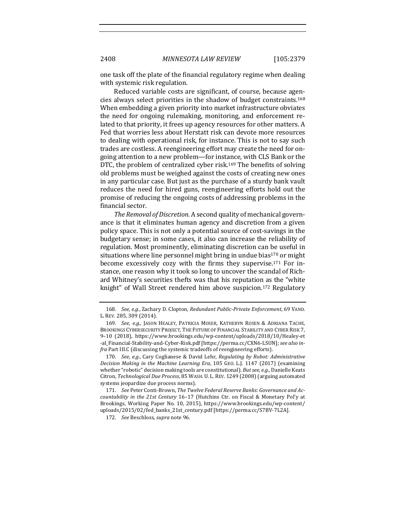2408 *MINNESOTA LAW REVIEW* [105:2379

one task off the plate of the financial regulatory regime when dealing with systemic risk regulation.

Reduced variable costs are significant, of course, because agencies always select priorities in the shadow of budget constraints.<sup>168</sup> When embedding a given priority into market infrastructure obviates the need for ongoing rulemaking, monitoring, and enforcement related to that priority, it frees up agency resources for other matters. A Fed that worries less about Herstatt risk can devote more resources to dealing with operational risk, for instance. This is not to say such trades are costless. A reengineering effort may create the need for ongoing attention to a new problem—for instance, with CLS Bank or the DTC, the problem of centralized cyber risk.<sup>169</sup> The benefits of solving old problems must be weighed against the costs of creating new ones in any particular case. But just as the purchase of a sturdy bank vault reduces the need for hired guns, reengineering efforts hold out the promise of reducing the ongoing costs of addressing problems in the financial sector.

The Removal of Discretion. A second quality of mechanical governance is that it eliminates human agency and discretion from a given policy space. This is not only a potential source of cost-savings in the budgetary sense; in some cases, it also can increase the reliability of regulation. Most prominently, eliminating discretion can be useful in situations where line personnel might bring in undue bias<sup>170</sup> or might become excessively cozy with the firms they supervise.<sup>171</sup> For instance, one reason why it took so long to uncover the scandal of Richard Whitney's securities thefts was that his reputation as the "white knight" of Wall Street rendered him above suspicion.<sup>172</sup> Regulatory

170. *See, e.g.*, Cary Coglianese & David Lehr, *Regulating by Robot: Administrative Decision Making in the Machine Learning Era,* 105 GEO. L.J. 1147 (2017) (examining whether "robotic" decision making tools are constitutional). But see, e.g., Danielle Keats Citron, *Technological Due Process*, 85 WASH. U. L. REV. 1249 (2008) (arguing automated systems jeopardize due process norms).

171. See Peter Conti-Brown, The Twelve Federal Reserve Banks: Governance and Ac*countability in the 21st Century* 16-17 (Hutchins Ctr. on Fiscal & Monetary Pol'y at Brookings, Working Paper No. 10, 2015), https://www.brookings.edu/wp-content/ uploads/2015/02/fed\_banks\_21st\_century.pdf [https://perma.cc/S7BV-7L2A].

172. *See* Beschloss, *supra* note 96.

<sup>168.</sup> *See, e.g.*, Zachary D. Clopton, *Redundant Public-Private Enforcement*, 69 VAND. L. REV. 285, 309 (2014).

<sup>169.</sup> *See, e.g.*, JASON HEALEY, PATRICIA MOSER, KATHERYN ROSEN & ADRIANA TACHE, BROOKINGS CYBERSECURITY PROJECT, THE FUTURE OF FINANCIAL STABILITY AND CYBER RISK 7, 9–10 (2018), https://www.brookings.edu/wp-content/uploads/2018/10/Healey-et -al\_Financial-Stability-and-Cyber-Risk.pdf [https://perma.cc/CXN6-LSUN]; see also in*fra* Part III.C (discussing the systemic tradeoffs of reengineering efforts).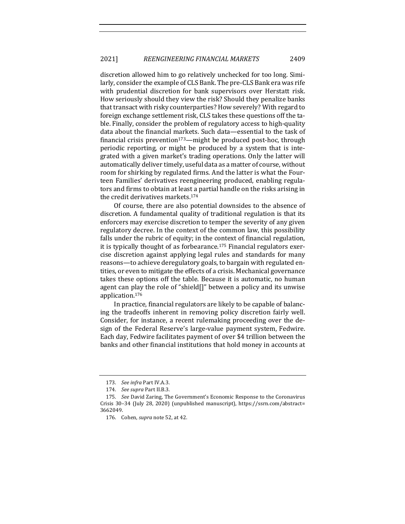discretion allowed him to go relatively unchecked for too long. Similarly, consider the example of CLS Bank. The pre-CLS Bank era was rife with prudential discretion for bank supervisors over Herstatt risk. How seriously should they view the risk? Should they penalize banks that transact with risky counterparties? How severely? With regard to foreign exchange settlement risk, CLS takes these questions off the table. Finally, consider the problem of regulatory access to high-quality data about the financial markets. Such data—essential to the task of financial crisis prevention<sup>173</sup>—might be produced post-hoc, through periodic reporting, or might be produced by a system that is integrated with a given market's trading operations. Only the latter will automatically deliver timely, useful data as a matter of course, without room for shirking by regulated firms. And the latter is what the Fourteen Families' derivatives reengineering produced, enabling regulators and firms to obtain at least a partial handle on the risks arising in the credit derivatives markets.<sup>174</sup>

Of course, there are also potential downsides to the absence of discretion. A fundamental quality of traditional regulation is that its enforcers may exercise discretion to temper the severity of any given regulatory decree. In the context of the common law, this possibility falls under the rubric of equity; in the context of financial regulation, it is typically thought of as forbearance.<sup>175</sup> Financial regulators exercise discretion against applying legal rules and standards for many reasons—to achieve deregulatory goals, to bargain with regulated entities, or even to mitigate the effects of a crisis. Mechanical governance takes these options off the table. Because it is automatic, no human agent can play the role of "shield[]" between a policy and its unwise application.176

In practice, financial regulators are likely to be capable of balancing the tradeoffs inherent in removing policy discretion fairly well. Consider, for instance, a recent rulemaking proceeding over the design of the Federal Reserve's large-value payment system, Fedwire. Each day, Fedwire facilitates payment of over \$4 trillion between the banks and other financial institutions that hold money in accounts at

<sup>173.</sup> See infra Part IV.A.3.

<sup>174.</sup> *See supra* Part II.B.3.

<sup>175.</sup> See David Zaring, The Government's Economic Response to the Coronavirus Crisis 30-34 (July 28, 2020) (unpublished manuscript), https://ssrn.com/abstract= 3662049.

<sup>176.</sup> Cohen, *supra* note 52, at 42.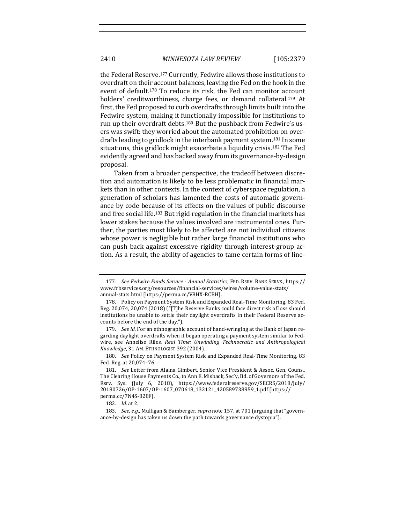the Federal Reserve.<sup>177</sup> Currently, Fedwire allows those institutions to overdraft on their account balances, leaving the Fed on the hook in the event of default.<sup>178</sup> To reduce its risk, the Fed can monitor account holders' creditworthiness, charge fees, or demand collateral.<sup>179</sup> At first, the Fed proposed to curb overdrafts through limits built into the Fedwire system, making it functionally impossible for institutions to run up their overdraft debts.<sup>180</sup> But the pushback from Fedwire's users was swift: they worried about the automated prohibition on overdrafts leading to gridlock in the interbank payment system.<sup>181</sup> In some situations, this gridlock might exacerbate a liquidity crisis.<sup>182</sup> The Fed evidently agreed and has backed away from its governance-by-design proposal.

Taken from a broader perspective, the tradeoff between discretion and automation is likely to be less problematic in financial markets than in other contexts. In the context of cyberspace regulation, a generation of scholars has lamented the costs of automatic governance by code because of its effects on the values of public discourse and free social life.<sup>183</sup> But rigid regulation in the financial markets has lower stakes because the values involved are instrumental ones. Further, the parties most likely to be affected are not individual citizens whose power is negligible but rather large financial institutions who can push back against excessive rigidity through interest-group action. As a result, the ability of agencies to tame certain forms of line-

<sup>177.</sup> *See Fedwire Funds Service* - *Annual Statistics*, FED. RSRV. BANK SERVS., https:// www.frbservices.org/resources/financial-services/wires/volume-value-stats/ annual-stats.html [https://perma.cc/V8HX-RCBH].

<sup>178.</sup> Policy on Payment System Risk and Expanded Real-Time Monitoring, 83 Fed. Reg. 20,074, 20,074 (2018) ("[T]he Reserve Banks could face direct risk of loss should institutions be unable to settle their daylight overdrafts in their Federal Reserve accounts before the end of the day.").

<sup>179.</sup> See id. For an ethnographic account of hand-wringing at the Bank of Japan regarding daylight overdrafts when it began operating a payment system similar to Fedwire, see Annelise Riles, *Real Time: Unwinding Technocratic and Anthropological* Knowledge, 31 AM. ETHNOLOGIST 392 (2004).

<sup>180.</sup> *See* Policy on Payment System Risk and Expanded Real-Time Monitoring, 83 Fed. Reg. at 20,074–76.

<sup>181.</sup> *See* Letter from Alaina Gimbert, Senior Vice President & Assoc. Gen. Couns., The Clearing House Payments Co., to Ann E. Misback, Sec'y, Bd. of Governors of the Fed. Rsrv. Sys. (July 6, 2018), https://www.federalreserve.gov/SECRS/2018/July/ 20180726/OP-1607/OP-1607\_070618\_132121\_420589738959\_1.pdf [https:// perma.cc/7N4S-828F].

<sup>182.</sup> *Id.* at 2.

<sup>183.</sup> *See, e.g.*, Mulligan & Bamberger, *supra* note 157, at 701 (arguing that "governance-by-design has taken us down the path towards governance dystopia").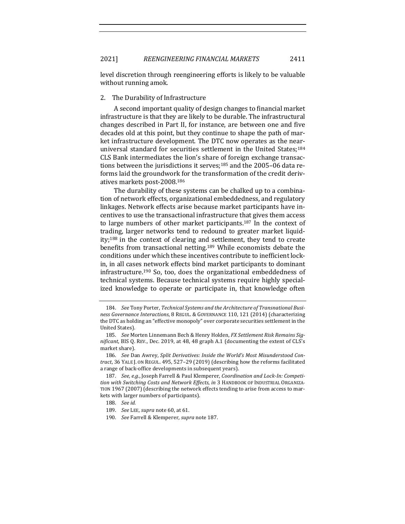level discretion through reengineering efforts is likely to be valuable without running amok.

# 2. The Durability of Infrastructure

A second important quality of design changes to financial market infrastructure is that they are likely to be durable. The infrastructural changes described in Part II, for instance, are between one and five decades old at this point, but they continue to shape the path of market infrastructure development. The DTC now operates as the nearuniversal standard for securities settlement in the United States;<sup>184</sup> CLS Bank intermediates the lion's share of foreign exchange transactions between the jurisdictions it serves;<sup>185</sup> and the 2005–06 data reforms laid the groundwork for the transformation of the credit derivatives markets post-2008.<sup>186</sup>

The durability of these systems can be chalked up to a combination of network effects, organizational embeddedness, and regulatory linkages. Network effects arise because market participants have incentives to use the transactional infrastructure that gives them access to large numbers of other market participants.<sup>187</sup> In the context of trading, larger networks tend to redound to greater market liquidity;<sup>188</sup> in the context of clearing and settlement, they tend to create benefits from transactional netting.<sup>189</sup> While economists debate the conditions under which these incentives contribute to inefficient lockin, in all cases network effects bind market participants to dominant infrastructure.<sup>190</sup> So, too, does the organizational embeddedness of technical systems. Because technical systems require highly specialized knowledge to operate or participate in, that knowledge often

<sup>184.</sup> See Tony Porter, *Technical Systems and the Architecture of Transnational Business Governance Interactions*, 8 REGUL. & GOVERNANCE 110, 121 (2014) (characterizing the DTC as holding an "effective monopoly" over corporate securities settlement in the United States).

<sup>185.</sup> See Morten Linnemann Bech & Henry Holden, FX Settlement Risk Remains Sig*nificant*, BIS Q. REV., Dec. 2019, at 48, 48 graph A.1 (documenting the extent of CLS's market share)

<sup>186.</sup> See Dan Awrey, Split Derivatives: Inside the World's Most Misunderstood Con*tract*, 36 YALE J. ON REGUL. 495, 527-29 (2019) (describing how the reforms facilitated a range of back-office developments in subsequent years).

<sup>187.</sup> See, e.g., Joseph Farrell & Paul Klemperer, *Coordination and Lock-In: Competi*tion with Switching Costs and Network Effects, in 3 HANDBOOK OF INDUSTRIAL ORGANIZA-TION 1967 (2007) (describing the network effects tending to arise from access to markets with larger numbers of participants).

<sup>188.</sup> *See id.*

<sup>189.</sup> *See LEE, supra note* 60, at 61.

<sup>190.</sup> *See* Farrell & Klemperer, *supra* note 187.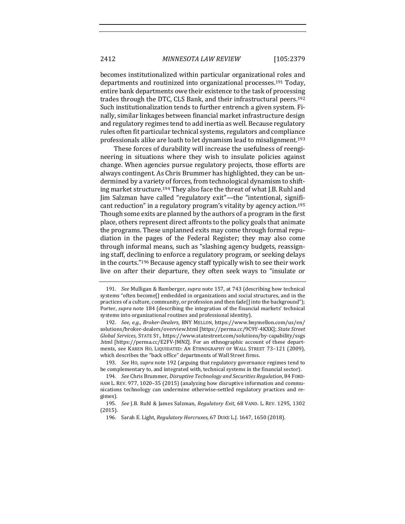becomes institutionalized within particular organizational roles and departments and routinized into organizational processes.<sup>191</sup> Today, entire bank departments owe their existence to the task of processing trades through the DTC, CLS Bank, and their infrastructural peers.<sup>192</sup> Such institutionalization tends to further entrench a given system. Finally, similar linkages between financial market infrastructure design and regulatory regimes tend to add inertia as well. Because regulatory rules often fit particular technical systems, regulators and compliance professionals alike are loath to let dynamism lead to misalignment.<sup>193</sup>

These forces of durability will increase the usefulness of reengineering in situations where they wish to insulate policies against change. When agencies pursue regulatory projects, those efforts are always contingent. As Chris Brummer has highlighted, they can be undermined by a variety of forces, from technological dynamism to shifting market structure.<sup>194</sup> They also face the threat of what J.B. Ruhl and Jim Salzman have called "regulatory exit"—the "intentional, significant reduction" in a regulatory program's vitality by agency action.<sup>195</sup> Though some exits are planned by the authors of a program in the first place, others represent direct affronts to the policy goals that animate the programs. These unplanned exits may come through formal repudiation in the pages of the Federal Register; they may also come through informal means, such as "slashing agency budgets, reassigning staff, declining to enforce a regulatory program, or seeking delays in the courts."<sup>196</sup> Because agency staff typically wish to see their work live on after their departure, they often seek ways to "insulate or

193. See Ho, supra note 192 (arguing that regulatory governance regimes tend to be complementary to, and integrated with, technical systems in the financial sector).

<sup>191.</sup> *See* Mulligan & Bamberger, *supra* note 157, at 743 (describing how technical systems "often become[] embedded in organizations and social structures, and in the practices of a culture, community, or profession and then fade[] into the background"); Porter, *supra* note 184 (describing the integration of the financial markets' technical systems into organizational routines and professional identity).

<sup>192.</sup> See, e.g., Broker-Dealers, BNY MELLON, https://www.bnymellon.com/us/en/ solutions/broker-dealers/overview.html [https://perma.cc/9C9Y-4KXK]; State Street *Global Services*, STATE ST., https://www.statestreet.com/solutions/by-capability/ssgs .html [https://perma.cc/E2FV-JMNZ]. For an ethnographic account of these departments, see KAREN HO, LIQUIDATED: AN ETHNOGRAPHY OF WALL STREET 73-121 (2009), which describes the "back office" departments of Wall Street firms.

<sup>194.</sup> *See* Chris Brummer, *Disruptive Technology and Securities Regulation*, 84 FORD-HAM L. REV. 977, 1020–35 (2015) (analyzing how disruptive information and communications technology can undermine otherwise-settled regulatory practices and regimes).

<sup>195.</sup> *See* J.B. Ruhl & James Salzman, *Regulatory Exit*, 68 VAND. L. REV. 1295, 1302 (2015).

<sup>196.</sup> Sarah E. Light, *Regulatory Horcruxes*, 67 DUKE L.J. 1647, 1650 (2018).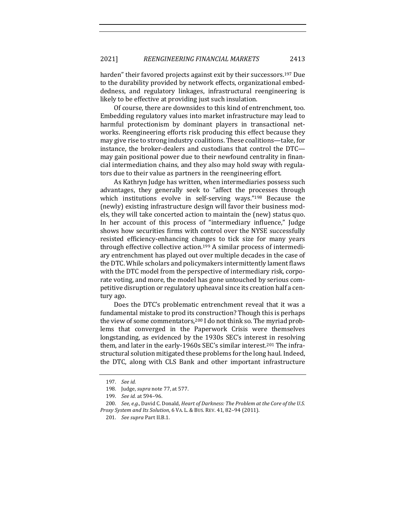harden" their favored projects against exit by their successors.<sup>197</sup> Due to the durability provided by network effects, organizational embeddedness, and regulatory linkages, infrastructural reengineering is likely to be effective at providing just such insulation.

Of course, there are downsides to this kind of entrenchment, too. Embedding regulatory values into market infrastructure may lead to harmful protectionism by dominant players in transactional networks. Reengineering efforts risk producing this effect because they may give rise to strong industry coalitions. These coalitions—take, for instance, the broker-dealers and custodians that control the DTCmay gain positional power due to their newfound centrality in financial intermediation chains, and they also may hold sway with regulators due to their value as partners in the reengineering effort.

As Kathryn Judge has written, when intermediaries possess such advantages, they generally seek to "affect the processes through which institutions evolve in self-serving ways." $198$  Because the (newly) existing infrastructure design will favor their business models, they will take concerted action to maintain the (new) status quo. In her account of this process of "intermediary influence," Judge shows how securities firms with control over the NYSE successfully resisted efficiency-enhancing changes to tick size for many years through effective collective action.<sup>199</sup> A similar process of intermediary entrenchment has played out over multiple decades in the case of the DTC. While scholars and policymakers intermittently lament flaws with the DTC model from the perspective of intermediary risk, corporate voting, and more, the model has gone untouched by serious competitive disruption or regulatory upheaval since its creation half a century ago.

Does the DTC's problematic entrenchment reveal that it was a fundamental mistake to prod its construction? Though this is perhaps the view of some commentators,<sup>200</sup> I do not think so. The myriad problems that converged in the Paperwork Crisis were themselves longstanding, as evidenced by the 1930s SEC's interest in resolving them, and later in the early-1960s SEC's similar interest.<sup>201</sup> The infrastructural solution mitigated these problems for the long haul. Indeed, the DTC, along with CLS Bank and other important infrastructure

<sup>197.</sup> *See id.*

<sup>198.</sup> Judge, *supra* note 77, at 577.

<sup>199.</sup> *See id.* at 594-96.

<sup>200.</sup> *See, e.g.*, David C. Donald, *Heart of Darkness: The Problem at the Core of the U.S. Proxy System and Its Solution*, 6 VA. L. & BUS. REV. 41, 82–94 (2011).

<sup>201.</sup> *See supra Part II.B.1.*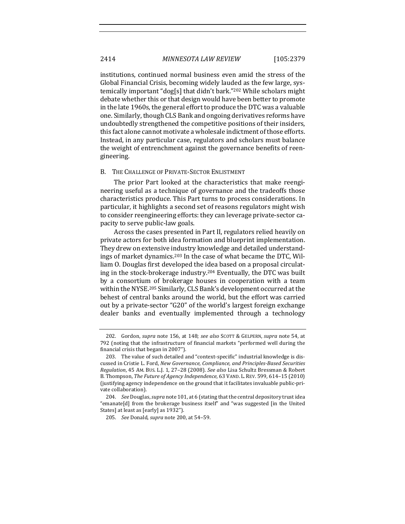institutions, continued normal business even amid the stress of the Global Financial Crisis, becoming widely lauded as the few large, systemically important "dog[s] that didn't bark."<sup>202</sup> While scholars might debate whether this or that design would have been better to promote in the late 1960s, the general effort to produce the DTC was a valuable one. Similarly, though CLS Bank and ongoing derivatives reforms have undoubtedly strengthened the competitive positions of their insiders, this fact alone cannot motivate a wholesale indictment of those efforts. Instead, in any particular case, regulators and scholars must balance the weight of entrenchment against the governance benefits of reengineering.

#### B. THE CHALLENGE OF PRIVATE-SECTOR ENLISTMENT

The prior Part looked at the characteristics that make reengineering useful as a technique of governance and the tradeoffs those characteristics produce. This Part turns to process considerations. In particular, it highlights a second set of reasons regulators might wish to consider reengineering efforts: they can leverage private-sector capacity to serve public-law goals.

Across the cases presented in Part II, regulators relied heavily on private actors for both idea formation and blueprint implementation. They drew on extensive industry knowledge and detailed understandings of market dynamics.<sup>203</sup> In the case of what became the DTC, William O. Douglas first developed the idea based on a proposal circulating in the stock-brokerage industry.<sup>204</sup> Eventually, the DTC was built by a consortium of brokerage houses in cooperation with a team within the NYSE.<sup>205</sup> Similarly, CLS Bank's development occurred at the behest of central banks around the world, but the effort was carried out by a private-sector "G20" of the world's largest foreign exchange dealer banks and eventually implemented through a technology

<sup>202.</sup> Gordon, *supra* note 156, at 148; see also SCOTT & GELPERN, supra note 54, at 792 (noting that the infrastructure of financial markets "performed well during the financial crisis that began in 2007").

<sup>203.</sup> The value of such detailed and "context-specific" industrial knowledge is discussed in Cristie L. Ford, *New Governance, Compliance, and Principles-Based Securities Regulation*, 45 AM. BUS. L.J. 1, 27-28 (2008). *See also* Lisa Schultz Bressman & Robert B. Thompson, *The Future of Agency Independence*, 63 VAND. L. REV. 599, 614-15 (2010) (justifying agency independence on the ground that it facilitates invaluable public-private collaboration).

<sup>204.</sup> *See* Douglas, *supra* note 101, at 6 (stating that the central depository trust idea "emanate[d] from the brokerage business itself" and "was suggested [in the United States] at least as [early] as 1932").

<sup>205.</sup> *See* Donald, *supra* note 200, at 54–59.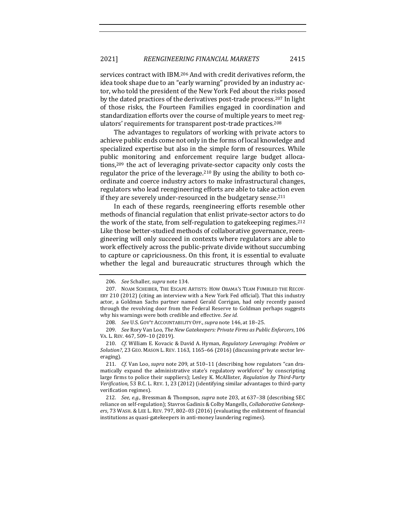services contract with IBM.<sup>206</sup> And with credit derivatives reform, the idea took shape due to an "early warning" provided by an industry actor, who told the president of the New York Fed about the risks posed by the dated practices of the derivatives post-trade process.<sup>207</sup> In light of those risks, the Fourteen Families engaged in coordination and standardization efforts over the course of multiple years to meet regulators' requirements for transparent post-trade practices.<sup>208</sup>

The advantages to regulators of working with private actors to achieve public ends come not only in the forms of local knowledge and specialized expertise but also in the simple form of resources. While public monitoring and enforcement require large budget allocations,<sup>209</sup> the act of leveraging private-sector capacity only costs the regulator the price of the leverage.<sup>210</sup> By using the ability to both coordinate and coerce industry actors to make infrastructural changes, regulators who lead reengineering efforts are able to take action even if they are severely under-resourced in the budgetary sense.<sup>211</sup>

In each of these regards, reengineering efforts resemble other methods of financial regulation that enlist private-sector actors to do the work of the state, from self-regulation to gatekeeping regimes.<sup>212</sup> Like those better-studied methods of collaborative governance, reengineering will only succeed in contexts where regulators are able to work effectively across the public-private divide without succumbing to capture or capriciousness. On this front, it is essential to evaluate whether the legal and bureaucratic structures through which the

<sup>206.</sup> *See* Schaller, *supra* note 134.

<sup>207.</sup> NOAM SCHEIBER, THE ESCAPE ARTISTS: HOW OBAMA'S TEAM FUMBLED THE RECOV-ERY  $210$  ( $2012$ ) (citing an interview with a New York Fed official). That this industry actor, a Goldman Sachs partner named Gerald Corrigan, had only recently passed through the revolving door from the Federal Reserve to Goldman perhaps suggests why his warnings were both credible and effective. See id.

<sup>208.</sup> *See U.S. GOV'T ACCOUNTABILITY OFF., supra* note 146, at 18-25.

<sup>209.</sup> *See* Rory Van Loo, *The New Gatekeepers: Private Firms as Public Enforcers*, 106 VA. L. REV. 467, 509-10 (2019).

<sup>210.</sup> *Cf.* William E. Kovacic & David A. Hyman, *Regulatory Leveraging: Problem or* Solution?, 23 GEO. MASON L. REV. 1163, 1165-66 (2016) (discussing private sector leveraging).

<sup>211.</sup> *Cf.* Van Loo, *supra* note 209, at 510-11 (describing how regulators "can dramatically expand the administrative state's regulatory workforce" by conscripting large firms to police their suppliers); Lesley K. McAllister, *Regulation by Third-Party* Verification, 53 B.C. L. REV. 1, 23 (2012) (identifying similar advantages to third-party verification regimes).

<sup>212.</sup> *See, e.g.*, Bressman & Thompson, *supra* note 203, at 637-38 (describing SEC reliance on self-regulation); Stavros Gadinis & Colby Mangells, *Collaborative Gatekeep*ers, 73 WASH. & LEE L. REV. 797, 802-03 (2016) (evaluating the enlistment of financial institutions as quasi-gatekeepers in anti-money laundering regimes).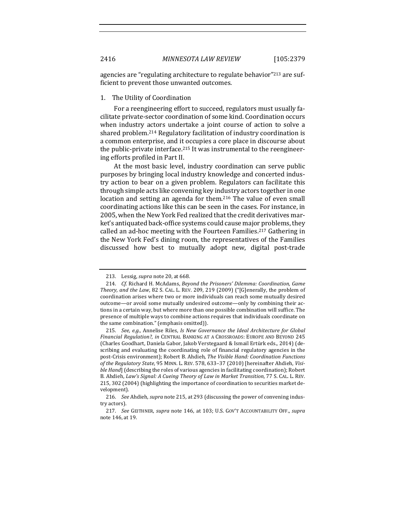agencies are "regulating architecture to regulate behavior"<sup>213</sup> are sufficient to prevent those unwanted outcomes.

# 1. The Utility of Coordination

For a reengineering effort to succeed, regulators must usually facilitate private-sector coordination of some kind. Coordination occurs when industry actors undertake a joint course of action to solve a shared problem.<sup>214</sup> Regulatory facilitation of industry coordination is a common enterprise, and it occupies a core place in discourse about the public-private interface.<sup>215</sup> It was instrumental to the reengineering efforts profiled in Part II.

At the most basic level, industry coordination can serve public purposes by bringing local industry knowledge and concerted industry action to bear on a given problem. Regulators can facilitate this through simple acts like convening key industry actors together in one location and setting an agenda for them.<sup>216</sup> The value of even small coordinating actions like this can be seen in the cases. For instance, in 2005, when the New York Fed realized that the credit derivatives market's antiquated back-office systems could cause major problems, they called an ad-hoc meeting with the Fourteen Families.<sup>217</sup> Gathering in the New York Fed's dining room, the representatives of the Families discussed how best to mutually adopt new, digital post-trade

<sup>213.</sup> Lessig, *supra* note 20, at 668.

<sup>214.</sup> *Cf.* Richard H. McAdams, *Beyond the Prisoners' Dilemma: Coordination, Game Theory, and the Law,* 82 S. CAL. L. REV. 209, 219 (2009) ("[G]enerally, the problem of coordination arises where two or more individuals can reach some mutually desired outcome—or avoid some mutually undesired outcome—only by combining their actions in a certain way, but where more than one possible combination will suffice. The presence of multiple ways to combine actions requires that individuals coordinate on the same combination." (emphasis omitted)).

<sup>215.</sup> *See, e.g.*, Annelise Riles, *Is New Governance the Ideal Architecture for Global Financial Regulation?, in CENTRAL BANKING AT A CROSSROADS: EUROPE AND BEYOND 245* (Charles Goodhart, Daniela Gabor, Jakob Verstegaard & Ismail Ertürk eds., 2014) (describing and evaluating the coordinating role of financial regulatory agencies in the post-Crisis environment); Robert B. Ahdieh, *The Visible Hand: Coordination Functions* of the Regulatory State, 95 MINN. L. REV. 578, 633-37 (2010) [hereinafter Ahdieh, *Visible Hand*] (describing the roles of various agencies in facilitating coordination); Robert B. Ahdieh, *Law's Signal: A Cueing Theory of Law in Market Transition*, 77 S. CAL. L. REV. 215, 302 (2004) (highlighting the importance of coordination to securities market development).

<sup>216.</sup> *See* Ahdieh, *supra* note 215, at 293 (discussing the power of convening industry actors).

<sup>217.</sup> *See* GEITHNER, *supra* note 146, at 103; U.S. GOV'T ACCOUNTABILITY OFF., *supra* note 146, at 19.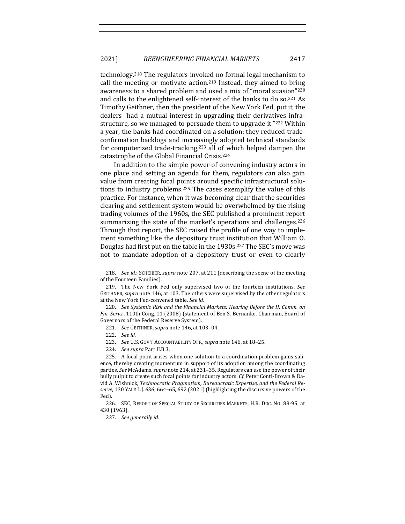technology.<sup>218</sup> The regulators invoked no formal legal mechanism to call the meeting or motivate action.<sup>219</sup> Instead, they aimed to bring awareness to a shared problem and used a mix of "moral suasion"<sup>220</sup> and calls to the enlightened self-interest of the banks to do so.<sup>221</sup> As Timothy Geithner, then the president of the New York Fed, put it, the dealers "had a mutual interest in upgrading their derivatives infrastructure, so we managed to persuade them to upgrade it."<sup>222</sup> Within a year, the banks had coordinated on a solution: they reduced tradeconfirmation backlogs and increasingly adopted technical standards for computerized trade-tracking, $223$  all of which helped dampen the catastrophe of the Global Financial Crisis.<sup>224</sup>

In addition to the simple power of convening industry actors in one place and setting an agenda for them, regulators can also gain value from creating focal points around specific infrastructural solutions to industry problems.<sup>225</sup> The cases exemplify the value of this practice. For instance, when it was becoming clear that the securities clearing and settlement system would be overwhelmed by the rising trading volumes of the 1960s, the SEC published a prominent report summarizing the state of the market's operations and challenges.<sup>226</sup> Through that report, the SEC raised the profile of one way to implement something like the depository trust institution that William O. Douglas had first put on the table in the 1930s.<sup>227</sup> The SEC's move was not to mandate adoption of a depository trust or even to clearly

<sup>218.</sup> *See id.*; SCHEIBER, *supra* note 207, at 211 (describing the scene of the meeting of the Fourteen Families).

<sup>219.</sup> The New York Fed only supervised two of the fourteen institutions. See GEITHNER, *supra* note 146, at 103. The others were supervised by the other regulators at the New York Fed-convened table. See id.

<sup>220.</sup> *See Systemic Risk and the Financial Markets: Hearing Before the H. Comm. on Fin. Servs.*, 110th Cong. 11 (2008) (statement of Ben S. Bernanke, Chairman, Board of Governors of the Federal Reserve System).

<sup>221.</sup> *See* GEITHNER, *supra* note 146, at 103–04.

<sup>222.</sup> *See id.*

<sup>223.</sup> *See U.S. GOV'T ACCOUNTABILITY OFF., supra note* 146, at 18-25.

<sup>224.</sup> *See supra Part II.B.3.* 

<sup>225.</sup> A focal point arises when one solution to a coordination problem gains salience, thereby creating momentum in support of its adoption among the coordinating parties. See McAdams, *supra* note 214, at 231-35. Regulators can use the power of their bully pulpit to create such focal points for industry actors. *Cf.* Peter Conti-Brown & David A. Wishnick, Technocratic Pragmatism, Bureaucratic Expertise, and the Federal Reserve, 130 YALE L.J. 636, 664-65, 692 (2021) (highlighting the discursive powers of the Fed).

<sup>226.</sup> SEC, REPORT OF SPECIAL STUDY OF SECURITIES MARKETS, H.R. DOC. NO. 88-95, at 430 (1963).

<sup>227.</sup> *See generally id.*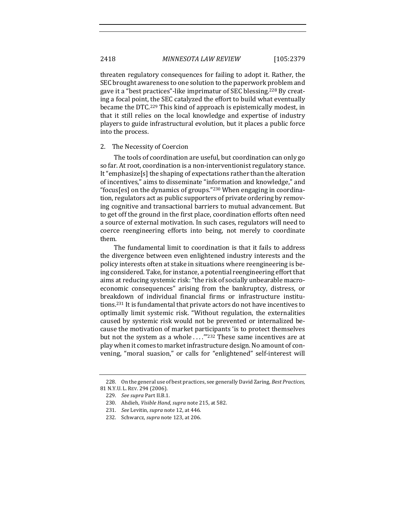2418 *MINNESOTA LAW REVIEW* [105:2379

threaten regulatory consequences for failing to adopt it. Rather, the SEC brought awareness to one solution to the paperwork problem and gave it a "best practices"-like imprimatur of SEC blessing.<sup>228</sup> By creating a focal point, the SEC catalyzed the effort to build what eventually became the DTC.<sup>229</sup> This kind of approach is epistemically modest, in that it still relies on the local knowledge and expertise of industry players to guide infrastructural evolution, but it places a public force into the process.

#### 2. The Necessity of Coercion

The tools of coordination are useful, but coordination can only go so far. At root, coordination is a non-interventionist regulatory stance. It "emphasize $[s]$  the shaping of expectations rather than the alteration of incentives," aims to disseminate "information and knowledge," and "focus[es] on the dynamics of groups."<sup>230</sup> When engaging in coordination, regulators act as public supporters of private ordering by removing cognitive and transactional barriers to mutual advancement. But to get off the ground in the first place, coordination efforts often need a source of external motivation. In such cases, regulators will need to coerce reengineering efforts into being, not merely to coordinate them. 

The fundamental limit to coordination is that it fails to address the divergence between even enlightened industry interests and the policy interests often at stake in situations where reengineering is being considered. Take, for instance, a potential reengineering effort that aims at reducing systemic risk: "the risk of socially unbearable macroeconomic consequences" arising from the bankruptcy, distress, or breakdown of individual financial firms or infrastructure institutions.<sup>231</sup> It is fundamental that private actors do not have incentives to optimally limit systemic risk. "Without regulation, the externalities caused by systemic risk would not be prevented or internalized because the motivation of market participants 'is to protect themselves but not the system as a whole  $\ldots$ ."<sup>232</sup> These same incentives are at play when it comes to market infrastructure design. No amount of convening, "moral suasion," or calls for "enlightened" self-interest will

<sup>228.</sup> On the general use of best practices, see generally David Zaring, *Best Practices*, 81 N.Y.U. L. REV. 294 (2006).

<sup>229.</sup> *See supra Part II.B.1.* 

<sup>230.</sup> Ahdieh, *Visible Hand*, *supra* note 215, at 582.

<sup>231.</sup> *See* Levitin, *supra* note 12, at 446.

<sup>232.</sup> Schwarcz, *supra* note 123, at 206.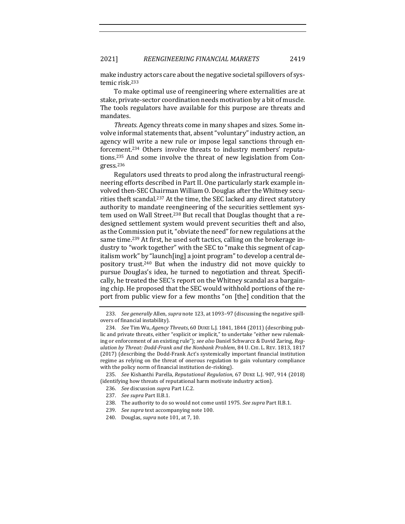make industry actors care about the negative societal spillovers of systemic risk.<sup>233</sup>

To make optimal use of reengineering where externalities are at stake, private-sector coordination needs motivation by a bit of muscle. The tools regulators have available for this purpose are threats and mandates.

*Threats.* Agency threats come in many shapes and sizes. Some involve informal statements that, absent "voluntary" industry action, an agency will write a new rule or impose legal sanctions through enforcement.<sup>234</sup> Others involve threats to industry members' reputations.<sup>235</sup> And some involve the threat of new legislation from Congress.236

Regulators used threats to prod along the infrastructural reengineering efforts described in Part II. One particularly stark example involved then-SEC Chairman William O. Douglas after the Whitney securities theft scandal.<sup>237</sup> At the time, the SEC lacked any direct statutory authority to mandate reengineering of the securities settlement system used on Wall Street.<sup>238</sup> But recall that Douglas thought that a redesigned settlement system would prevent securities theft and also, as the Commission put it, "obviate the need" for new regulations at the same time.<sup>239</sup> At first, he used soft tactics, calling on the brokerage industry to "work together" with the SEC to "make this segment of capitalism work" by "launch [ing] a joint program" to develop a central depository trust.<sup>240</sup> But when the industry did not move quickly to pursue Douglas's idea, he turned to negotiation and threat. Specifically, he treated the SEC's report on the Whitney scandal as a bargaining chip. He proposed that the SEC would withhold portions of the report from public view for a few months "on [the] condition that the

<sup>233.</sup> *See generally* Allen, *supra* note 123, at 1093-97 (discussing the negative spillovers of financial instability).

<sup>234.</sup> *See* Tim Wu, *Agency Threats*, 60 DUKE L.J. 1841, 1844 (2011) (describing public and private threats, either "explicit or implicit," to undertake "either new rulemaking or enforcement of an existing rule"); see also Daniel Schwarcz & David Zaring, Reg*ulation by Threat: Dodd-Frank and the Nonbank Problem*, 84 U. CHI. L. REV. 1813, 1817 (2017) (describing the Dodd-Frank Act's systemically important financial institution regime as relying on the threat of onerous regulation to gain voluntary compliance with the policy norm of financial institution de-risking).

<sup>235.</sup> *See* Kishanthi Parella, *Reputational Regulation*, 67 DUKE L.J. 907, 914 (2018) (identifying how threats of reputational harm motivate industry action).

<sup>236.</sup> *See* discussion *supra* Part I.C.2.

<sup>237.</sup> *See supra* Part II.B.1.

<sup>238.</sup> The authority to do so would not come until 1975. See supra Part II.B.1.

<sup>239.</sup> See supra text accompanying note 100.

<sup>240.</sup> Douglas, *supra* note 101, at 7, 10.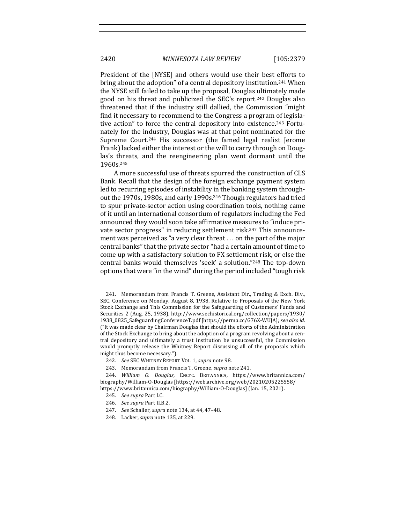President of the [NYSE] and others would use their best efforts to bring about the adoption" of a central depository institution.<sup>241</sup> When the NYSE still failed to take up the proposal, Douglas ultimately made good on his threat and publicized the SEC's report.<sup>242</sup> Douglas also threatened that if the industry still dallied, the Commission "might" find it necessary to recommend to the Congress a program of legislative action" to force the central depository into existence.<sup>243</sup> Fortunately for the industry, Douglas was at that point nominated for the Supreme Court.<sup>244</sup> His successor (the famed legal realist Jerome Frank) lacked either the interest or the will to carry through on Douglas's threats, and the reengineering plan went dormant until the 1960s.245

A more successful use of threats spurred the construction of CLS Bank. Recall that the design of the foreign exchange payment system led to recurring episodes of instability in the banking system throughout the 1970s, 1980s, and early 1990s.<sup>246</sup> Though regulators had tried to spur private-sector action using coordination tools, nothing came of it until an international consortium of regulators including the Fed announced they would soon take affirmative measures to "induce private sector progress" in reducing settlement risk.<sup>247</sup> This announcement was perceived as "a very clear threat  $\dots$  on the part of the major central banks" that the private sector "had a certain amount of time to come up with a satisfactory solution to FX settlement risk, or else the central banks would themselves 'seek' a solution."<sup>248</sup> The top-down options that were "in the wind" during the period included "tough risk

<sup>241.</sup> Memorandum from Francis T. Greene, Assistant Dir., Trading & Exch. Div., SEC, Conference on Monday, August 8, 1938, Relative to Proposals of the New York Stock Exchange and This Commission for the Safeguarding of Customers' Funds and Securities 2 (Aug. 25, 1938), http://www.sechistorical.org/collection/papers/1930/ 1938\_0825\_SafeguardingConferenceT.pdf [https://perma.cc/G76X-WUJA]; see also id. ("It was made clear by Chairman Douglas that should the efforts of the Administration of the Stock Exchange to bring about the adoption of a program revolving about a central depository and ultimately a trust institution be unsuccessful, the Commission would promptly release the Whitney Report discussing all of the proposals which might thus become necessary.").

<sup>242.</sup> *See* SEC WHITNEY REPORT VOL. 1, *supra* note 98.

<sup>243.</sup> Memorandum from Francis T. Greene, *supra* note 241.

<sup>244.</sup> *William O. Douglas*, ENCYC. BRITANNICA, https://www.britannica.com/ biography/William-O-Douglas [https://web.archive.org/web/20210205225558/ https://www.britannica.com/biography/William-O-Douglas] (Jan. 15, 2021).

<sup>245.</sup> *See supra* Part I.C.

<sup>246.</sup> *See supra Part II.B.2.* 

<sup>247.</sup> *See* Schaller, *supra* note 134, at 44, 47-48.

<sup>248.</sup> Lacker, *supra* note 135, at 229.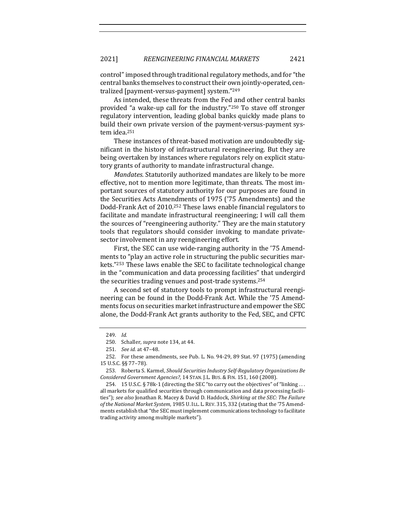control" imposed through traditional regulatory methods, and for "the central banks themselves to construct their own jointly-operated, centralized [payment-versus-payment] system."249

As intended, these threats from the Fed and other central banks provided "a wake-up call for the industry."<sup>250</sup> To stave off stronger regulatory intervention, leading global banks quickly made plans to build their own private version of the payment-versus-payment system idea.<sup>251</sup>

These instances of threat-based motivation are undoubtedly significant in the history of infrastructural reengineering. But they are being overtaken by instances where regulators rely on explicit statutory grants of authority to mandate infrastructural change.

*Mandates.* Statutorily authorized mandates are likely to be more effective, not to mention more legitimate, than threats. The most important sources of statutory authority for our purposes are found in the Securities Acts Amendments of 1975 ('75 Amendments) and the Dodd-Frank Act of 2010.<sup>252</sup> These laws enable financial regulators to facilitate and mandate infrastructural reengineering; I will call them the sources of "reengineering authority." They are the main statutory tools that regulators should consider invoking to mandate privatesector involvement in any reengineering effort.

First, the SEC can use wide-ranging authority in the '75 Amendments to "play an active role in structuring the public securities markets."<sup>253</sup> These laws enable the SEC to facilitate technological change in the "communication and data processing facilities" that undergird the securities trading venues and post-trade systems.<sup>254</sup>

A second set of statutory tools to prompt infrastructural reengineering can be found in the Dodd-Frank Act. While the '75 Amendments focus on securities market infrastructure and empower the SEC alone, the Dodd-Frank Act grants authority to the Fed, SEC, and CFTC

<sup>249.</sup> *Id.*

<sup>250.</sup> Schaller, *supra* note 134, at 44.

<sup>251.</sup> *See id.* at 47–48.

<sup>252.</sup> For these amendments, see Pub. L. No. 94-29, 89 Stat. 97 (1975) (amending 15 U.S.C. §§ 77–78).

<sup>253.</sup> Roberta S. Karmel, *Should Securities Industry Self-Regulatory Organizations Be Considered Government Agencies?,* 14 STAN. J.L. BUS. & FIN. 151, 160 (2008).

<sup>254. 15</sup> U.S.C.  $\S$  78k-1 (directing the SEC "to carry out the objectives" of "linking ... all markets for qualified securities through communication and data processing facilities"); see also Jonathan R. Macey & David D. Haddock, *Shirking at the SEC: The Failure* of the National Market System, 1985 U.ILL. L. REV. 315, 332 (stating that the '75 Amendments establish that "the SEC must implement communications technology to facilitate trading activity among multiple markets").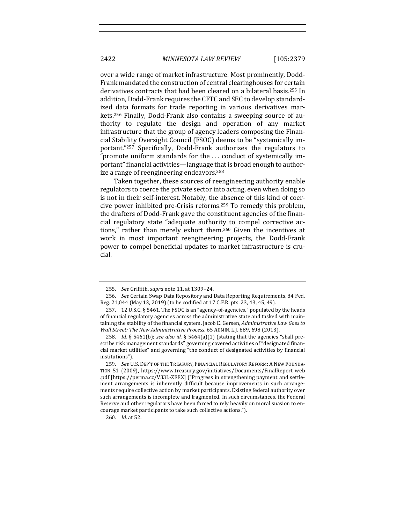over a wide range of market infrastructure. Most prominently, Dodd-Frank mandated the construction of central clearinghouses for certain derivatives contracts that had been cleared on a bilateral basis.<sup>255</sup> In addition, Dodd-Frank requires the CFTC and SEC to develop standardized data formats for trade reporting in various derivatives markets.<sup>256</sup> Finally, Dodd-Frank also contains a sweeping source of authority to regulate the design and operation of any market infrastructure that the group of agency leaders composing the Financial Stability Oversight Council (FSOC) deems to be "systemically important."<sup>257</sup> Specifically, Dodd-Frank authorizes the regulators to "promote uniform standards for the  $\dots$  conduct of systemically important" financial activities—language that is broad enough to authorize a range of reengineering endeavors.<sup>258</sup>

Taken together, these sources of reengineering authority enable regulators to coerce the private sector into acting, even when doing so is not in their self-interest. Notably, the absence of this kind of coercive power inhibited pre-Crisis reforms.<sup>259</sup> To remedy this problem, the drafters of Dodd-Frank gave the constituent agencies of the financial regulatory state "adequate authority to compel corrective actions," rather than merely exhort them.<sup>260</sup> Given the incentives at work in most important reengineering projects, the Dodd-Frank power to compel beneficial updates to market infrastructure is crucial.

<sup>255.</sup> *See Griffith, supra note* 11, at 1309-24.

<sup>256.</sup> *See* Certain Swap Data Repository and Data Reporting Requirements, 84 Fed. Reg. 21,044 (May 13, 2019) (to be codified at 17 C.F.R. pts. 23, 43, 45, 49).

<sup>257. 12</sup> U.S.C. § 5461. The FSOC is an "agency-of-agencies," populated by the heads of financial regulatory agencies across the administrative state and tasked with maintaining the stability of the financial system. Jacob E. Gersen, *Administrative Law Goes to Wall Street: The New Administrative Process*, 65 ADMIN. L.J. 689, 698 (2013).

<sup>258.</sup> *Id.* § 5461(b); see also id. § 5464(a)(1) (stating that the agencies "shall prescribe risk management standards" governing covered activities of "designated financial market utilities" and governing "the conduct of designated activities by financial institutions").

<sup>259.</sup> *See U.S. DEP'T OF THE TREASURY, FINANCIAL REGULATORY REFORM: A NEW FOUNDA-*TION 51 (2009), https://www.treasury.gov/initiatives/Documents/FinalReport\_web .pdf [https://perma.cc/V33L-ZEEX] ("Progress in strengthening payment and settlement arrangements is inherently difficult because improvements in such arrangements require collective action by market participants. Existing federal authority over such arrangements is incomplete and fragmented. In such circumstances, the Federal Reserve and other regulators have been forced to rely heavily on moral suasion to encourage market participants to take such collective actions.").

<sup>260.</sup> *Id.* at 52.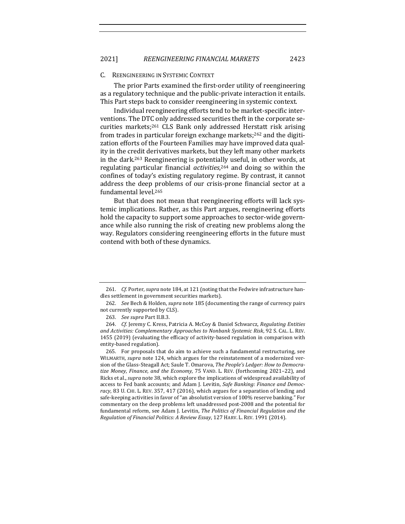#### C. REENGINEERING IN SYSTEMIC CONTEXT

The prior Parts examined the first-order utility of reengineering as a regulatory technique and the public-private interaction it entails. This Part steps back to consider reengineering in systemic context.

Individual reengineering efforts tend to be market-specific interventions. The DTC only addressed securities theft in the corporate securities markets;<sup>261</sup> CLS Bank only addressed Herstatt risk arising from trades in particular foreign exchange markets;<sup>262</sup> and the digitization efforts of the Fourteen Families may have improved data quality in the credit derivatives markets, but they left many other markets in the dark.<sup>263</sup> Reengineering is potentially useful, in other words, at regulating particular financial *activities*,<sup>264</sup> and doing so within the confines of today's existing regulatory regime. By contrast, it cannot address the deep problems of our crisis-prone financial sector at a fundamental level.<sup>265</sup>

But that does not mean that reengineering efforts will lack systemic implications. Rather, as this Part argues, reengineering efforts hold the capacity to support some approaches to sector-wide governance while also running the risk of creating new problems along the way. Regulators considering reengineering efforts in the future must contend with both of these dynamics.

<sup>261.</sup> *Cf.* Porter, *supra* note 184, at 121 (noting that the Fedwire infrastructure handles settlement in government securities markets).

<sup>262.</sup> *See* Bech & Holden, *supra* note 185 (documenting the range of currency pairs not currently supported by CLS).

<sup>263.</sup> *See supra Part II.B.3.* 

<sup>264.</sup> *Cf.* Jeremy C. Kress, Patricia A. McCoy & Daniel Schwarcz, Regulating Entities and Activities: Complementary Approaches to Nonbank Systemic Risk, 92 S. CAL. L. REV. 1455 (2019) (evaluating the efficacy of activity-based regulation in comparison with entity-based regulation).

<sup>265.</sup> For proposals that do aim to achieve such a fundamental restructuring, see WILMARTH, *supra* note 124, which argues for the reinstatement of a modernized version of the Glass-Steagall Act; Saule T. Omarova, *The People's Ledger: How to Democra*tize Money, Finance, and the Economy, 75 VAND. L. REV. (forthcoming 2021-22), and Ricks et al., *supra* note 38, which explore the implications of widespread availability of access to Fed bank accounts; and Adam J. Levitin, *Safe Banking: Finance and Democ*racy, 83 U. CHI. L. REV. 357, 417 (2016), which argues for a separation of lending and safe-keeping activities in favor of "an absolutist version of 100% reserve banking." For commentary on the deep problems left unaddressed post-2008 and the potential for fundamental reform, see Adam J. Levitin, *The Politics of Financial Regulation and the Regulation of Financial Politics: A Review Essay*, 127 HARV. L. REV. 1991 (2014).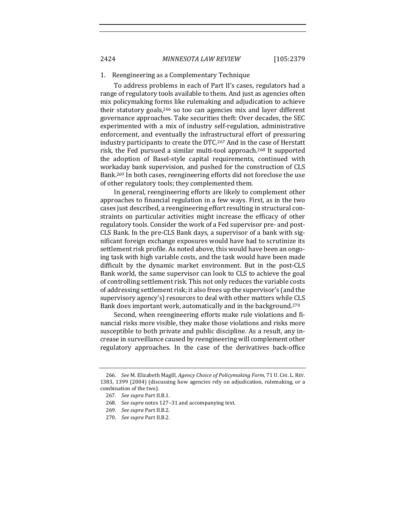#### 1. Reengineering as a Complementary Technique

To address problems in each of Part II's cases, regulators had a range of regulatory tools available to them. And just as agencies often mix policymaking forms like rulemaking and adjudication to achieve their statutory goals,<sup>266</sup> so too can agencies mix and layer different governance approaches. Take securities theft: Over decades, the SEC experimented with a mix of industry self-regulation, administrative enforcement, and eventually the infrastructural effort of pressuring industry participants to create the DTC.<sup>267</sup> And in the case of Herstatt risk, the Fed pursued a similar multi-tool approach.<sup>268</sup> It supported the adoption of Basel-style capital requirements, continued with workaday bank supervision, and pushed for the construction of CLS Bank.<sup>269</sup> In both cases, reengineering efforts did not foreclose the use of other regulatory tools; they complemented them.

In general, reengineering efforts are likely to complement other approaches to financial regulation in a few ways. First, as in the two cases just described, a reengineering effort resulting in structural constraints on particular activities might increase the efficacy of other regulatory tools. Consider the work of a Fed supervisor pre- and post-CLS Bank. In the pre-CLS Bank days, a supervisor of a bank with significant foreign exchange exposures would have had to scrutinize its settlement risk profile. As noted above, this would have been an ongoing task with high variable costs, and the task would have been made difficult by the dynamic market environment. But in the post-CLS Bank world, the same supervisor can look to CLS to achieve the goal of controlling settlement risk. This not only reduces the variable costs of addressing settlement risk; it also frees up the supervisor's (and the supervisory agency's) resources to deal with other matters while CLS Bank does important work, automatically and in the background.<sup>270</sup>

Second, when reengineering efforts make rule violations and financial risks more visible, they make those violations and risks more susceptible to both private and public discipline. As a result, any increase in surveillance caused by reengineering will complement other regulatory approaches. In the case of the derivatives back-office

<sup>266.</sup> *See* M. Elizabeth Magill, *Agency Choice of Policymaking Form*, 71 U. CHI. L. REV. 1383, 1399 (2004) (discussing how agencies rely on adjudication, rulemaking, or a combination of the two).

<sup>267.</sup> See supra Part II.B.1.

<sup>268.</sup> *See supra* notes 127-31 and accompanying text.

<sup>269.</sup> *See supra Part II.B.2.* 

<sup>270.</sup> *See supra Part II.B.2.*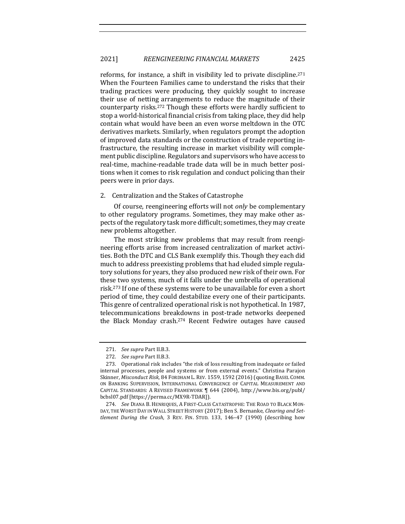reforms, for instance, a shift in visibility led to private discipline.<sup>271</sup> When the Fourteen Families came to understand the risks that their trading practices were producing, they quickly sought to increase their use of netting arrangements to reduce the magnitude of their counterparty risks.<sup>272</sup> Though these efforts were hardly sufficient to stop a world-historical financial crisis from taking place, they did help contain what would have been an even worse meltdown in the OTC derivatives markets. Similarly, when regulators prompt the adoption of improved data standards or the construction of trade reporting infrastructure, the resulting increase in market visibility will complement public discipline. Regulators and supervisors who have access to real-time, machine-readable trade data will be in much better positions when it comes to risk regulation and conduct policing than their peers were in prior days.

# 2. Centralization and the Stakes of Catastrophe

Of course, reengineering efforts will not *only* be complementary to other regulatory programs. Sometimes, they may make other aspects of the regulatory task more difficult; sometimes, they may create new problems altogether. 

The most striking new problems that may result from reengineering efforts arise from increased centralization of market activities. Both the DTC and CLS Bank exemplify this. Though they each did much to address preexisting problems that had eluded simple regulatory solutions for years, they also produced new risk of their own. For these two systems, much of it falls under the umbrella of operational risk.<sup>273</sup> If one of these systems were to be unavailable for even a short period of time, they could destabilize every one of their participants. This genre of centralized operational risk is not hypothetical. In 1987, telecommunications breakdowns in post-trade networks deepened the Black Monday crash.<sup>274</sup> Recent Fedwire outages have caused

<sup>271.</sup> *See supra Part II.B.3.* 

<sup>272.</sup> See supra Part II.B.3.

<sup>273.</sup> Operational risk includes "the risk of loss resulting from inadequate or failed internal processes, people and systems or from external events." Christina Parajon Skinner, *Misconduct Risk*, 84 FORDHAM L. REV. 1559, 1592 (2016) (quoting BASEL COMM. ON BANKING SUPERVISION, INTERNATIONAL CONVERGENCE OF CAPITAL MEASUREMENT AND CAPITAL STANDARDS: A REVISED FRAMEWORK ¶ 644 (2004), http://www.bis.org/publ/ bcbsl07.pdf [https://perma.cc/MX9R-TDAR]).

<sup>274.</sup> *See DIANA B. HENRIQUES, A FIRST-CLASS CATASTROPHE: THE ROAD TO BLACK MON-*DAY, THE WORST DAY IN WALL STREET HISTORY (2017); Ben S. Bernanke, *Clearing and Settlement During the Crash,* 3 REV. FIN. STUD. 133, 146-47 (1990) (describing how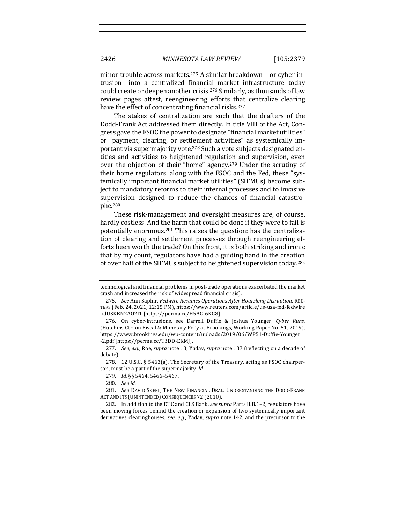minor trouble across markets.<sup>275</sup> A similar breakdown—or cyber-intrusion—into a centralized financial market infrastructure today could create or deepen another crisis.<sup>276</sup> Similarly, as thousands of law review pages attest, reengineering efforts that centralize clearing have the effect of concentrating financial risks.<sup>277</sup>

The stakes of centralization are such that the drafters of the Dodd-Frank Act addressed them directly. In title VIII of the Act, Congress gave the FSOC the power to designate "financial market utilities" or "payment, clearing, or settlement activities" as systemically important via supermajority vote.<sup>278</sup> Such a vote subjects designated entities and activities to heightened regulation and supervision, even over the objection of their "home" agency.<sup>279</sup> Under the scrutiny of their home regulators, along with the FSOC and the Fed, these "systemically important financial market utilities" (SIFMUs) become subject to mandatory reforms to their internal processes and to invasive supervision designed to reduce the chances of financial catastrophe.280

These risk-management and oversight measures are, of course, hardly costless. And the harm that could be done if they were to fail is potentially enormous.<sup>281</sup> This raises the question: has the centralization of clearing and settlement processes through reengineering efforts been worth the trade? On this front, it is both striking and ironic that by my count, regulators have had a guiding hand in the creation of over half of the SIFMUs subject to heightened supervision today.<sup>282</sup>

technological and financial problems in post-trade operations exacerbated the market crash and increased the risk of widespread financial crisis).

<sup>275.</sup> *See* Ann Saphir, *Fedwire Resumes Operations After Hourslong Disruption*, REU-TERS (Feb. 24, 2021, 12:15 PM), https://www.reuters.com/article/us-usa-fed-fedwire -idUSKBN2AO2I1 [https://perma.cc/H5AG-6KG8].

<sup>276.</sup> On cyber-intrusions, see Darrell Duffie & Joshua Younger, *Cyber Runs*, (Hutchins Ctr. on Fiscal & Monetary Pol'y at Brookings, Working Paper No. 51, 2019), https://www.brookings.edu/wp-content/uploads/2019/06/WP51-Duffie-Younger -2.pdf [https://perma.cc/T3DD-EKMJ].

<sup>277.</sup> *See, e.g.*, Roe, *supra* note 13; Yadav, *supra* note 137 (reflecting on a decade of debate).

<sup>278. 12</sup> U.S.C. §  $5463$ (a). The Secretary of the Treasury, acting as FSOC chairperson, must be a part of the supermajority. *Id.* 

<sup>279.</sup> *Id.* §§ 5464, 5466-5467.

<sup>280.</sup> *See id.*

<sup>281.</sup> See DAVID SKEEL, THE NEW FINANCIAL DEAL: UNDERSTANDING THE DODD-FRANK ACT AND ITS (UNINTENDED) CONSEQUENCES 72 (2010).

<sup>282.</sup> In addition to the DTC and CLS Bank, *see supra* Parts II.B.1-2, regulators have been moving forces behind the creation or expansion of two systemically important derivatives clearinghouses, see, e.g., Yadav, *supra* note 142, and the precursor to the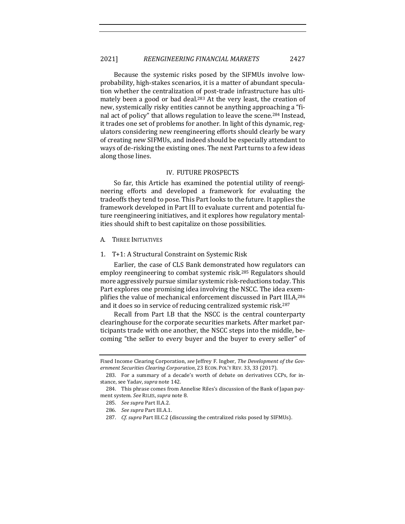Because the systemic risks posed by the SIFMUs involve lowprobability, high-stakes scenarios, it is a matter of abundant speculation whether the centralization of post-trade infrastructure has ultimately been a good or bad deal.<sup>283</sup> At the very least, the creation of new, systemically risky entities cannot be anything approaching a "final act of policy" that allows regulation to leave the scene.<sup>284</sup> Instead, it trades one set of problems for another. In light of this dynamic, regulators considering new reengineering efforts should clearly be wary of creating new SIFMUs, and indeed should be especially attendant to ways of de-risking the existing ones. The next Part turns to a few ideas along those lines.

#### IV. FUTURE PROSPECTS

So far, this Article has examined the potential utility of reengineering efforts and developed a framework for evaluating the tradeoffs they tend to pose. This Part looks to the future. It applies the framework developed in Part III to evaluate current and potential future reengineering initiatives, and it explores how regulatory mentalities should shift to best capitalize on those possibilities.

- A. THREE INITIATIVES
- 1. T+1: A Structural Constraint on Systemic Risk

Earlier, the case of CLS Bank demonstrated how regulators can employ reengineering to combat systemic risk.<sup>285</sup> Regulators should more aggressively pursue similar systemic risk-reductions today. This Part explores one promising idea involving the NSCC. The idea exemplifies the value of mechanical enforcement discussed in Part III.A,<sup>286</sup> and it does so in service of reducing centralized systemic risk.<sup>287</sup>

Recall from Part I.B that the NSCC is the central counterparty clearinghouse for the corporate securities markets. After market participants trade with one another, the NSCC steps into the middle, becoming "the seller to every buyer and the buyer to every seller" of

Fixed Income Clearing Corporation, *see* Jeffrey F. Ingber, *The Development of the Gov*ernment Securities Clearing Corporation, 23 ECON. POL'Y REV. 33, 33 (2017).

<sup>283.</sup> For a summary of a decade's worth of debate on derivatives CCPs, for instance, see Yadav, *supra* note 142.

<sup>284.</sup> This phrase comes from Annelise Riles's discussion of the Bank of Japan payment system. See RILES, supra note 8.

<sup>285.</sup> *See supra Part II.A.2.* 

<sup>286.</sup> *See supra Part III.A.1.* 

<sup>287.</sup> *Cf. supra* Part III.C.2 (discussing the centralized risks posed by SIFMUs).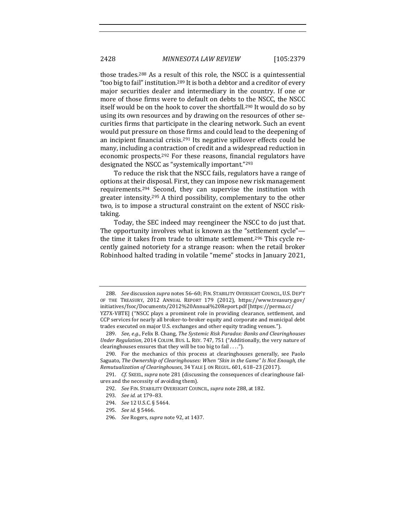those trades.<sup>288</sup> As a result of this role, the NSCC is a quintessential " too big to fail" institution.<sup>289</sup> It is both a debtor and a creditor of every major securities dealer and intermediary in the country. If one or more of those firms were to default on debts to the NSCC, the NSCC itself would be on the hook to cover the shortfall.<sup>290</sup> It would do so by using its own resources and by drawing on the resources of other securities firms that participate in the clearing network. Such an event would put pressure on those firms and could lead to the deepening of an incipient financial crisis.<sup>291</sup> Its negative spillover effects could be many, including a contraction of credit and a widespread reduction in economic prospects.<sup>292</sup> For these reasons, financial regulators have designated the NSCC as "systemically important."<sup>293</sup>

To reduce the risk that the NSCC fails, regulators have a range of options at their disposal. First, they can impose new risk management requirements.<sup>294</sup> Second, they can supervise the institution with greater intensity.<sup>295</sup> A third possibility, complementary to the other two, is to impose a structural constraint on the extent of NSCC risktaking.

Today, the SEC indeed may reengineer the NSCC to do just that. The opportunity involves what is known as the "settlement cycle" the time it takes from trade to ultimate settlement.<sup>296</sup> This cycle recently gained notoriety for a strange reason: when the retail broker Robinhood halted trading in volatile "meme" stocks in January 2021,

<sup>288.</sup> *See* discussion *supra* notes 56-60; FIN. STABILITY OVERSIGHT COUNCIL, U.S. DEP'T OF THE TREASURY, 2012 ANNUAL REPORT 179 (2012), https://www.treasury.gov/ initiatives/fsoc/Documents/2012%20Annual%20Report.pdf [https://perma.cc/ YZ7X-VBTE] ("NSCC plays a prominent role in providing clearance, settlement, and CCP services for nearly all broker-to-broker equity and corporate and municipal debt trades executed on major U.S. exchanges and other equity trading venues.").

<sup>289.</sup> *See, e.g.*, Felix B. Chang, The Systemic Risk Paradox: Banks and Clearinghouses *Under Regulation, 2014 COLUM. BUS. L. REV. 747, 751 ("Additionally, the very nature of* clearinghouses ensures that they will be too big to fail  $\dots$ ").

<sup>290.</sup> For the mechanics of this process at clearinghouses generally, see Paolo Saguato, The Ownership of Clearinghouses: When "Skin in the Game" Is Not Enough, the *Remutualization of Clearinghouses*, 34 YALE J. ON REGUL. 601, 618–23 (2017).

<sup>291.</sup> *Cf.* SKEEL, *supra* note 281 (discussing the consequences of clearinghouse failures and the necessity of avoiding them).

<sup>292.</sup> *See FIN. STABILITY OVERSIGHT COUNCIL, supra note 288, at 182.* 

<sup>293.</sup> *See id.* at 179-83.

<sup>294.</sup> *See* 12 U.S.C. § 5464.

<sup>295.</sup> *See id.* § 5466.

<sup>296.</sup> *See* Rogers, *supra* note 92, at 1437.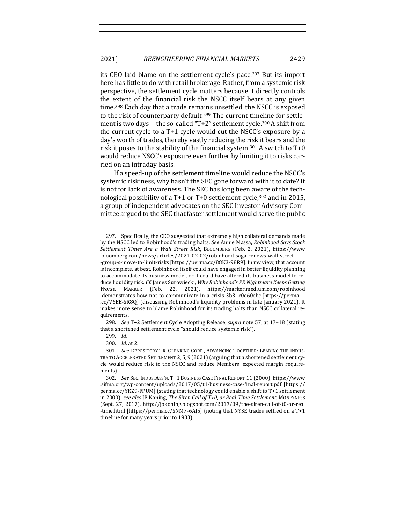its CEO laid blame on the settlement cycle's pace.<sup>297</sup> But its import here has little to do with retail brokerage. Rather, from a systemic risk perspective, the settlement cycle matters because it directly controls the extent of the financial risk the NSCC itself bears at any given time.<sup>298</sup> Each day that a trade remains unsettled, the NSCC is exposed to the risk of counterparty default.<sup>299</sup> The current timeline for settlement is two days—the so-called "T+2" settlement cycle.<sup>300</sup> A shift from the current cycle to a  $T+1$  cycle would cut the NSCC's exposure by a day's worth of trades, thereby vastly reducing the risk it bears and the risk it poses to the stability of the financial system.<sup>301</sup> A switch to  $T+0$ would reduce NSCC's exposure even further by limiting it to risks carried on an intraday basis.

If a speed-up of the settlement timeline would reduce the NSCC's systemic riskiness, why hasn't the SEC gone forward with it to date? It is not for lack of awareness. The SEC has long been aware of the technological possibility of a T+1 or T+0 settlement cycle,<sup>302</sup> and in 2015, a group of independent advocates on the SEC Investor Advisory Committee argued to the SEC that faster settlement would serve the public

298. *See* T+2 Settlement Cycle Adopting Release, *supra* note 57, at 17-18 (stating that a shortened settlement cycle "should reduce systemic risk").

<sup>297.</sup> Specifically, the CEO suggested that extremely high collateral demands made by the NSCC led to Robinhood's trading halts. See Annie Massa, *Robinhood Says Stock Settlement Times Are a Wall Street Risk*, BLOOMBERG (Feb. 2, 2021), https://www .bloomberg.com/news/articles/2021-02-02/robinhood-saga-renews-wall-street -group-s-move-to-limit-risks [https://perma.cc/88K3-98R9]. In my view, that account is incomplete, at best. Robinhood itself could have engaged in better liquidity planning to accommodate its business model, or it could have altered its business model to reduce liquidity risk. Cf. James Surowiecki, Why Robinhood's PR Nightmare Keeps Getting *Worse*, MARKER (Feb. 22, 2021), https://marker.medium.com/robinhood -demonstrates-how-not-to-communicate-in-a-crisis-3b31c0e60cbc [https://perma .cc/V6EE-SR8Q] (discussing Robinhood's liquidity problems in late January 2021). It makes more sense to blame Robinhood for its trading halts than NSCC collateral requirements.

<sup>299.</sup> *Id.*

<sup>300.</sup> *Id.* at 2.

<sup>301.</sup> See DEPOSITORY TR. CLEARING CORP., ADVANCING TOGETHER: LEADING THE INDUS-TRY TO ACCELERATED SETTLEMENT 2, 5, 9 (2021) (arguing that a shortened settlement cycle would reduce risk to the NSCC and reduce Members' expected margin requirements).

<sup>302.</sup> *See SEC. INDUS. ASS'N, T+1 BUSINESS CASE FINAL REPORT 11 (2000), https://www* .sifma.org/wp-content/uploads/2017/05/t1-business-case-final-report.pdf [https:// perma.cc/YKZ9-FPUM] (stating that technology could enable a shift to T+1 settlement in 2000); see also JP Koning, *The Siren Call of T+0, or Real-Time Settlement*, MONEYNESS (Sept. 27, 2017), http://jpkoning.blogspot.com/2017/09/the-siren-call-of-t0-or-real -time.html [https://perma.cc/SNM7-6AJ5] (noting that NYSE trades settled on a T+1 timeline for many years prior to 1933).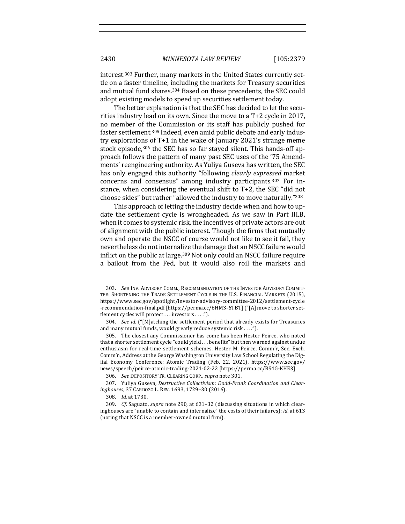interest.<sup>303</sup> Further, many markets in the United States currently settle on a faster timeline, including the markets for Treasury securities and mutual fund shares.<sup>304</sup> Based on these precedents, the SEC could adopt existing models to speed up securities settlement today.

The better explanation is that the SEC has decided to let the securities industry lead on its own. Since the move to a  $T+2$  cycle in 2017, no member of the Commission or its staff has publicly pushed for faster settlement.<sup>305</sup> Indeed, even amid public debate and early industry explorations of  $T+1$  in the wake of January 2021's strange meme stock episode,<sup>306</sup> the SEC has so far stayed silent. This hands-off approach follows the pattern of many past SEC uses of the '75 Amendments' reengineering authority. As Yuliya Guseva has written, the SEC has only engaged this authority "following *clearly expressed* market concerns and consensus" among industry participants.<sup>307</sup> For instance, when considering the eventual shift to  $T+2$ , the SEC "did not choose sides" but rather "allowed the industry to move naturally."308

This approach of letting the industry decide when and how to update the settlement cycle is wrongheaded. As we saw in Part III.B, when it comes to systemic risk, the incentives of private actors are out of alignment with the public interest. Though the firms that mutually own and operate the NSCC of course would not like to see it fail, they nevertheless do not internalize the damage that an NSCC failure would inflict on the public at large.<sup>309</sup> Not only could an NSCC failure require a bailout from the Fed, but it would also roil the markets and

<sup>303.</sup> See Inv. ADVISORY COMM., RECOMMENDATION OF THE INVESTOR ADVISORY COMMIT-TEE: SHORTENING THE TRADE SETTLEMENT CYCLE IN THE U.S. FINANCIAL MARKETS (2015), https://www.sec.gov/spotlight/investor-advisory-committee-2012/settlement-cycle -recommendation-final.pdf [https://perma.cc/6HM3-6TBT] ("[A] move to shorter settlement cycles will protect . . . investors . . . .").

<sup>304.</sup> *See id.* ("[M]atching the settlement period that already exists for Treasuries and many mutual funds, would greatly reduce systemic risk  $\dots$ .").

<sup>305.</sup> The closest any Commissioner has come has been Hester Peirce, who noted that a shorter settlement cycle "could yield . . . benefits" but then warned against undue enthusiasm for real-time settlement schemes. Hester M. Peirce, Comm'r, Sec. Exch. Comm'n, Address at the George Washington University Law School Regulating the Digital Economy Conference: Atomic Trading (Feb. 22, 2021), https://www.sec.gov/ news/speech/peirce-atomic-trading-2021-02-22 [https://perma.cc/BS4G-KHE3].

<sup>306.</sup> *See* DEPOSITORY TR. CLEARING CORP., *supra* note 301.

<sup>307.</sup> Yuliya Guseva, *Destructive Collectivism: Dodd-Frank Coordination and Clearinghouses*, 37 CARDOZO L. REV. 1693, 1729–30 (2016).

<sup>308.</sup> *Id.* at 1730.

<sup>309.</sup> *Cf.* Saguato, *supra* note 290, at 631-32 (discussing situations in which clearinghouses are "unable to contain and internalize" the costs of their failures); *id.* at 613 (noting that NSCC is a member-owned mutual firm).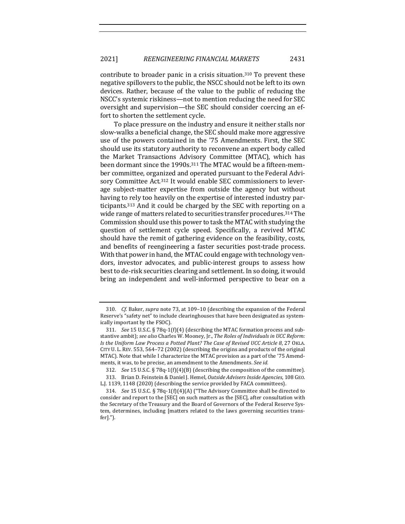contribute to broader panic in a crisis situation.<sup>310</sup> To prevent these negative spillovers to the public, the NSCC should not be left to its own devices. Rather, because of the value to the public of reducing the NSCC's systemic riskiness—not to mention reducing the need for SEC oversight and supervision—the SEC should consider coercing an effort to shorten the settlement cycle.

To place pressure on the industry and ensure it neither stalls nor slow-walks a beneficial change, the SEC should make more aggressive use of the powers contained in the '75 Amendments. First, the SEC should use its statutory authority to reconvene an expert body called the Market Transactions Advisory Committee (MTAC), which has been dormant since the 1990s.<sup>311</sup> The MTAC would be a fifteen-member committee, organized and operated pursuant to the Federal Advisory Committee Act.<sup>312</sup> It would enable SEC commissioners to leverage subject-matter expertise from outside the agency but without having to rely too heavily on the expertise of interested industry participants.<sup>313</sup> And it could be charged by the SEC with reporting on a wide range of matters related to securities transfer procedures.<sup>314</sup> The Commission should use this power to task the MTAC with studying the question of settlement cycle speed. Specifically, a revived MTAC should have the remit of gathering evidence on the feasibility, costs, and benefits of reengineering a faster securities post-trade process. With that power in hand, the MTAC could engage with technology vendors, investor advocates, and public-interest groups to assess how best to de-risk securities clearing and settlement. In so doing, it would bring an independent and well-informed perspective to bear on a

<sup>310.</sup> *Cf.* Baker, *supra* note 73, at 109–10 (describing the expansion of the Federal Reserve's "safety net" to include clearinghouses that have been designated as systemically important by the FSOC).

<sup>311.</sup> *See* 15 U.S.C. § 78q-1(f)(4) (describing the MTAC formation process and substantive ambit); see also Charles W. Mooney, Jr., *The Roles of Individuals in UCC Reform: Is* the Uniform Law Process a Potted Plant? The Case of Revised UCC Article 8, 27 OKLA. CITY U. L. REV. 553, 564–72 (2002) (describing the origins and products of the original MTAC). Note that while I characterize the MTAC provision as a part of the '75 Amendments, it was, to be precise, an amendment to the Amendments. See id.

<sup>312.</sup> *See* 15 U.S.C. § 78q-1(f)(4)(B) (describing the composition of the committee).

<sup>313.</sup> Brian D. Feinstein & Daniel J. Hemel, *Outside Advisers Inside Agencies*, 108 GEO. L.J. 1139, 1148 (2020) (describing the service provided by FACA committees).

<sup>314.</sup> *See* 15 U.S.C. § 78q-1(f)(4)(A) ("The Advisory Committee shall be directed to consider and report to the [SEC] on such matters as the [SEC], after consultation with the Secretary of the Treasury and the Board of Governors of the Federal Reserve System, determines, including [matters related to the laws governing securities transfer].").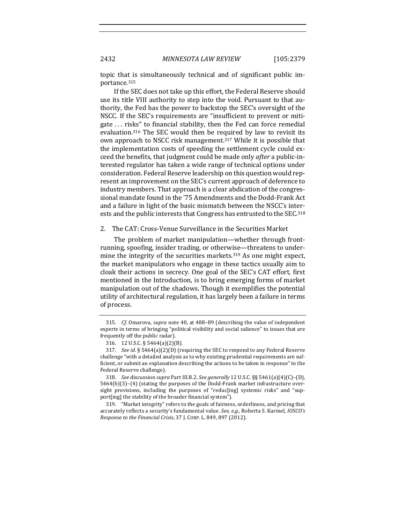2432 *MINNESOTA LAW REVIEW* [105:2379

topic that is simultaneously technical and of significant public importance.315

If the SEC does not take up this effort, the Federal Reserve should use its title VIII authority to step into the void. Pursuant to that authority, the Fed has the power to backstop the SEC's oversight of the NSCC. If the SEC's requirements are "insufficient to prevent or mitigate ... risks" to financial stability, then the Fed can force remedial evaluation.<sup>316</sup> The SEC would then be required by law to revisit its own approach to NSCC risk management.<sup>317</sup> While it is possible that the implementation costs of speeding the settlement cycle could exceed the benefits, that judgment could be made only *after* a public-interested regulator has taken a wide range of technical options under consideration. Federal Reserve leadership on this question would represent an improvement on the SEC's current approach of deference to industry members. That approach is a clear abdication of the congressional mandate found in the '75 Amendments and the Dodd-Frank Act and a failure in light of the basic mismatch between the NSCC's interests and the public interests that Congress has entrusted to the SEC.<sup>318</sup>

## 2. The CAT: Cross-Venue Surveillance in the Securities Market

The problem of market manipulation—whether through frontrunning, spoofing, insider trading, or otherwise—threatens to undermine the integrity of the securities markets.<sup>319</sup> As one might expect, the market manipulators who engage in these tactics usually aim to cloak their actions in secrecy. One goal of the SEC's CAT effort, first mentioned in the Introduction, is to bring emerging forms of market manipulation out of the shadows. Though it exemplifies the potential utility of architectural regulation, it has largely been a failure in terms of process.

<sup>315.</sup> *Cf.* Omarova, *supra* note 40, at 488–89 (describing the value of independent experts in terms of bringing "political visibility and social salience" to issues that are frequently off the public radar).

<sup>316. 12</sup> U.S.C. § 5464(a)(2)(B).

<sup>317.</sup> *See id.* § 5464(a)(2)(D) (requiring the SEC to respond to any Federal Reserve challenge "with a detailed analysis as to why existing prudential requirements are sufficient, or submit an explanation describing the actions to be taken in response" to the Federal Reserve challenge).

<sup>318.</sup> *See* discussion *supra* Part III.B.2. *See generally* 12 U.S.C. §§ 5461(a)(4)(C)–(D),  $5464(b)(3)-(4)$  (stating the purposes of the Dodd-Frank market infrastructure oversight provisions, including the purposes of "reduc[ing] systemic risks" and "support[ing] the stability of the broader financial system").

<sup>319. &</sup>quot;Market integrity" refers to the goals of fairness, orderliness, and pricing that accurately reflects a security's fundamental value. *See, e.g.*, Roberta S. Karmel, *IOSCO's Response to the Financial Crisis,* 37 J. CORP. L. 849, 897 (2012).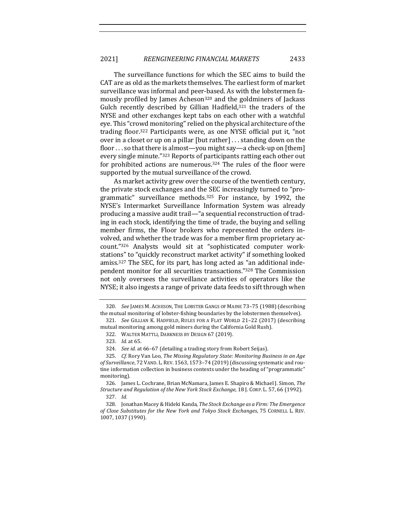The surveillance functions for which the SEC aims to build the CAT are as old as the markets themselves. The earliest form of market surveillance was informal and peer-based. As with the lobstermen famously profiled by James Acheson<sup>320</sup> and the goldminers of Jackass Gulch recently described by Gillian Hadfield, $321$  the traders of the NYSE and other exchanges kept tabs on each other with a watchful eye. This "crowd monitoring" relied on the physical architecture of the trading floor.<sup>322</sup> Participants were, as one NYSE official put it, "not over in a closet or up on a pillar  $[but rather] \dots$  standing down on the floor  $\ldots$  so that there is almost—you might say—a check-up on [them] every single minute."323 Reports of participants ratting each other out for prohibited actions are numerous.<sup>324</sup> The rules of the floor were supported by the mutual surveillance of the crowd.

As market activity grew over the course of the twentieth century, the private stock exchanges and the SEC increasingly turned to "programmatic" surveillance methods.<sup>325</sup> For instance, by 1992, the NYSE's Intermarket Surveillance Information System was already producing a massive audit trail—"a sequential reconstruction of trading in each stock, identifying the time of trade, the buying and selling member firms, the Floor brokers who represented the orders involved, and whether the trade was for a member firm proprietary account."326 Analysts would sit at "sophisticated computer workstations" to "quickly reconstruct market activity" if something looked amiss.<sup>327</sup> The SEC, for its part, has long acted as "an additional independent monitor for all securities transactions."<sup>328</sup> The Commission not only oversees the surveillance activities of operators like the NYSE; it also ingests a range of private data feeds to sift through when

<sup>320.</sup> *See* JAMES M. ACHESON, THE LOBSTER GANGS OF MAINE 73-75 (1988) (describing the mutual monitoring of lobster-fishing boundaries by the lobstermen themselves).

<sup>321.</sup> *See* GILLIAN K. HADFIELD, RULES FOR A FLAT WORLD 21-22 (2017) (describing mutual monitoring among gold miners during the California Gold Rush).

<sup>322.</sup> WALTER MATTLI, DARKNESS BY DESIGN 67 (2019).

<sup>323.</sup> *Id.* at 65.

<sup>324.</sup> *See id.* at 66-67 (detailing a trading story from Robert Seijas).

<sup>325.</sup> *Cf.* Rory Van Loo, The Missing Regulatory State: Monitoring Business in an Age of Surveillance, 72 VAND. L. REV. 1563, 1573-74 (2019) (discussing systematic and routine information collection in business contexts under the heading of "programmatic" monitoring).

<sup>326.</sup> James L. Cochrane, Brian McNamara, James E. Shapiro & Michael J. Simon, *The Structure and Regulation of the New York Stock Exchange*, 18 J. CORP. L. 57, 66 (1992).

<sup>327.</sup> *Id.*

<sup>328.</sup> Jonathan Macey & Hideki Kanda, *The Stock Exchange as a Firm: The Emergence* of Close Substitutes for the New York and Tokyo Stock Exchanges, 75 CORNELL L. REV. 1007, 1037 (1990).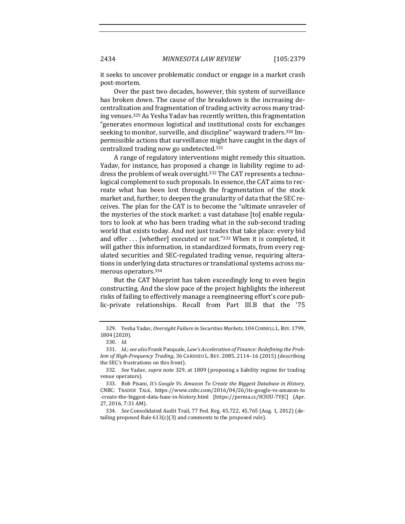it seeks to uncover problematic conduct or engage in a market crash post-mortem.

Over the past two decades, however, this system of surveillance has broken down. The cause of the breakdown is the increasing decentralization and fragmentation of trading activity across many trading venues.<sup>329</sup> As Yesha Yadav has recently written, this fragmentation "generates enormous logistical and institutional costs for exchanges seeking to monitor, surveille, and discipline" wayward traders.<sup>330</sup> Impermissible actions that surveillance might have caught in the days of centralized trading now go undetected.<sup>331</sup>

A range of regulatory interventions might remedy this situation. Yadav, for instance, has proposed a change in liability regime to address the problem of weak oversight.<sup>332</sup> The CAT represents a technological complement to such proposals. In essence, the CAT aims to recreate what has been lost through the fragmentation of the stock market and, further, to deepen the granularity of data that the SEC receives. The plan for the CAT is to become the "ultimate unraveler of the mysteries of the stock market: a vast database [to] enable regulators to look at who has been trading what in the sub-second trading world that exists today. And not just trades that take place: every bid and offer ... [whether] executed or not."333 When it is completed, it will gather this information, in standardized formats, from every regulated securities and SEC-regulated trading venue, requiring alterations in underlying data structures or translational systems across numerous operators.334

But the CAT blueprint has taken exceedingly long to even begin constructing. And the slow pace of the project highlights the inherent risks of failing to effectively manage a reengineering effort's core public-private relationships. Recall from Part III.B that the '75

<sup>329.</sup> Yesha Yadav, Oversight Failure in Securities Markets, 104 CORNELL L. REV. 1799, 1804 (2020).

<sup>330.</sup> *Id.*

<sup>331.</sup> *Id.*; see also Frank Pasquale, *Law's Acceleration of Finance: Redefining the Prob*lem of High-Frequency Trading, 36 CARDOZO L. REV. 2085, 2114-16 (2015) (describing the SEC's frustrations on this front).

<sup>332.</sup> *See Yadav, supra* note 329, at 1809 (proposing a liability regime for trading venue operators).

<sup>333.</sup> Bob Pisani, *It's Google Vs. Amazon To Create the Biggest Database in History*, CNBC: TRADER TALK, https://www.cnbc.com/2016/04/26/its-google-vs-amazon-to -create-the-biggest-data-base-in-history.html [https://perma.cc/H3UU-7YJC] (Apr. 27, 2016, 7:31 AM).

<sup>334.</sup> *See* Consolidated Audit Trail, 77 Fed. Reg. 45,722, 45,765 (Aug. 1, 2012) (detailing proposed Rule  $613(c)(3)$  and comments to the proposed rule).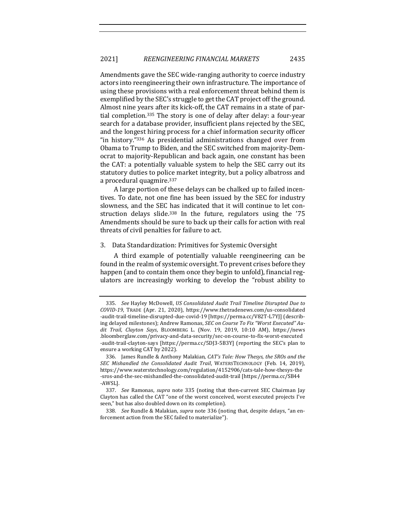Amendments gave the SEC wide-ranging authority to coerce industry actors into reengineering their own infrastructure. The importance of using these provisions with a real enforcement threat behind them is exemplified by the SEC's struggle to get the CAT project off the ground. Almost nine years after its kick-off, the CAT remains in a state of partial completion.<sup>335</sup> The story is one of delay after delay: a four-year search for a database provider, insufficient plans rejected by the SEC, and the longest hiring process for a chief information security officer "in history."336 As presidential administrations changed over from Obama to Trump to Biden, and the SEC switched from majority-Democrat to majority-Republican and back again, one constant has been the CAT: a potentially valuable system to help the SEC carry out its statutory duties to police market integrity, but a policy albatross and a procedural quagmire.<sup>337</sup>

A large portion of these delays can be chalked up to failed incentives. To date, not one fine has been issued by the SEC for industry slowness, and the SEC has indicated that it will continue to let construction delays slide.<sup>338</sup> In the future, regulators using the '75 Amendments should be sure to back up their calls for action with real threats of civil penalties for failure to act.

## 3. Data Standardization: Primitives for Systemic Oversight

A third example of potentially valuable reengineering can be found in the realm of systemic oversight. To prevent crises before they happen (and to contain them once they begin to unfold), financial regulators are increasingly working to develop the "robust ability to

<sup>335.</sup> *See* Hayley McDowell, *US Consolidated Audit Trail Timeline Disrupted Due to COVID-19*, TRADE (Apr. 21, 2020), https://www.thetradenews.com/us-consolidated -audit-trail-timeline-disrupted-due-covid-19 [https://perma.cc/V82T-L7YJ] (describing delayed milestones); Andrew Ramonas, *SEC on Course To Fix "Worst Executed" Au*dit Trail, Clayton Says, BLOOMBERG L. (Nov. 19, 2019, 10:10 AM), https://news .bloomberglaw.com/privacy-and-data-security/sec-on-course-to-fix-worst-executed -audit-trail-clayton-says [https://perma.cc/5DJ3-5B3Y] (reporting the SEC's plan to ensure a working CAT by 2022).

<sup>336.</sup> James Rundle & Anthony Malakian, *CAT's Tale: How Thesys, the SROs and the SEC Mishandled the Consolidated Audit Trail*, WATERSTECHNOLOGY (Feb. 14, 2019), https://www.waterstechnology.com/regulation/4152906/cats-tale-how-thesys-the -sros-and-the-sec-mishandled-the-consolidated-audit-trail [https://perma.cc/SB44 -AWSL].

<sup>337.</sup> *See* Ramonas, *supra* note 335 (noting that then-current SEC Chairman Jay Clayton has called the CAT "one of the worst conceived, worst executed projects I've seen," but has also doubled down on its completion).

<sup>338.</sup> *See* Rundle & Malakian, *supra* note 336 (noting that, despite delays, "an enforcement action from the SEC failed to materialize").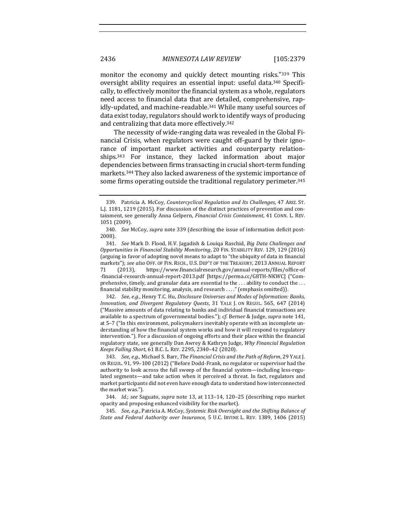monitor the economy and quickly detect mounting risks."339 This oversight ability requires an essential input: useful data.<sup>340</sup> Specifically, to effectively monitor the financial system as a whole, regulators need access to financial data that are detailed, comprehensive, rapidly-updated, and machine-readable.<sup>341</sup> While many useful sources of data exist today, regulators should work to identify ways of producing and centralizing that data more effectively.<sup>342</sup>

The necessity of wide-ranging data was revealed in the Global Financial Crisis, when regulators were caught off-guard by their ignorance of important market activities and counterparty relationships.<sup>343</sup> For instance, they lacked information about major dependencies between firms transacting in crucial short-term funding markets.<sup>344</sup> They also lacked awareness of the systemic importance of some firms operating outside the traditional regulatory perimeter.<sup>345</sup>

342. *See, e.g.*, Henry T.C. Hu, Disclosure Universes and Modes of Information: Banks, *Innovation, and Divergent Regulatory Quests,* 31 YALE J. ON REGUL. 565, 647 (2014) ("Massive amounts of data relating to banks and individual financial transactions are available to a spectrum of governmental bodies."); *cf.* Berner & Judge, *supra* note 141, at 5–7 ("In this environment, policymakers inevitably operate with an incomplete understanding of how the financial system works and how it will respond to regulatory intervention."). For a discussion of ongoing efforts and their place within the financial regulatory state, see generally Dan Awrey & Kathryn Judge, *Why Financial Regulation Keeps Falling Short,* 61 B.C. L. REV. 2295, 2340-42 (2020).

343. *See, e.g.*, Michael S. Barr, *The Financial Crisis and the Path of Reform*, 29 YALE J. ON REGUL. 91, 99-100 (2012) ("Before Dodd-Frank, no regulator or supervisor had the authority to look across the full sweep of the financial system—including less-regulated segments—and take action when it perceived a threat. In fact, regulators and market participants did not even have enough data to understand how interconnected the market was.").

344. *Id.*; see Saguato, supra note 13, at 113-14, 120-25 (describing repo market opacity and proposing enhanced visibility for the market).

345. *See, e.g.*, Patricia A. McCoy, *Systemic Risk Oversight and the Shifting Balance of State and Federal Authority over Insurance*, 5 U.C. IRVINE L. REV. 1389, 1406 (2015)

<sup>339.</sup> Patricia A. McCoy, *Countercyclical Regulation and Its Challenges*, 47 ARIZ. ST. L.J. 1181, 1219 (2015). For discussion of the distinct practices of prevention and containment, see generally Anna Gelpern, *Financial Crisis Containment*, 41 CONN. L. REV. 1051 (2009).

<sup>340.</sup> *See* McCoy, *supra* note 339 (describing the issue of information deficit post-2008).

<sup>341.</sup> *See* Mark D. Flood, H.V. Jagadish & Louiqa Raschid, *Big Data Challenges and Opportunities in Financial Stability Monitoring*, 20 FIN. STABILITY REV. 129, 129 (2016) (arguing in favor of adopting novel means to adapt to "the ubiquity of data in financial markets"); see also OFF. OF FIN. RSCH., U.S. DEP'T OF THE TREASURY, 2013 ANNUAL REPORT 71 (2013), https://www.financialresearch.gov/annual-reports/files/office-of -financial-research-annual-report-2013.pdf [https://perma.cc/G8TH-NKWC] ("Comprehensive, timely, and granular data are essential to the  $\dots$  ability to conduct the  $\dots$ financial stability monitoring, analysis, and research ...." (emphasis omitted)).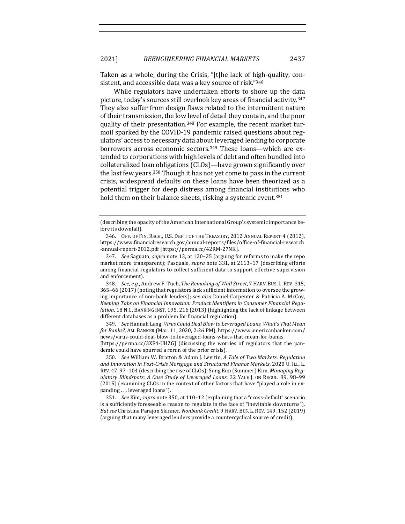Taken as a whole, during the Crisis, "[t]he lack of high-quality, consistent, and accessible data was a key source of risk."346

While regulators have undertaken efforts to shore up the data picture, today's sources still overlook key areas of financial activity.<sup>347</sup> They also suffer from design flaws related to the intermittent nature of their transmission, the low level of detail they contain, and the poor quality of their presentation.<sup>348</sup> For example, the recent market turmoil sparked by the COVID-19 pandemic raised questions about regulators' access to necessary data about leveraged lending to corporate borrowers across economic sectors.<sup>349</sup> These loans—which are extended to corporations with high levels of debt and often bundled into collateralized loan obligations (CLOs)—have grown significantly over the last few years.<sup>350</sup> Though it has not yet come to pass in the current crisis, widespread defaults on these loans have been theorized as a potential trigger for deep distress among financial institutions who hold them on their balance sheets, risking a systemic event.<sup>351</sup>

348. *See, e.g.,* Andrew F. Tuch, *The Remaking of Wall Street*, 7 HARV. BUS. L. REV. 315, 365–66 (2017) (noting that regulators lack sufficient information to oversee the growing importance of non-bank lenders); see also Daniel Carpenter & Patricia A. McCoy, Keeping Tabs on Financial Innovation: Product Identifiers in Consumer Financial Regu*lation*, 18 N.C. BANKING INST. 195, 216 (2013) (highlighting the lack of linkage between different databases as a problem for financial regulation).

349. *See* Hannah Lang, *Virus Could Deal Blow to Leveraged Loans. What's That Mean* for Banks?, AM. BANKER (Mar. 11, 2020, 2:26 PM), https://www.americanbanker.com/ news/virus-could-deal-blow-to-leveraged-loans-whats-that-mean-for-banks 

[https://perma.cc/3XF4-UHZG] (discussing the worries of regulators that the pandemic could have spurred a rerun of the prior crisis).

350. *See* William W. Bratton & Adam J. Levitin, A Tale of Two Markets: Regulation and Innovation in Post-Crisis Mortgage and Structured Finance Markets, 2020 U. ILL. L. REV. 47, 97-104 (describing the rise of CLOs); Sung Eun (Summer) Kim, *Managing Reg*ulatory Blindspots: A Case Study of Leveraged Loans, 32 YALE J. ON REGUL. 89, 98-99 (2015) (examining CLOs in the context of other factors that have "played a role in expanding . . . leveraged loans").

351. *See Kim, supra* note 350, at 110-12 (explaining that a "cross-default" scenario is a sufficiently foreseeable reason to regulate in the face of "inevitable downturns"). *But see* Christina Parajon Skinner, *Nonbank Credit*, 9 HARV. Bus. L. REV. 149, 152 (2019) (arguing that many leveraged lenders provide a countercyclical source of credit).

<sup>(</sup>describing the opacity of the American International Group's systemic importance before its downfall).

<sup>346.</sup> OFF. OF FIN. RSCH., U.S. DEP'T OF THE TREASURY, 2012 ANNUAL REPORT 4 (2012), https://www.financialresearch.gov/annual-reports/files/office-of-financial-research -annual-report-2012.pdf [https://perma.cc/42RM-27NK].

<sup>347.</sup> *See* Saguato, *supra* note 13, at 120–25 (arguing for reforms to make the repo market more transparent); Pasquale, *supra* note 331, at 2113–17 (describing efforts among financial regulators to collect sufficient data to support effective supervision and enforcement).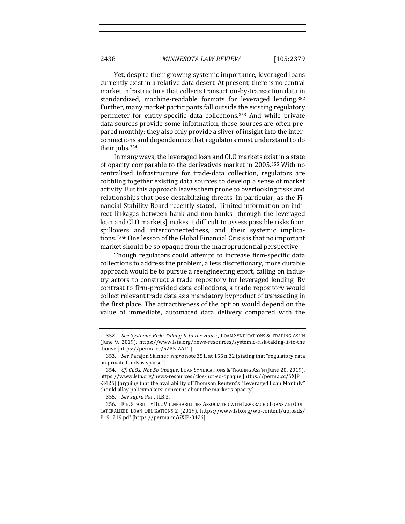Yet, despite their growing systemic importance, leveraged loans currently exist in a relative data desert. At present, there is no central market infrastructure that collects transaction-by-transaction data in standardized, machine-readable formats for leveraged lending.<sup>352</sup> Further, many market participants fall outside the existing regulatory perimeter for entity-specific data collections.<sup>353</sup> And while private data sources provide some information, these sources are often prepared monthly; they also only provide a sliver of insight into the interconnections and dependencies that regulators must understand to do their jobs.<sup>354</sup>

In many ways, the leveraged loan and CLO markets exist in a state of opacity comparable to the derivatives market in 2005.<sup>355</sup> With no centralized infrastructure for trade-data collection, regulators are cobbling together existing data sources to develop a sense of market activity. But this approach leaves them prone to overlooking risks and relationships that pose destabilizing threats. In particular, as the Financial Stability Board recently stated, "limited information on indirect linkages between bank and non-banks [through the leveraged loan and CLO markets] makes it difficult to assess possible risks from spillovers and interconnectedness, and their systemic implications."<sup>356</sup> One lesson of the Global Financial Crisis is that no important market should be so opaque from the macroprudential perspective.

Though regulators could attempt to increase firm-specific data collections to address the problem, a less discretionary, more durable approach would be to pursue a reengineering effort, calling on industry actors to construct a trade repository for leveraged lending. By contrast to firm-provided data collections, a trade repository would collect relevant trade data as a mandatory byproduct of transacting in the first place. The attractiveness of the option would depend on the value of immediate, automated data delivery compared with the

<sup>352.</sup> See Systemic Risk: Taking It to the House, LOAN SYNDICATIONS & TRADING ASS'N (June 9, 2019), https://www.lsta.org/news-resources/systemic-risk-taking-it-to-the -house [https://perma.cc/5ZP5-ZALT].

<sup>353.</sup> *See Parajon Skinner, supra note* 351, at 155 n.32 (stating that "regulatory data on private funds is sparse").

<sup>354.</sup> *Cf. CLOs: Not So Opaque*, LOAN SYNDICATIONS & TRADING ASS'N (June 20, 2019), https://www.lsta.org/news-resources/clos-not-so-opaque [https://perma.cc/6XJP -3426] (arguing that the availability of Thomson Reuters's "Leveraged Loan Monthly" should allay policymakers' concerns about the market's opacity).

<sup>355.</sup> *See supra* Part II.B.3.

<sup>356.</sup> FIN. STABILITY BD., VULNERABILITIES ASSOCIATED WITH LEVERAGED LOANS AND COL-LATERALIZED LOAN OBLIGATIONS 2 (2019), https://www.fsb.org/wp-content/uploads/ P191219.pdf [https://perma.cc/6XJP-3426].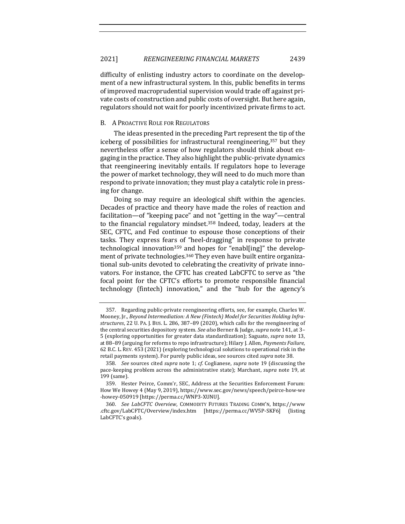difficulty of enlisting industry actors to coordinate on the development of a new infrastructural system. In this, public benefits in terms of improved macroprudential supervision would trade off against private costs of construction and public costs of oversight. But here again, regulators should not wait for poorly incentivized private firms to act.

#### B. A PROACTIVE ROLE FOR REGULATORS

The ideas presented in the preceding Part represent the tip of the iceberg of possibilities for infrastructural reengineering,<sup>357</sup> but they nevertheless offer a sense of how regulators should think about engaging in the practice. They also highlight the public-private dynamics that reengineering inevitably entails. If regulators hope to leverage the power of market technology, they will need to do much more than respond to private innovation; they must play a catalytic role in pressing for change.

Doing so may require an ideological shift within the agencies. Decades of practice and theory have made the roles of reaction and facilitation—of "keeping pace" and not "getting in the way"—central to the financial regulatory mindset.<sup>358</sup> Indeed, today, leaders at the SEC, CFTC, and Fed continue to espouse those conceptions of their tasks. They express fears of "heel-dragging" in response to private technological innovation<sup>359</sup> and hopes for "enabl[ing]" the development of private technologies.<sup>360</sup> They even have built entire organizational sub-units devoted to celebrating the creativity of private innovators. For instance, the CFTC has created LabCFTC to serve as "the focal point for the CFTC's efforts to promote responsible financial technology (fintech) innovation," and the "hub for the agency's

<sup>357.</sup> Regarding public-private reengineering efforts, see, for example, Charles W. Mooney, Jr., Beyond Intermediation: A New (Fintech) Model for Securities Holding Infra*structures*, 22 U. PA. J. Bus. L. 286, 387-89 (2020), which calls for the reengineering of the central securities depository system. See also Berner & Judge, *supra* note 141, at 3-5 (exploring opportunities for greater data standardization); Saguato, *supra* note 13, at 88-89 (arguing for reforms to repo infrastructure); Hilary J. Allen, *Payments Failure*, 62 B.C. L. REV. 453 (2021) (exploring technological solutions to operational risk in the retail payments system). For purely public ideas, see sources cited *supra* note 38.

<sup>358.</sup> *See* sources cited *supra* note 1; *cf.* Coglianese, *supra* note 19 (discussing the pace-keeping problem across the administrative state); Marchant, *supra* note 19, at 199 (same).

<sup>359.</sup> Hester Peirce, Comm'r, SEC, Address at the Securities Enforcement Forum: How We Howey 4 (May 9, 2019), https://www.sec.gov/news/speech/peirce-how-we -howey-050919 [https://perma.cc/WNP3-XUNU].

<sup>360.</sup> *See LabCFTC Overview*, COMMODITY FUTURES TRADING COMM'N, https://www .cftc.gov/LabCFTC/Overview/index.htm [https://perma.cc/WV5P-SKF6] (listing LabCFTC's goals).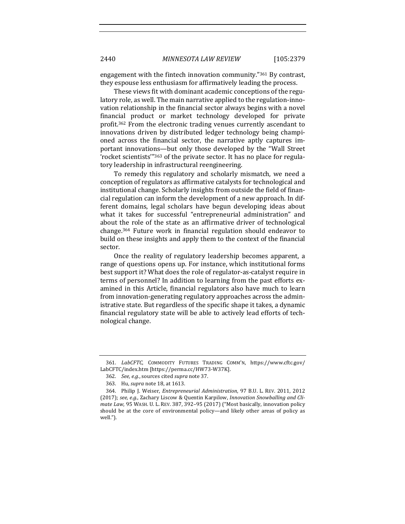engagement with the fintech innovation community." $361$  By contrast, they espouse less enthusiasm for affirmatively leading the process.

These views fit with dominant academic conceptions of the regulatory role, as well. The main narrative applied to the regulation-innovation relationship in the financial sector always begins with a novel financial product or market technology developed for private profit.<sup>362</sup> From the electronic trading venues currently ascendant to innovations driven by distributed ledger technology being championed across the financial sector, the narrative aptly captures important innovations—but only those developed by the "Wall Street 'rocket scientists'"<sup>363</sup> of the private sector. It has no place for regulatory leadership in infrastructural reengineering.

To remedy this regulatory and scholarly mismatch, we need a conception of regulators as affirmative catalysts for technological and institutional change. Scholarly insights from outside the field of financial regulation can inform the development of a new approach. In different domains, legal scholars have begun developing ideas about what it takes for successful "entrepreneurial administration" and about the role of the state as an affirmative driver of technological change.<sup>364</sup> Future work in financial regulation should endeavor to build on these insights and apply them to the context of the financial sector.

Once the reality of regulatory leadership becomes apparent, a range of questions opens up. For instance, which institutional forms best support it? What does the role of regulator-as-catalyst require in terms of personnel? In addition to learning from the past efforts examined in this Article, financial regulators also have much to learn from innovation-generating regulatory approaches across the administrative state. But regardless of the specific shape it takes, a dynamic financial regulatory state will be able to actively lead efforts of technological change.

<sup>361.</sup> LabCFTC, COMMODITY FUTURES TRADING COMM'N, https://www.cftc.gov/ LabCFTC/index.htm [https://perma.cc/HW73-W37K].

<sup>362.</sup> *See, e.g.*, sources cited *supra* note 37.

<sup>363.</sup> Hu, *supra* note 18, at 1613.

<sup>364.</sup> Philip J. Weiser, *Entrepreneurial Administration*, 97 B.U. L. REV. 2011, 2012 (2017); see, e.g., Zachary Liscow & Quentin Karpilow, *Innovation Snowballing and Climate Law*, 95 WASH. U. L. REV. 387, 392-95 (2017) ("Most basically, innovation policy should be at the core of environmental policy—and likely other areas of policy as well.").